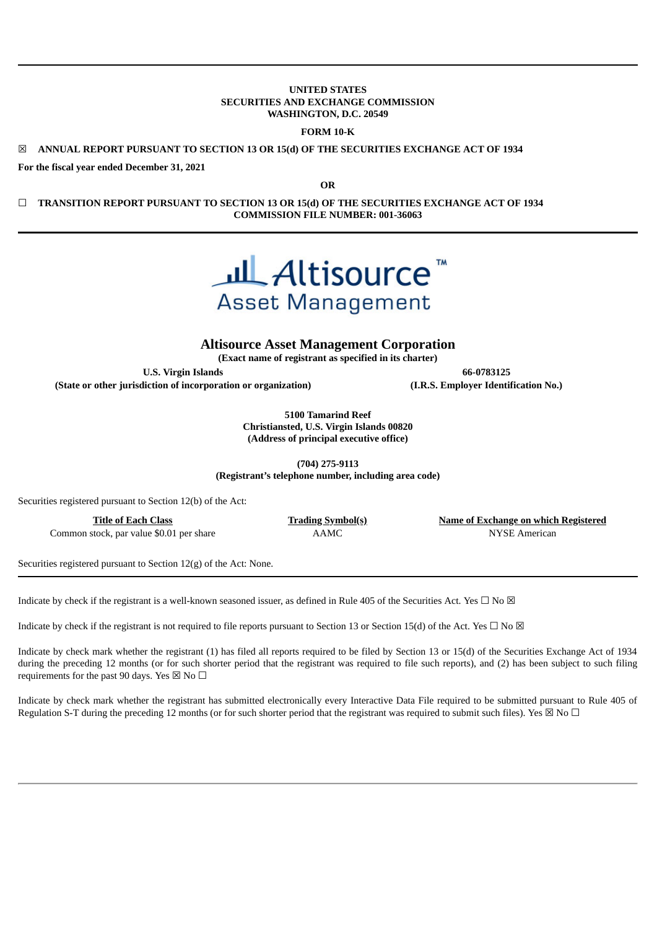# **UNITED STATES SECURITIES AND EXCHANGE COMMISSION WASHINGTON, D.C. 20549**

**FORM 10-K**

☒ **ANNUAL REPORT PURSUANT TO SECTION 13 OR 15(d) OF THE SECURITIES EXCHANGE ACT OF 1934**

**For the fiscal year ended December 31, 2021**

**OR**

☐ **TRANSITION REPORT PURSUANT TO SECTION 13 OR 15(d) OF THE SECURITIES EXCHANGE ACT OF 1934 COMMISSION FILE NUMBER: 001-36063**

# "Altisource للبر **Asset Management**

**Altisource Asset Management Corporation**

**(Exact name of registrant as specified in its charter)**

**U.S. Virgin Islands 66-0783125 (State or other jurisdiction of incorporation or organization) (I.R.S. Employer Identification No.)**

**5100 Tamarind Reef Christiansted, U.S. Virgin Islands 00820 (Address of principal executive office)**

**(704) 275-9113 (Registrant's telephone number, including area code)**

Securities registered pursuant to Section 12(b) of the Act:

Common stock, par value \$0.01 per share AAMC AAMC NYSE American

**Title of Each Class Trading Symbol(s) Name of Exchange on which Registered**

Securities registered pursuant to Section 12(g) of the Act: None.

Indicate by check if the registrant is a well-known seasoned issuer, as defined in Rule 405 of the Securities Act. Yes  $\Box$  No  $\boxtimes$ 

Indicate by check if the registrant is not required to file reports pursuant to Section 13 or Section 15(d) of the Act. Yes  $\Box$  No  $\boxtimes$ 

Indicate by check mark whether the registrant (1) has filed all reports required to be filed by Section 13 or 15(d) of the Securities Exchange Act of 1934 during the preceding 12 months (or for such shorter period that the registrant was required to file such reports), and (2) has been subject to such filing requirements for the past 90 days. Yes  $\boxtimes$  No  $\Box$ 

Indicate by check mark whether the registrant has submitted electronically every Interactive Data File required to be submitted pursuant to Rule 405 of Regulation S-T during the preceding 12 months (or for such shorter period that the registrant was required to submit such files). Yes  $\boxtimes$  No  $\Box$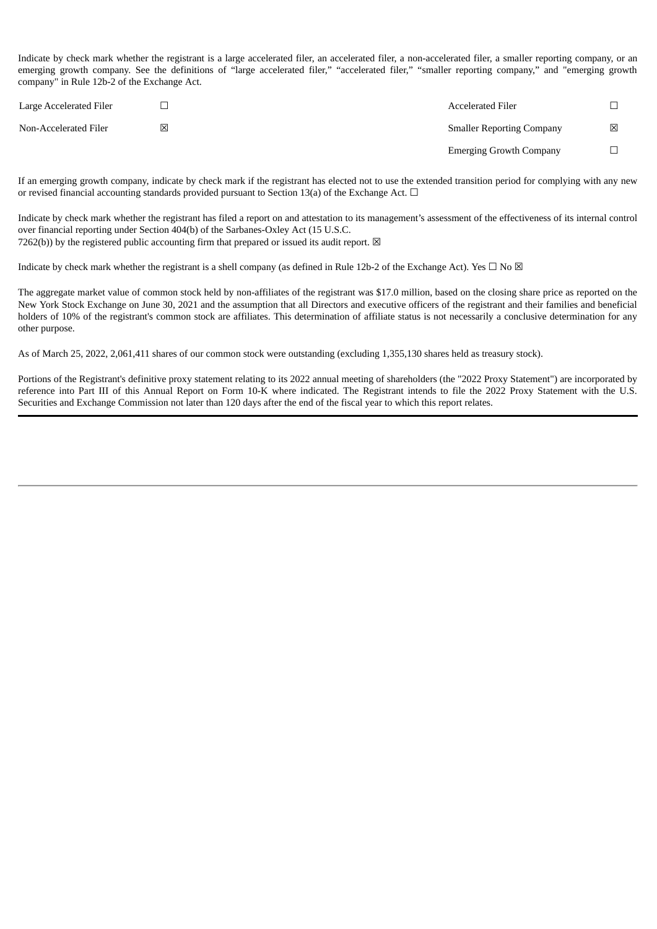Indicate by check mark whether the registrant is a large accelerated filer, an accelerated filer, a non-accelerated filer, a smaller reporting company, or an emerging growth company. See the definitions of "large accelerated filer," "accelerated filer," "smaller reporting company," and "emerging growth company" in Rule 12b-2 of the Exchange Act.

| Large Accelerated Filer |   | Accelerated Filer                |   |
|-------------------------|---|----------------------------------|---|
| Non-Accelerated Filer   | ⊠ | <b>Smaller Reporting Company</b> | ⊠ |
|                         |   | <b>Emerging Growth Company</b>   |   |

If an emerging growth company, indicate by check mark if the registrant has elected not to use the extended transition period for complying with any new or revised financial accounting standards provided pursuant to Section 13(a) of the Exchange Act.  $\Box$ 

Indicate by check mark whether the registrant has filed a report on and attestation to its management's assessment of the effectiveness of its internal control over financial reporting under Section 404(b) of the Sarbanes-Oxley Act (15 U.S.C. 7262(b)) by the registered public accounting firm that prepared or issued its audit report.  $\boxtimes$ 

Indicate by check mark whether the registrant is a shell company (as defined in Rule 12b-2 of the Exchange Act). Yes  $\Box$  No  $\boxtimes$ 

The aggregate market value of common stock held by non-affiliates of the registrant was \$17.0 million, based on the closing share price as reported on the New York Stock Exchange on June 30, 2021 and the assumption that all Directors and executive officers of the registrant and their families and beneficial holders of 10% of the registrant's common stock are affiliates. This determination of affiliate status is not necessarily a conclusive determination for any other purpose.

As of March 25, 2022, 2,061,411 shares of our common stock were outstanding (excluding 1,355,130 shares held as treasury stock).

<span id="page-1-0"></span>Portions of the Registrant's definitive proxy statement relating to its 2022 annual meeting of shareholders (the "2022 Proxy Statement") are incorporated by reference into Part III of this Annual Report on Form 10-K where indicated. The Registrant intends to file the 2022 Proxy Statement with the U.S. Securities and Exchange Commission not later than 120 days after the end of the fiscal year to which this report relates.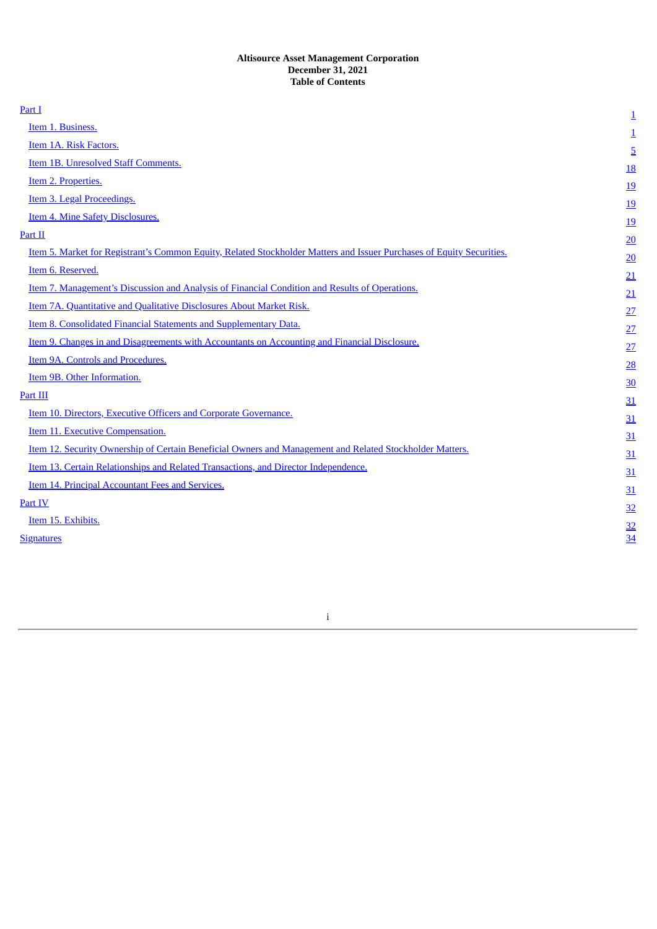| Part I                                                                                                                | $\overline{1}$  |
|-----------------------------------------------------------------------------------------------------------------------|-----------------|
| Item 1. Business.                                                                                                     | $\overline{1}$  |
| Item 1A. Risk Factors.                                                                                                | $\overline{5}$  |
| Item 1B. Unresolved Staff Comments.                                                                                   | <u>18</u>       |
| Item 2. Properties.                                                                                                   | <u>19</u>       |
| Item 3. Legal Proceedings.                                                                                            | <u>19</u>       |
| Item 4. Mine Safety Disclosures.                                                                                      | <u>19</u>       |
| Part II                                                                                                               | 20              |
| Item 5. Market for Registrant's Common Equity, Related Stockholder Matters and Issuer Purchases of Equity Securities. | 20              |
| Item 6. Reserved.                                                                                                     | 21              |
| Item 7. Management's Discussion and Analysis of Financial Condition and Results of Operations.                        | 21              |
| Item 7A. Quantitative and Qualitative Disclosures About Market Risk.                                                  | 27              |
| Item 8. Consolidated Financial Statements and Supplementary Data.                                                     |                 |
| Item 9. Changes in and Disagreements with Accountants on Accounting and Financial Disclosure.                         | 27              |
| Item 9A. Controls and Procedures.                                                                                     | 27              |
| Item 9B. Other Information.                                                                                           | 28              |
| Part III                                                                                                              | 30              |
| Item 10. Directors, Executive Officers and Corporate Governance.                                                      | 31              |
| Item 11. Executive Compensation.                                                                                      | 31              |
| Item 12. Security Ownership of Certain Beneficial Owners and Management and Related Stockholder Matters.              | 31              |
| Item 13. Certain Relationships and Related Transactions, and Director Independence.                                   | 31              |
|                                                                                                                       | 31              |
| Item 14. Principal Accountant Fees and Services.                                                                      | 31              |
| Part IV                                                                                                               | 32              |
| Item 15. Exhibits.                                                                                                    | 32              |
| <b>Signatures</b>                                                                                                     | $\overline{34}$ |
|                                                                                                                       |                 |

# i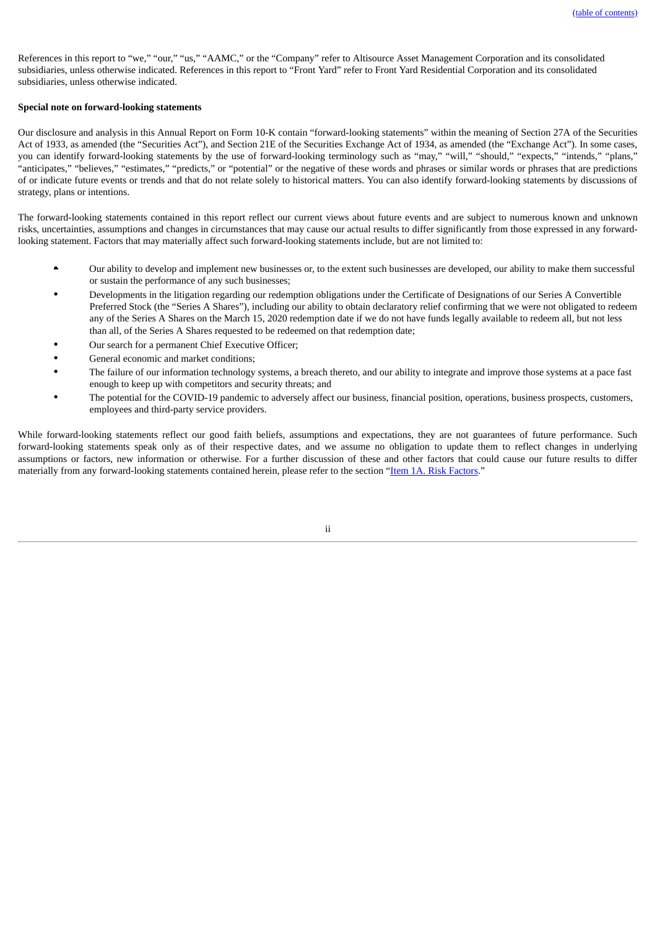References in this report to "we," "our," "us," "AAMC," or the "Company" refer to Altisource Asset Management Corporation and its consolidated subsidiaries, unless otherwise indicated. References in this report to "Front Yard" refer to Front Yard Residential Corporation and its consolidated subsidiaries, unless otherwise indicated.

## **Special note on forward-looking statements**

Our disclosure and analysis in this Annual Report on Form 10-K contain "forward-looking statements" within the meaning of Section 27A of the Securities Act of 1933, as amended (the "Securities Act"), and Section 21E of the Securities Exchange Act of 1934, as amended (the "Exchange Act"). In some cases, you can identify forward-looking statements by the use of forward-looking terminology such as "may," "will," "should," "expects," "intends," "plans," "anticipates," "believes," "estimates," "predicts," or "potential" or the negative of these words and phrases or similar words or phrases that are predictions of or indicate future events or trends and that do not relate solely to historical matters. You can also identify forward-looking statements by discussions of strategy, plans or intentions.

The forward-looking statements contained in this report reflect our current views about future events and are subject to numerous known and unknown risks, uncertainties, assumptions and changes in circumstances that may cause our actual results to differ significantly from those expressed in any forwardlooking statement. Factors that may materially affect such forward-looking statements include, but are not limited to:

- Our ability to develop and implement new businesses or, to the extent such businesses are developed, our ability to make them successful or sustain the performance of any such businesses;
- Developments in the litigation regarding our redemption obligations under the Certificate of Designations of our Series A Convertible Preferred Stock (the "Series A Shares"), including our ability to obtain declaratory relief confirming that we were not obligated to redeem any of the Series A Shares on the March 15, 2020 redemption date if we do not have funds legally available to redeem all, but not less than all, of the Series A Shares requested to be redeemed on that redemption date;
- Our search for a permanent Chief Executive Officer;
- General economic and market conditions;
- The failure of our information technology systems, a breach thereto, and our ability to integrate and improve those systems at a pace fast enough to keep up with competitors and security threats; and
- The potential for the COVID-19 pandemic to adversely affect our business, financial position, operations, business prospects, customers, employees and third-party service providers.

<span id="page-3-0"></span>While forward-looking statements reflect our good faith beliefs, assumptions and expectations, they are not guarantees of future performance. Such forward-looking statements speak only as of their respective dates, and we assume no obligation to update them to reflect changes in underlying assumptions or factors, new information or otherwise. For a further discussion of these and other factors that could cause our future results to differ materially from any forward-looking statements contained herein, please refer to the section "Item 1A. Risk [Factors.](#page-7-0)"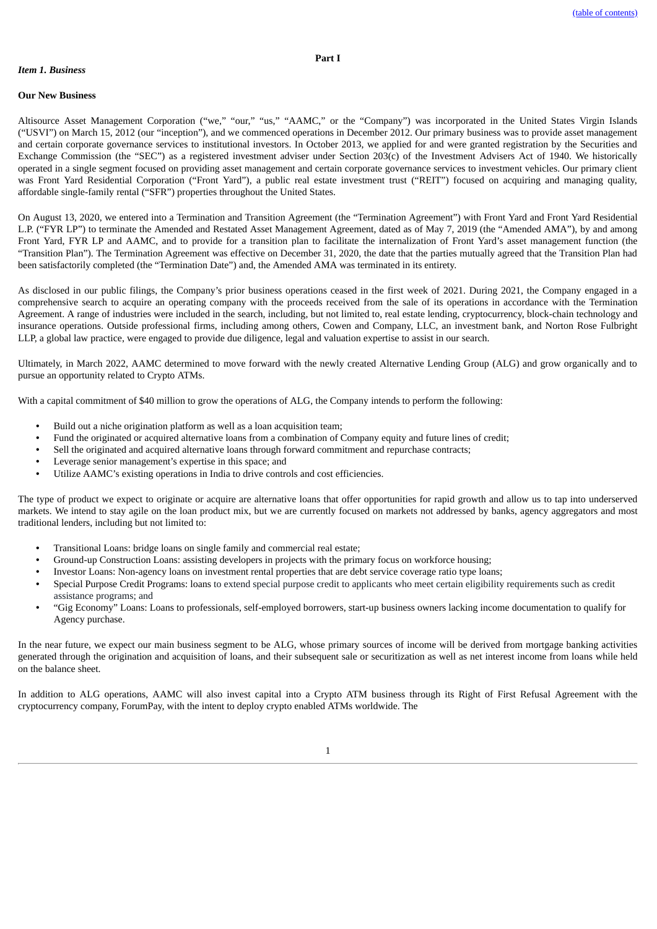#### <span id="page-4-0"></span>*Item 1. Business*

#### **Our New Business**

Altisource Asset Management Corporation ("we," "our," "us," "AAMC," or the "Company") was incorporated in the United States Virgin Islands ("USVI") on March 15, 2012 (our "inception"), and we commenced operations in December 2012. Our primary business was to provide asset management and certain corporate governance services to institutional investors. In October 2013, we applied for and were granted registration by the Securities and Exchange Commission (the "SEC") as a registered investment adviser under Section 203(c) of the Investment Advisers Act of 1940. We historically operated in a single segment focused on providing asset management and certain corporate governance services to investment vehicles. Our primary client was Front Yard Residential Corporation ("Front Yard"), a public real estate investment trust ("REIT") focused on acquiring and managing quality, affordable single-family rental ("SFR") properties throughout the United States.

On August 13, 2020, we entered into a Termination and Transition Agreement (the "Termination Agreement") with Front Yard and Front Yard Residential L.P. ("FYR LP") to terminate the Amended and Restated Asset Management Agreement, dated as of May 7, 2019 (the "Amended AMA"), by and among Front Yard, FYR LP and AAMC, and to provide for a transition plan to facilitate the internalization of Front Yard's asset management function (the "Transition Plan"). The Termination Agreement was effective on December 31, 2020, the date that the parties mutually agreed that the Transition Plan had been satisfactorily completed (the "Termination Date") and, the Amended AMA was terminated in its entirety.

As disclosed in our public filings, the Company's prior business operations ceased in the first week of 2021. During 2021, the Company engaged in a comprehensive search to acquire an operating company with the proceeds received from the sale of its operations in accordance with the Termination Agreement. A range of industries were included in the search, including, but not limited to, real estate lending, cryptocurrency, block-chain technology and insurance operations. Outside professional firms, including among others, Cowen and Company, LLC, an investment bank, and Norton Rose Fulbright LLP, a global law practice, were engaged to provide due diligence, legal and valuation expertise to assist in our search.

Ultimately, in March 2022, AAMC determined to move forward with the newly created Alternative Lending Group (ALG) and grow organically and to pursue an opportunity related to Crypto ATMs.

With a capital commitment of \$40 million to grow the operations of ALG, the Company intends to perform the following:

- Build out a niche origination platform as well as a loan acquisition team;
- Fund the originated or acquired alternative loans from a combination of Company equity and future lines of credit;
- Sell the originated and acquired alternative loans through forward commitment and repurchase contracts;
- Leverage senior management's expertise in this space; and
- Utilize AAMC's existing operations in India to drive controls and cost efficiencies.

The type of product we expect to originate or acquire are alternative loans that offer opportunities for rapid growth and allow us to tap into underserved markets. We intend to stay agile on the loan product mix, but we are currently focused on markets not addressed by banks, agency aggregators and most traditional lenders, including but not limited to:

- Transitional Loans: bridge loans on single family and commercial real estate;
- Ground-up Construction Loans: assisting developers in projects with the primary focus on workforce housing;
- Investor Loans: Non-agency loans on investment rental properties that are debt service coverage ratio type loans;
- Special Purpose Credit Programs: loans to extend special purpose credit to applicants who meet certain eligibility requirements such as credit assistance programs; and
- "Gig Economy" Loans: Loans to professionals, self-employed borrowers, start-up business owners lacking income documentation to qualify for Agency purchase.

In the near future, we expect our main business segment to be ALG, whose primary sources of income will be derived from mortgage banking activities generated through the origination and acquisition of loans, and their subsequent sale or securitization as well as net interest income from loans while held on the balance sheet.

In addition to ALG operations, AAMC will also invest capital into a Crypto ATM business through its Right of First Refusal Agreement with the cryptocurrency company, ForumPay, with the intent to deploy crypto enabled ATMs worldwide. The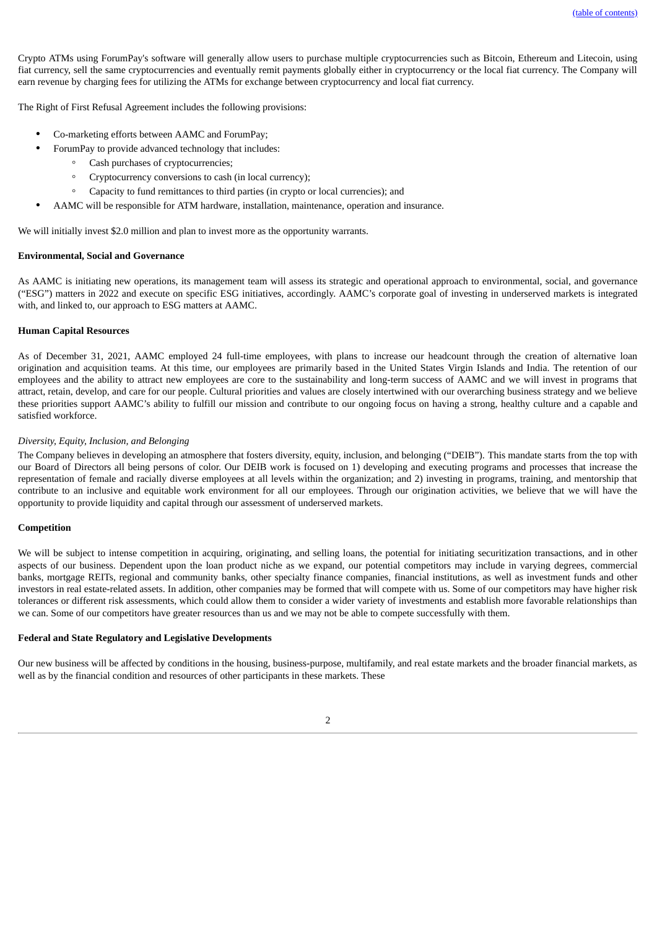Crypto ATMs using ForumPay's software will generally allow users to purchase multiple cryptocurrencies such as Bitcoin, Ethereum and Litecoin, using fiat currency, sell the same cryptocurrencies and eventually remit payments globally either in cryptocurrency or the local fiat currency. The Company will earn revenue by charging fees for utilizing the ATMs for exchange between cryptocurrency and local fiat currency.

The Right of First Refusal Agreement includes the following provisions:

- Co-marketing efforts between AAMC and ForumPay;
	- ForumPay to provide advanced technology that includes:
		- Cash purchases of cryptocurrencies;
		- Cryptocurrency conversions to cash (in local currency);
		- Capacity to fund remittances to third parties (in crypto or local currencies); and
	- AAMC will be responsible for ATM hardware, installation, maintenance, operation and insurance.

We will initially invest \$2.0 million and plan to invest more as the opportunity warrants.

## **Environmental, Social and Governance**

As AAMC is initiating new operations, its management team will assess its strategic and operational approach to environmental, social, and governance ("ESG") matters in 2022 and execute on specific ESG initiatives, accordingly. AAMC's corporate goal of investing in underserved markets is integrated with, and linked to, our approach to ESG matters at AAMC.

## **Human Capital Resources**

As of December 31, 2021, AAMC employed 24 full-time employees, with plans to increase our headcount through the creation of alternative loan origination and acquisition teams. At this time, our employees are primarily based in the United States Virgin Islands and India. The retention of our employees and the ability to attract new employees are core to the sustainability and long-term success of AAMC and we will invest in programs that attract, retain, develop, and care for our people. Cultural priorities and values are closely intertwined with our overarching business strategy and we believe these priorities support AAMC's ability to fulfill our mission and contribute to our ongoing focus on having a strong, healthy culture and a capable and satisfied workforce.

# *Diversity, Equity, Inclusion, and Belonging*

The Company believes in developing an atmosphere that fosters diversity, equity, inclusion, and belonging ("DEIB"). This mandate starts from the top with our Board of Directors all being persons of color. Our DEIB work is focused on 1) developing and executing programs and processes that increase the representation of female and racially diverse employees at all levels within the organization; and 2) investing in programs, training, and mentorship that contribute to an inclusive and equitable work environment for all our employees. Through our origination activities, we believe that we will have the opportunity to provide liquidity and capital through our assessment of underserved markets.

# **Competition**

We will be subject to intense competition in acquiring, originating, and selling loans, the potential for initiating securitization transactions, and in other aspects of our business. Dependent upon the loan product niche as we expand, our potential competitors may include in varying degrees, commercial banks, mortgage REITs, regional and community banks, other specialty finance companies, financial institutions, as well as investment funds and other investors in real estate-related assets. In addition, other companies may be formed that will compete with us. Some of our competitors may have higher risk tolerances or different risk assessments, which could allow them to consider a wider variety of investments and establish more favorable relationships than we can. Some of our competitors have greater resources than us and we may not be able to compete successfully with them.

## **Federal and State Regulatory and Legislative Developments**

Our new business will be affected by conditions in the housing, business-purpose, multifamily, and real estate markets and the broader financial markets, as well as by the financial condition and resources of other participants in these markets. These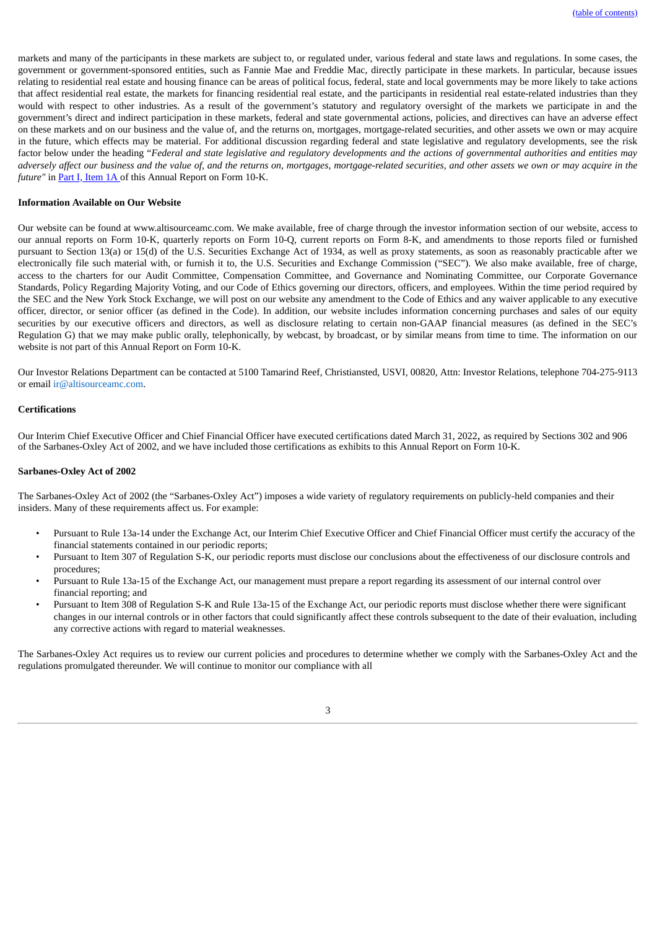markets and many of the participants in these markets are subject to, or regulated under, various federal and state laws and regulations. In some cases, the government or government-sponsored entities, such as Fannie Mae and Freddie Mac, directly participate in these markets. In particular, because issues relating to residential real estate and housing finance can be areas of political focus, federal, state and local governments may be more likely to take actions that affect residential real estate, the markets for financing residential real estate, and the participants in residential real estate-related industries than they would with respect to other industries. As a result of the government's statutory and regulatory oversight of the markets we participate in and the government's direct and indirect participation in these markets, federal and state governmental actions, policies, and directives can have an adverse effect on these markets and on our business and the value of, and the returns on, mortgages, mortgage-related securities, and other assets we own or may acquire in the future, which effects may be material. For additional discussion regarding federal and state legislative and regulatory developments, see the risk factor below under the heading "Federal and state legislative and requlatory developments and the actions of governmental authorities and entities may adversely affect our business and the value of, and the returns on, mortgages, mortgage-related securities, and other assets we own or may acquire in the *future"* in Part I, [Item](#page-7-0) 1A of this Annual Report on Form 10-K.

#### **Information Available on Our Website**

Our website can be found at www.altisourceamc.com. We make available, free of charge through the investor information section of our website, access to our annual reports on Form 10-K, quarterly reports on Form 10-Q, current reports on Form 8-K, and amendments to those reports filed or furnished pursuant to Section 13(a) or 15(d) of the U.S. Securities Exchange Act of 1934, as well as proxy statements, as soon as reasonably practicable after we electronically file such material with, or furnish it to, the U.S. Securities and Exchange Commission ("SEC"). We also make available, free of charge, access to the charters for our Audit Committee, Compensation Committee, and Governance and Nominating Committee, our Corporate Governance Standards, Policy Regarding Majority Voting, and our Code of Ethics governing our directors, officers, and employees. Within the time period required by the SEC and the New York Stock Exchange, we will post on our website any amendment to the Code of Ethics and any waiver applicable to any executive officer, director, or senior officer (as defined in the Code). In addition, our website includes information concerning purchases and sales of our equity securities by our executive officers and directors, as well as disclosure relating to certain non-GAAP financial measures (as defined in the SEC's Regulation G) that we may make public orally, telephonically, by webcast, by broadcast, or by similar means from time to time. The information on our website is not part of this Annual Report on Form 10-K.

Our Investor Relations Department can be contacted at 5100 Tamarind Reef, Christiansted, USVI, 00820, Attn: Investor Relations, telephone 704-275-9113 or email ir@altisourceamc.com.

# **Certifications**

Our Interim Chief Executive Officer and Chief Financial Officer have executed certifications dated March 31, 2022, as required by Sections 302 and 906 of the Sarbanes-Oxley Act of 2002, and we have included those certifications as exhibits to this Annual Report on Form 10-K.

#### **Sarbanes-Oxley Act of 2002**

The Sarbanes-Oxley Act of 2002 (the "Sarbanes-Oxley Act") imposes a wide variety of regulatory requirements on publicly-held companies and their insiders. Many of these requirements affect us. For example:

- Pursuant to Rule 13a-14 under the Exchange Act, our Interim Chief Executive Officer and Chief Financial Officer must certify the accuracy of the financial statements contained in our periodic reports;
- Pursuant to Item 307 of Regulation S-K, our periodic reports must disclose our conclusions about the effectiveness of our disclosure controls and procedures;
- Pursuant to Rule 13a-15 of the Exchange Act, our management must prepare a report regarding its assessment of our internal control over financial reporting; and
- Pursuant to Item 308 of Regulation S-K and Rule 13a-15 of the Exchange Act, our periodic reports must disclose whether there were significant changes in our internal controls or in other factors that could significantly affect these controls subsequent to the date of their evaluation, including any corrective actions with regard to material weaknesses.

The Sarbanes-Oxley Act requires us to review our current policies and procedures to determine whether we comply with the Sarbanes-Oxley Act and the regulations promulgated thereunder. We will continue to monitor our compliance with all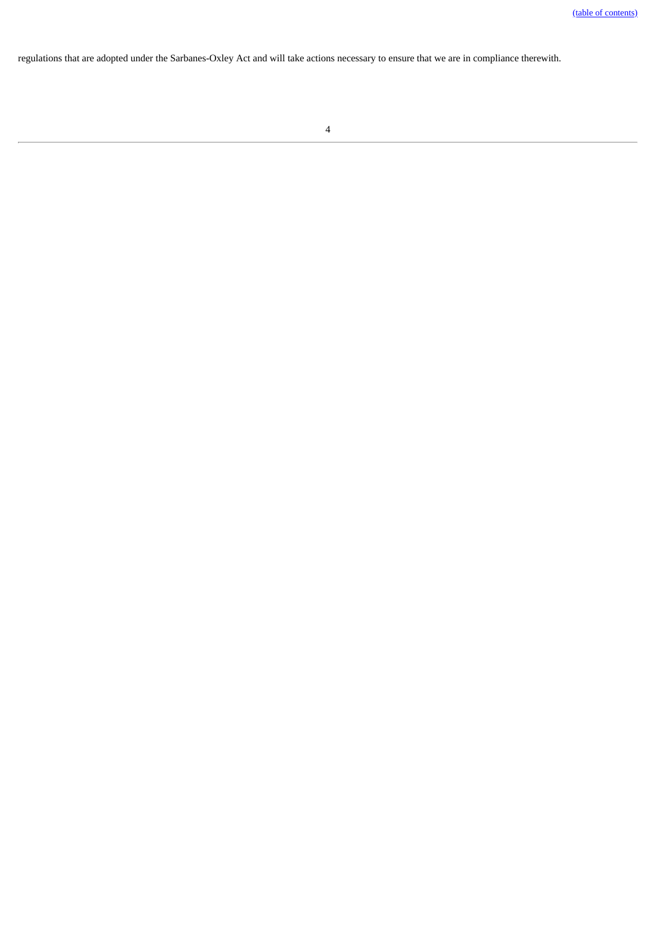<span id="page-7-0"></span>regulations that are adopted under the Sarbanes-Oxley Act and will take actions necessary to ensure that we are in compliance therewith.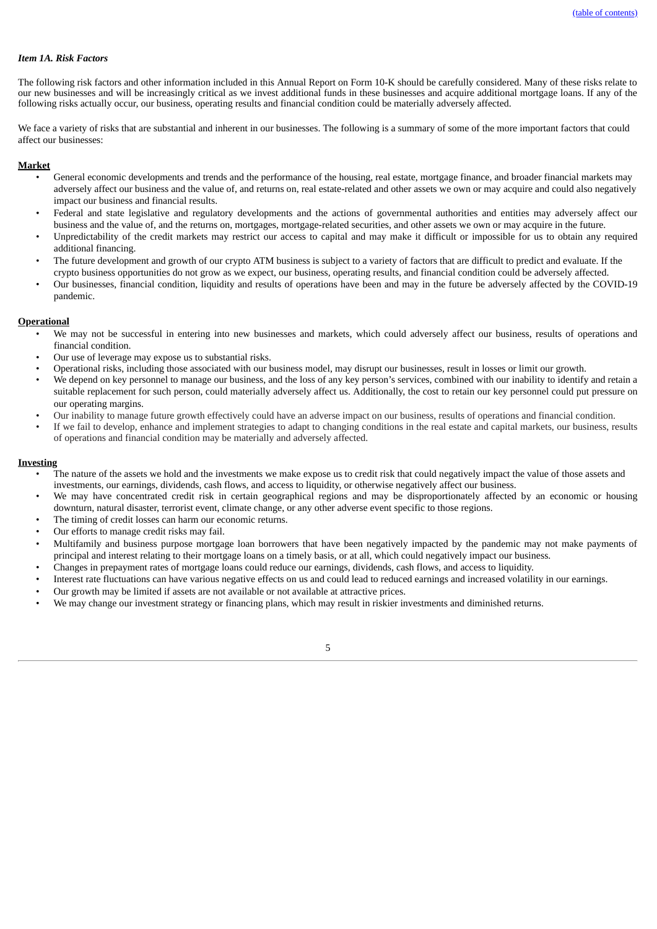## *Item 1A. Risk Factors*

The following risk factors and other information included in this Annual Report on Form 10-K should be carefully considered. Many of these risks relate to our new businesses and will be increasingly critical as we invest additional funds in these businesses and acquire additional mortgage loans. If any of the following risks actually occur, our business, operating results and financial condition could be materially adversely affected.

We face a variety of risks that are substantial and inherent in our businesses. The following is a summary of some of the more important factors that could affect our businesses:

#### **Market**

- General economic developments and trends and the performance of the housing, real estate, mortgage finance, and broader financial markets may adversely affect our business and the value of, and returns on, real estate-related and other assets we own or may acquire and could also negatively impact our business and financial results.
- Federal and state legislative and regulatory developments and the actions of governmental authorities and entities may adversely affect our business and the value of, and the returns on, mortgages, mortgage-related securities, and other assets we own or may acquire in the future.
- Unpredictability of the credit markets may restrict our access to capital and may make it difficult or impossible for us to obtain any required additional financing.
- The future development and growth of our crypto ATM business is subject to a variety of factors that are difficult to predict and evaluate. If the crypto business opportunities do not grow as we expect, our business, operating results, and financial condition could be adversely affected.
- Our businesses, financial condition, liquidity and results of operations have been and may in the future be adversely affected by the COVID-19 pandemic.

## **Operational**

- We may not be successful in entering into new businesses and markets, which could adversely affect our business, results of operations and financial condition.
- Our use of leverage may expose us to substantial risks.
- Operational risks, including those associated with our business model, may disrupt our businesses, result in losses or limit our growth.
- We depend on key personnel to manage our business, and the loss of any key person's services, combined with our inability to identify and retain a suitable replacement for such person, could materially adversely affect us. Additionally, the cost to retain our key personnel could put pressure on our operating margins.
- Our inability to manage future growth effectively could have an adverse impact on our business, results of operations and financial condition.
- If we fail to develop, enhance and implement strategies to adapt to changing conditions in the real estate and capital markets, our business, results of operations and financial condition may be materially and adversely affected.

#### **Investing**

- The nature of the assets we hold and the investments we make expose us to credit risk that could negatively impact the value of those assets and investments, our earnings, dividends, cash flows, and access to liquidity, or otherwise negatively affect our business.
- We may have concentrated credit risk in certain geographical regions and may be disproportionately affected by an economic or housing downturn, natural disaster, terrorist event, climate change, or any other adverse event specific to those regions.
- The timing of credit losses can harm our economic returns.
- Our efforts to manage credit risks may fail.
- Multifamily and business purpose mortgage loan borrowers that have been negatively impacted by the pandemic may not make payments of principal and interest relating to their mortgage loans on a timely basis, or at all, which could negatively impact our business.
- Changes in prepayment rates of mortgage loans could reduce our earnings, dividends, cash flows, and access to liquidity.
- Interest rate fluctuations can have various negative effects on us and could lead to reduced earnings and increased volatility in our earnings.

5

- Our growth may be limited if assets are not available or not available at attractive prices.
- We may change our investment strategy or financing plans, which may result in riskier investments and diminished returns.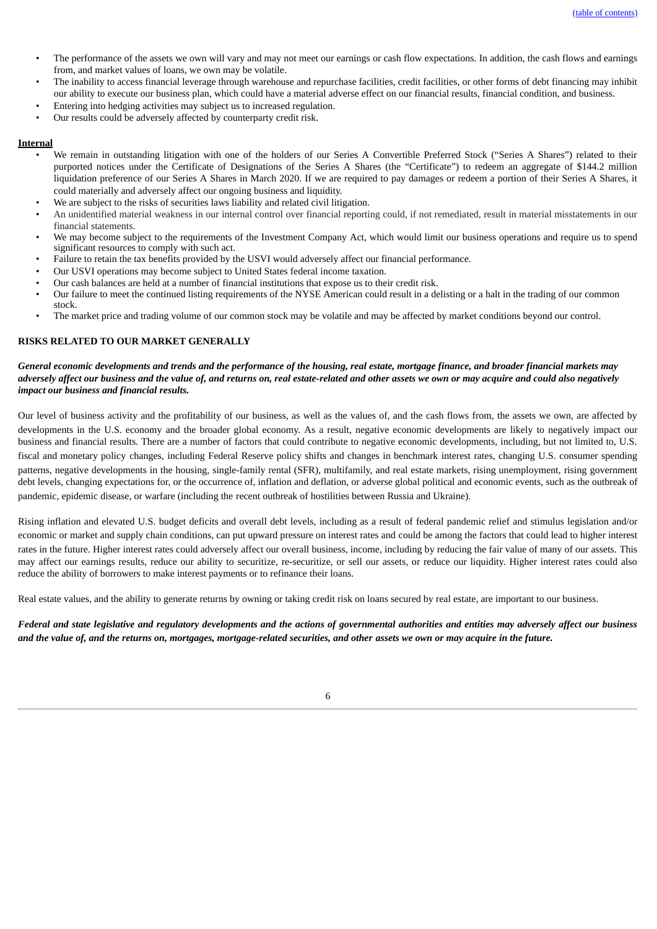- The performance of the assets we own will vary and may not meet our earnings or cash flow expectations. In addition, the cash flows and earnings from, and market values of loans, we own may be volatile.
- The inability to access financial leverage through warehouse and repurchase facilities, credit facilities, or other forms of debt financing may inhibit our ability to execute our business plan, which could have a material adverse effect on our financial results, financial condition, and business.
- Entering into hedging activities may subject us to increased regulation.
- Our results could be adversely affected by counterparty credit risk.

# **Internal**

- We remain in outstanding litigation with one of the holders of our Series A Convertible Preferred Stock ("Series A Shares") related to their purported notices under the Certificate of Designations of the Series A Shares (the "Certificate") to redeem an aggregate of \$144.2 million liquidation preference of our Series A Shares in March 2020. If we are required to pay damages or redeem a portion of their Series A Shares, it could materially and adversely affect our ongoing business and liquidity.
- We are subject to the risks of securities laws liability and related civil litigation.
- An unidentified material weakness in our internal control over financial reporting could, if not remediated, result in material misstatements in our financial statements.
- We may become subject to the requirements of the Investment Company Act, which would limit our business operations and require us to spend significant resources to comply with such act.
- Failure to retain the tax benefits provided by the USVI would adversely affect our financial performance.
- Our USVI operations may become subject to United States federal income taxation.
- Our cash balances are held at a number of financial institutions that expose us to their credit risk.
- Our failure to meet the continued listing requirements of the NYSE American could result in a delisting or a halt in the trading of our common stock.
- The market price and trading volume of our common stock may be volatile and may be affected by market conditions beyond our control.

## **RISKS RELATED TO OUR MARKET GENERALLY**

General economic developments and trends and the performance of the housing, real estate, mortgage finance, and broader financial markets may adversely affect our business and the value of, and returns on, real estate-related and other assets we own or may acquire and could also negatively *impact our business and financial results.*

Our level of business activity and the profitability of our business, as well as the values of, and the cash flows from, the assets we own, are affected by developments in the U.S. economy and the broader global economy. As a result, negative economic developments are likely to negatively impact our business and financial results. There are a number of factors that could contribute to negative economic developments, including, but not limited to, U.S. fiscal and monetary policy changes, including Federal Reserve policy shifts and changes in benchmark interest rates, changing U.S. consumer spending patterns, negative developments in the housing, single-family rental (SFR), multifamily, and real estate markets, rising unemployment, rising government debt levels, changing expectations for, or the occurrence of, inflation and deflation, or adverse global political and economic events, such as the outbreak of pandemic, epidemic disease, or warfare (including the recent outbreak of hostilities between Russia and Ukraine).

Rising inflation and elevated U.S. budget deficits and overall debt levels, including as a result of federal pandemic relief and stimulus legislation and/or economic or market and supply chain conditions, can put upward pressure on interest rates and could be among the factors that could lead to higher interest rates in the future. Higher interest rates could adversely affect our overall business, income, including by reducing the fair value of many of our assets. This may affect our earnings results, reduce our ability to securitize, re-securitize, or sell our assets, or reduce our liquidity. Higher interest rates could also reduce the ability of borrowers to make interest payments or to refinance their loans.

Real estate values, and the ability to generate returns by owning or taking credit risk on loans secured by real estate, are important to our business.

Federal and state legislative and regulatory developments and the actions of governmental authorities and entities may adversely affect our business and the value of, and the returns on, mortgages, mortgage-related securities, and other assets we own or may acquire in the future.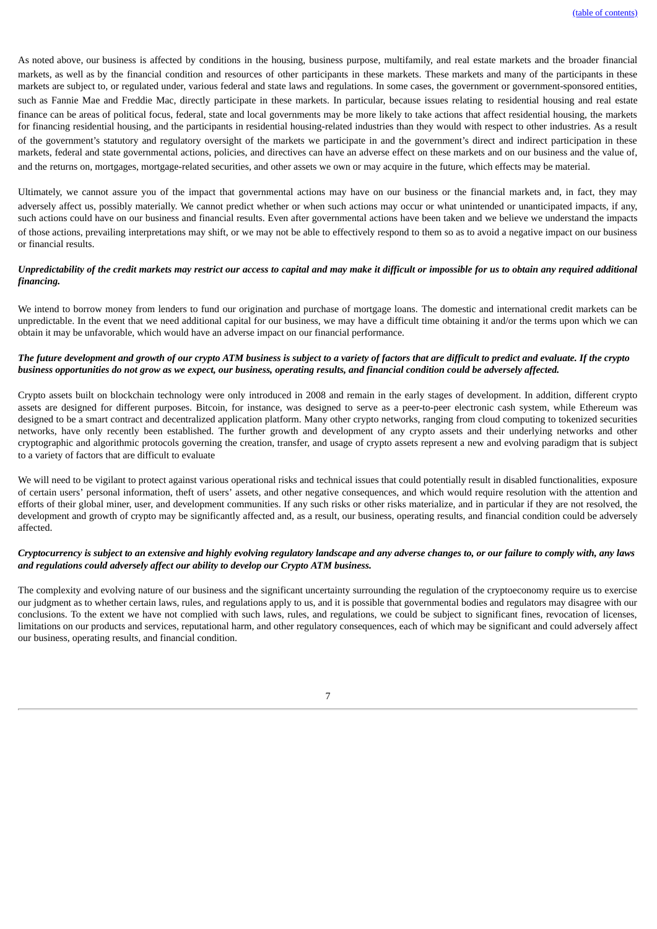As noted above, our business is affected by conditions in the housing, business purpose, multifamily, and real estate markets and the broader financial markets, as well as by the financial condition and resources of other participants in these markets. These markets and many of the participants in these markets are subject to, or regulated under, various federal and state laws and regulations. In some cases, the government or government-sponsored entities, such as Fannie Mae and Freddie Mac, directly participate in these markets. In particular, because issues relating to residential housing and real estate finance can be areas of political focus, federal, state and local governments may be more likely to take actions that affect residential housing, the markets for financing residential housing, and the participants in residential housing-related industries than they would with respect to other industries. As a result of the government's statutory and regulatory oversight of the markets we participate in and the government's direct and indirect participation in these markets, federal and state governmental actions, policies, and directives can have an adverse effect on these markets and on our business and the value of, and the returns on, mortgages, mortgage-related securities, and other assets we own or may acquire in the future, which effects may be material.

Ultimately, we cannot assure you of the impact that governmental actions may have on our business or the financial markets and, in fact, they may adversely affect us, possibly materially. We cannot predict whether or when such actions may occur or what unintended or unanticipated impacts, if any, such actions could have on our business and financial results. Even after governmental actions have been taken and we believe we understand the impacts of those actions, prevailing interpretations may shift, or we may not be able to effectively respond to them so as to avoid a negative impact on our business or financial results.

# Unpredictability of the credit markets may restrict our access to capital and may make it difficult or impossible for us to obtain any required additional *financing.*

We intend to borrow money from lenders to fund our origination and purchase of mortgage loans. The domestic and international credit markets can be unpredictable. In the event that we need additional capital for our business, we may have a difficult time obtaining it and/or the terms upon which we can obtain it may be unfavorable, which would have an adverse impact on our financial performance.

# The future development and growth of our crypto ATM business is subject to a variety of factors that are difficult to predict and evaluate. If the crypto business opportunities do not grow as we expect, our business, operating results, and financial condition could be adversely affected.

Crypto assets built on blockchain technology were only introduced in 2008 and remain in the early stages of development. In addition, different crypto assets are designed for different purposes. Bitcoin, for instance, was designed to serve as a peer-to-peer electronic cash system, while Ethereum was designed to be a smart contract and decentralized application platform. Many other crypto networks, ranging from cloud computing to tokenized securities networks, have only recently been established. The further growth and development of any crypto assets and their underlying networks and other cryptographic and algorithmic protocols governing the creation, transfer, and usage of crypto assets represent a new and evolving paradigm that is subject to a variety of factors that are difficult to evaluate

We will need to be vigilant to protect against various operational risks and technical issues that could potentially result in disabled functionalities, exposure of certain users' personal information, theft of users' assets, and other negative consequences, and which would require resolution with the attention and efforts of their global miner, user, and development communities. If any such risks or other risks materialize, and in particular if they are not resolved, the development and growth of crypto may be significantly affected and, as a result, our business, operating results, and financial condition could be adversely affected.

# Cryptocurrency is subject to an extensive and highly evolving regulatory landscape and any adverse changes to, or our failure to comply with, any laws *and regulations could adversely affect our ability to develop our Crypto ATM business.*

The complexity and evolving nature of our business and the significant uncertainty surrounding the regulation of the cryptoeconomy require us to exercise our judgment as to whether certain laws, rules, and regulations apply to us, and it is possible that governmental bodies and regulators may disagree with our conclusions. To the extent we have not complied with such laws, rules, and regulations, we could be subject to significant fines, revocation of licenses, limitations on our products and services, reputational harm, and other regulatory consequences, each of which may be significant and could adversely affect our business, operating results, and financial condition.

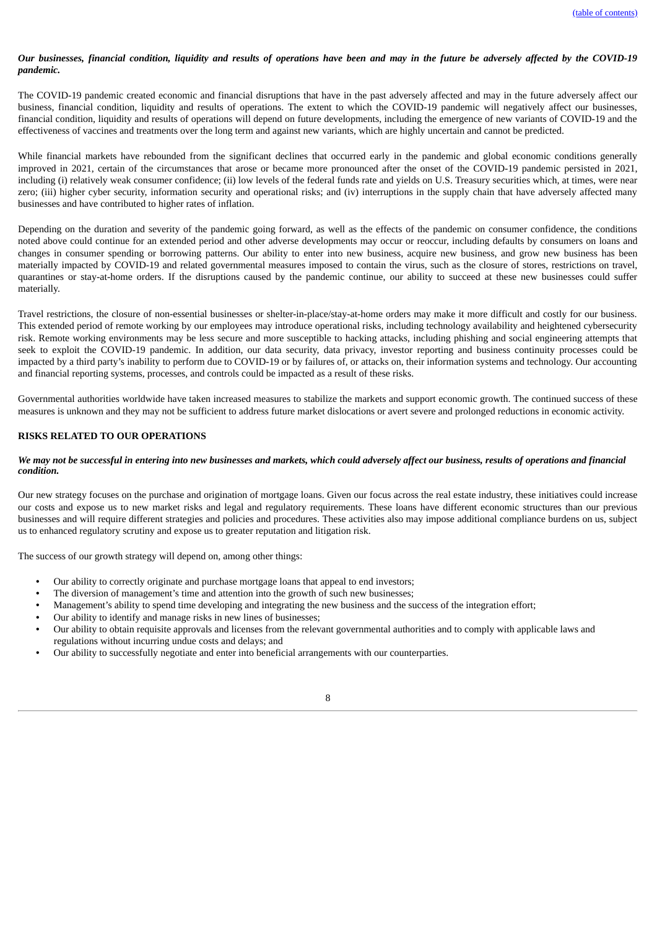# Our businesses, financial condition, liquidity and results of operations have been and may in the future be adversely affected by the COVID-19 *pandemic.*

The COVID-19 pandemic created economic and financial disruptions that have in the past adversely affected and may in the future adversely affect our business, financial condition, liquidity and results of operations. The extent to which the COVID-19 pandemic will negatively affect our businesses, financial condition, liquidity and results of operations will depend on future developments, including the emergence of new variants of COVID-19 and the effectiveness of vaccines and treatments over the long term and against new variants, which are highly uncertain and cannot be predicted.

While financial markets have rebounded from the significant declines that occurred early in the pandemic and global economic conditions generally improved in 2021, certain of the circumstances that arose or became more pronounced after the onset of the COVID-19 pandemic persisted in 2021, including (i) relatively weak consumer confidence; (ii) low levels of the federal funds rate and yields on U.S. Treasury securities which, at times, were near zero; (iii) higher cyber security, information security and operational risks; and (iv) interruptions in the supply chain that have adversely affected many businesses and have contributed to higher rates of inflation.

Depending on the duration and severity of the pandemic going forward, as well as the effects of the pandemic on consumer confidence, the conditions noted above could continue for an extended period and other adverse developments may occur or reoccur, including defaults by consumers on loans and changes in consumer spending or borrowing patterns. Our ability to enter into new business, acquire new business, and grow new business has been materially impacted by COVID-19 and related governmental measures imposed to contain the virus, such as the closure of stores, restrictions on travel, quarantines or stay-at-home orders. If the disruptions caused by the pandemic continue, our ability to succeed at these new businesses could suffer materially.

Travel restrictions, the closure of non-essential businesses or shelter-in-place/stay-at-home orders may make it more difficult and costly for our business. This extended period of remote working by our employees may introduce operational risks, including technology availability and heightened cybersecurity risk. Remote working environments may be less secure and more susceptible to hacking attacks, including phishing and social engineering attempts that seek to exploit the COVID-19 pandemic. In addition, our data security, data privacy, investor reporting and business continuity processes could be impacted by a third party's inability to perform due to COVID-19 or by failures of, or attacks on, their information systems and technology. Our accounting and financial reporting systems, processes, and controls could be impacted as a result of these risks.

Governmental authorities worldwide have taken increased measures to stabilize the markets and support economic growth. The continued success of these measures is unknown and they may not be sufficient to address future market dislocations or avert severe and prolonged reductions in economic activity.

# **RISKS RELATED TO OUR OPERATIONS**

## We may not be successful in entering into new businesses and markets, which could adversely affect our business, results of operations and financial *condition.*

Our new strategy focuses on the purchase and origination of mortgage loans. Given our focus across the real estate industry, these initiatives could increase our costs and expose us to new market risks and legal and regulatory requirements. These loans have different economic structures than our previous businesses and will require different strategies and policies and procedures. These activities also may impose additional compliance burdens on us, subject us to enhanced regulatory scrutiny and expose us to greater reputation and litigation risk.

The success of our growth strategy will depend on, among other things:

- Our ability to correctly originate and purchase mortgage loans that appeal to end investors;
- The diversion of management's time and attention into the growth of such new businesses;
- Management's ability to spend time developing and integrating the new business and the success of the integration effort;
- Our ability to identify and manage risks in new lines of businesses;
- Our ability to obtain requisite approvals and licenses from the relevant governmental authorities and to comply with applicable laws and regulations without incurring undue costs and delays; and
- Our ability to successfully negotiate and enter into beneficial arrangements with our counterparties.

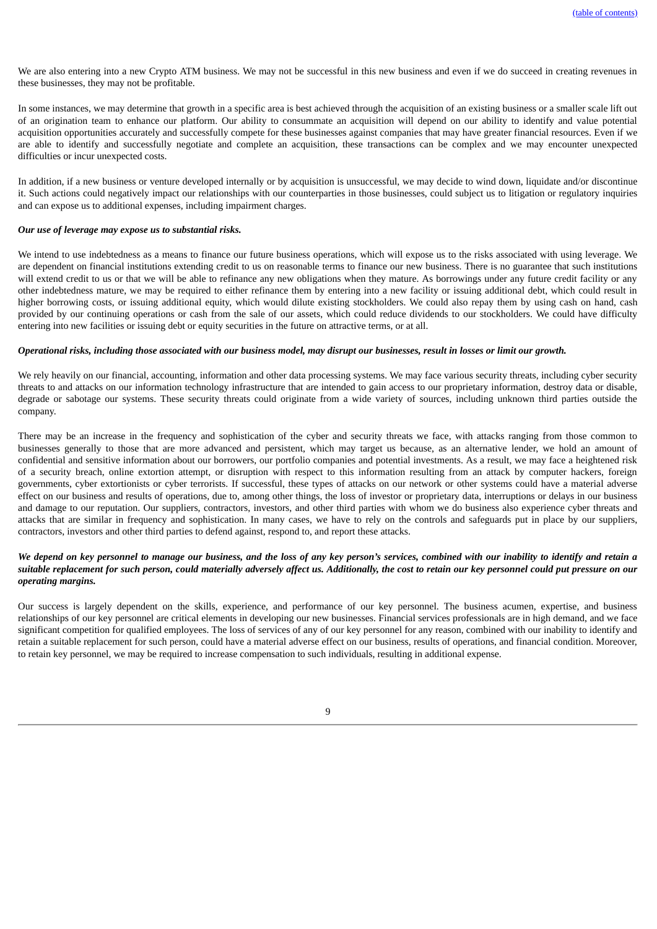We are also entering into a new Crypto ATM business. We may not be successful in this new business and even if we do succeed in creating revenues in these businesses, they may not be profitable.

In some instances, we may determine that growth in a specific area is best achieved through the acquisition of an existing business or a smaller scale lift out of an origination team to enhance our platform. Our ability to consummate an acquisition will depend on our ability to identify and value potential acquisition opportunities accurately and successfully compete for these businesses against companies that may have greater financial resources. Even if we are able to identify and successfully negotiate and complete an acquisition, these transactions can be complex and we may encounter unexpected difficulties or incur unexpected costs.

In addition, if a new business or venture developed internally or by acquisition is unsuccessful, we may decide to wind down, liquidate and/or discontinue it. Such actions could negatively impact our relationships with our counterparties in those businesses, could subject us to litigation or regulatory inquiries and can expose us to additional expenses, including impairment charges.

#### *Our use of leverage may expose us to substantial risks.*

We intend to use indebtedness as a means to finance our future business operations, which will expose us to the risks associated with using leverage. We are dependent on financial institutions extending credit to us on reasonable terms to finance our new business. There is no guarantee that such institutions will extend credit to us or that we will be able to refinance any new obligations when they mature. As borrowings under any future credit facility or any other indebtedness mature, we may be required to either refinance them by entering into a new facility or issuing additional debt, which could result in higher borrowing costs, or issuing additional equity, which would dilute existing stockholders. We could also repay them by using cash on hand, cash provided by our continuing operations or cash from the sale of our assets, which could reduce dividends to our stockholders. We could have difficulty entering into new facilities or issuing debt or equity securities in the future on attractive terms, or at all.

## Operational risks, including those associated with our business model, may disrupt our businesses, result in losses or limit our growth.

We rely heavily on our financial, accounting, information and other data processing systems. We may face various security threats, including cyber security threats to and attacks on our information technology infrastructure that are intended to gain access to our proprietary information, destroy data or disable, degrade or sabotage our systems. These security threats could originate from a wide variety of sources, including unknown third parties outside the company.

There may be an increase in the frequency and sophistication of the cyber and security threats we face, with attacks ranging from those common to businesses generally to those that are more advanced and persistent, which may target us because, as an alternative lender, we hold an amount of confidential and sensitive information about our borrowers, our portfolio companies and potential investments. As a result, we may face a heightened risk of a security breach, online extortion attempt, or disruption with respect to this information resulting from an attack by computer hackers, foreign governments, cyber extortionists or cyber terrorists. If successful, these types of attacks on our network or other systems could have a material adverse effect on our business and results of operations, due to, among other things, the loss of investor or proprietary data, interruptions or delays in our business and damage to our reputation. Our suppliers, contractors, investors, and other third parties with whom we do business also experience cyber threats and attacks that are similar in frequency and sophistication. In many cases, we have to rely on the controls and safeguards put in place by our suppliers, contractors, investors and other third parties to defend against, respond to, and report these attacks.

# We depend on key personnel to manage our business, and the loss of any key person's services, combined with our inability to identify and retain a suitable replacement for such person, could materially adversely affect us. Additionally, the cost to retain our key personnel could put pressure on our *operating margins.*

Our success is largely dependent on the skills, experience, and performance of our key personnel. The business acumen, expertise, and business relationships of our key personnel are critical elements in developing our new businesses. Financial services professionals are in high demand, and we face significant competition for qualified employees. The loss of services of any of our key personnel for any reason, combined with our inability to identify and retain a suitable replacement for such person, could have a material adverse effect on our business, results of operations, and financial condition. Moreover, to retain key personnel, we may be required to increase compensation to such individuals, resulting in additional expense.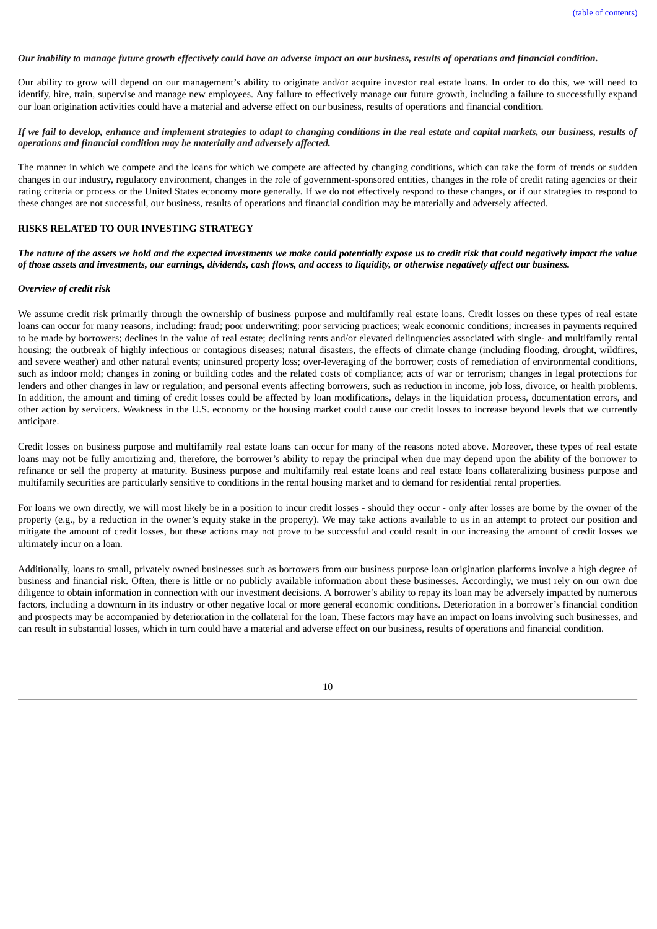Our inability to manage future growth effectively could have an adverse impact on our business, results of operations and financial condition.

Our ability to grow will depend on our management's ability to originate and/or acquire investor real estate loans. In order to do this, we will need to identify, hire, train, supervise and manage new employees. Any failure to effectively manage our future growth, including a failure to successfully expand our loan origination activities could have a material and adverse effect on our business, results of operations and financial condition.

## If we fail to develop, enhance and implement strategies to adapt to changing conditions in the real estate and capital markets, our business, results of *operations and financial condition may be materially and adversely affected.*

The manner in which we compete and the loans for which we compete are affected by changing conditions, which can take the form of trends or sudden changes in our industry, regulatory environment, changes in the role of government-sponsored entities, changes in the role of credit rating agencies or their rating criteria or process or the United States economy more generally. If we do not effectively respond to these changes, or if our strategies to respond to these changes are not successful, our business, results of operations and financial condition may be materially and adversely affected.

# **RISKS RELATED TO OUR INVESTING STRATEGY**

## The nature of the assets we hold and the expected investments we make could potentially expose us to credit risk that could negatively impact the value of those assets and investments, our earnings, dividends, cash flows, and access to liquidity, or otherwise negatively affect our business.

## *Overview of credit risk*

We assume credit risk primarily through the ownership of business purpose and multifamily real estate loans. Credit losses on these types of real estate loans can occur for many reasons, including: fraud; poor underwriting; poor servicing practices; weak economic conditions; increases in payments required to be made by borrowers; declines in the value of real estate; declining rents and/or elevated delinquencies associated with single- and multifamily rental housing; the outbreak of highly infectious or contagious diseases; natural disasters, the effects of climate change (including flooding, drought, wildfires, and severe weather) and other natural events; uninsured property loss; over-leveraging of the borrower; costs of remediation of environmental conditions, such as indoor mold; changes in zoning or building codes and the related costs of compliance; acts of war or terrorism; changes in legal protections for lenders and other changes in law or regulation; and personal events affecting borrowers, such as reduction in income, job loss, divorce, or health problems. In addition, the amount and timing of credit losses could be affected by loan modifications, delays in the liquidation process, documentation errors, and other action by servicers. Weakness in the U.S. economy or the housing market could cause our credit losses to increase beyond levels that we currently anticipate.

Credit losses on business purpose and multifamily real estate loans can occur for many of the reasons noted above. Moreover, these types of real estate loans may not be fully amortizing and, therefore, the borrower's ability to repay the principal when due may depend upon the ability of the borrower to refinance or sell the property at maturity. Business purpose and multifamily real estate loans and real estate loans collateralizing business purpose and multifamily securities are particularly sensitive to conditions in the rental housing market and to demand for residential rental properties.

For loans we own directly, we will most likely be in a position to incur credit losses - should they occur - only after losses are borne by the owner of the property (e.g., by a reduction in the owner's equity stake in the property). We may take actions available to us in an attempt to protect our position and mitigate the amount of credit losses, but these actions may not prove to be successful and could result in our increasing the amount of credit losses we ultimately incur on a loan.

Additionally, loans to small, privately owned businesses such as borrowers from our business purpose loan origination platforms involve a high degree of business and financial risk. Often, there is little or no publicly available information about these businesses. Accordingly, we must rely on our own due diligence to obtain information in connection with our investment decisions. A borrower's ability to repay its loan may be adversely impacted by numerous factors, including a downturn in its industry or other negative local or more general economic conditions. Deterioration in a borrower's financial condition and prospects may be accompanied by deterioration in the collateral for the loan. These factors may have an impact on loans involving such businesses, and can result in substantial losses, which in turn could have a material and adverse effect on our business, results of operations and financial condition.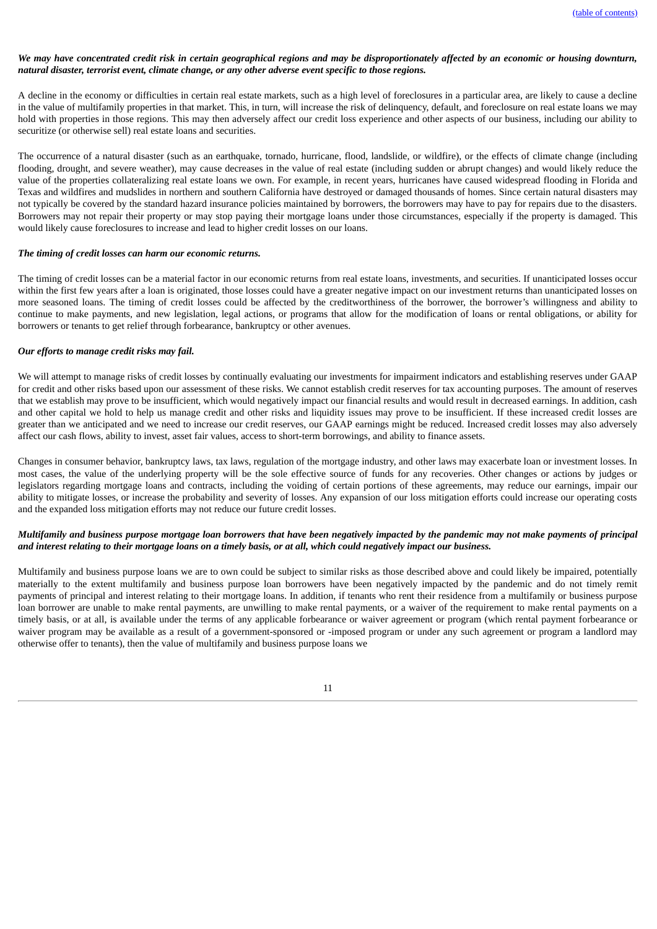# We may have concentrated credit risk in certain geographical regions and may be disproportionately affected by an economic or housing downturn, *natural disaster, terrorist event, climate change, or any other adverse event specific to those regions.*

A decline in the economy or difficulties in certain real estate markets, such as a high level of foreclosures in a particular area, are likely to cause a decline in the value of multifamily properties in that market. This, in turn, will increase the risk of delinquency, default, and foreclosure on real estate loans we may hold with properties in those regions. This may then adversely affect our credit loss experience and other aspects of our business, including our ability to securitize (or otherwise sell) real estate loans and securities.

The occurrence of a natural disaster (such as an earthquake, tornado, hurricane, flood, landslide, or wildfire), or the effects of climate change (including flooding, drought, and severe weather), may cause decreases in the value of real estate (including sudden or abrupt changes) and would likely reduce the value of the properties collateralizing real estate loans we own. For example, in recent years, hurricanes have caused widespread flooding in Florida and Texas and wildfires and mudslides in northern and southern California have destroyed or damaged thousands of homes. Since certain natural disasters may not typically be covered by the standard hazard insurance policies maintained by borrowers, the borrowers may have to pay for repairs due to the disasters. Borrowers may not repair their property or may stop paying their mortgage loans under those circumstances, especially if the property is damaged. This would likely cause foreclosures to increase and lead to higher credit losses on our loans.

## *The timing of credit losses can harm our economic returns.*

The timing of credit losses can be a material factor in our economic returns from real estate loans, investments, and securities. If unanticipated losses occur within the first few years after a loan is originated, those losses could have a greater negative impact on our investment returns than unanticipated losses on more seasoned loans. The timing of credit losses could be affected by the creditworthiness of the borrower, the borrower's willingness and ability to continue to make payments, and new legislation, legal actions, or programs that allow for the modification of loans or rental obligations, or ability for borrowers or tenants to get relief through forbearance, bankruptcy or other avenues.

#### *Our efforts to manage credit risks may fail.*

We will attempt to manage risks of credit losses by continually evaluating our investments for impairment indicators and establishing reserves under GAAP for credit and other risks based upon our assessment of these risks. We cannot establish credit reserves for tax accounting purposes. The amount of reserves that we establish may prove to be insufficient, which would negatively impact our financial results and would result in decreased earnings. In addition, cash and other capital we hold to help us manage credit and other risks and liquidity issues may prove to be insufficient. If these increased credit losses are greater than we anticipated and we need to increase our credit reserves, our GAAP earnings might be reduced. Increased credit losses may also adversely affect our cash flows, ability to invest, asset fair values, access to short-term borrowings, and ability to finance assets.

Changes in consumer behavior, bankruptcy laws, tax laws, regulation of the mortgage industry, and other laws may exacerbate loan or investment losses. In most cases, the value of the underlying property will be the sole effective source of funds for any recoveries. Other changes or actions by judges or legislators regarding mortgage loans and contracts, including the voiding of certain portions of these agreements, may reduce our earnings, impair our ability to mitigate losses, or increase the probability and severity of losses. Any expansion of our loss mitigation efforts could increase our operating costs and the expanded loss mitigation efforts may not reduce our future credit losses.

# Multifamily and business purpose mortgage loan borrowers that have been negatively impacted by the pandemic may not make payments of principal and interest relating to their mortgage loans on a timely basis, or at all, which could negatively impact our business.

Multifamily and business purpose loans we are to own could be subject to similar risks as those described above and could likely be impaired, potentially materially to the extent multifamily and business purpose loan borrowers have been negatively impacted by the pandemic and do not timely remit payments of principal and interest relating to their mortgage loans. In addition, if tenants who rent their residence from a multifamily or business purpose loan borrower are unable to make rental payments, are unwilling to make rental payments, or a waiver of the requirement to make rental payments on a timely basis, or at all, is available under the terms of any applicable forbearance or waiver agreement or program (which rental payment forbearance or waiver program may be available as a result of a government-sponsored or -imposed program or under any such agreement or program a landlord may otherwise offer to tenants), then the value of multifamily and business purpose loans we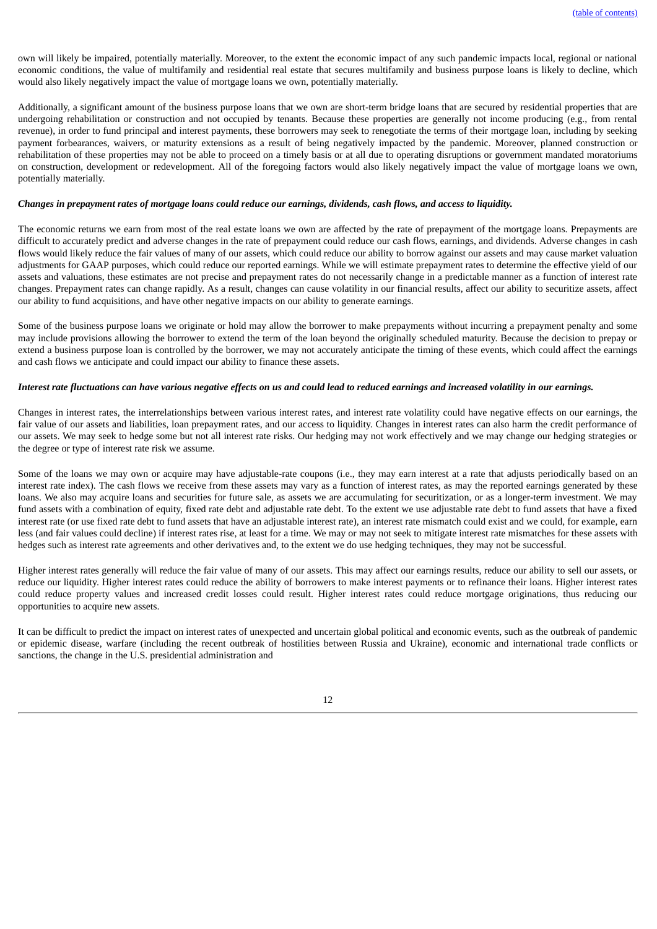own will likely be impaired, potentially materially. Moreover, to the extent the economic impact of any such pandemic impacts local, regional or national economic conditions, the value of multifamily and residential real estate that secures multifamily and business purpose loans is likely to decline, which would also likely negatively impact the value of mortgage loans we own, potentially materially.

Additionally, a significant amount of the business purpose loans that we own are short-term bridge loans that are secured by residential properties that are undergoing rehabilitation or construction and not occupied by tenants. Because these properties are generally not income producing (e.g., from rental revenue), in order to fund principal and interest payments, these borrowers may seek to renegotiate the terms of their mortgage loan, including by seeking payment forbearances, waivers, or maturity extensions as a result of being negatively impacted by the pandemic. Moreover, planned construction or rehabilitation of these properties may not be able to proceed on a timely basis or at all due to operating disruptions or government mandated moratoriums on construction, development or redevelopment. All of the foregoing factors would also likely negatively impact the value of mortgage loans we own, potentially materially.

# Changes in prepayment rates of mortgage loans could reduce our earnings, dividends, cash flows, and access to liquidity.

The economic returns we earn from most of the real estate loans we own are affected by the rate of prepayment of the mortgage loans. Prepayments are difficult to accurately predict and adverse changes in the rate of prepayment could reduce our cash flows, earnings, and dividends. Adverse changes in cash flows would likely reduce the fair values of many of our assets, which could reduce our ability to borrow against our assets and may cause market valuation adjustments for GAAP purposes, which could reduce our reported earnings. While we will estimate prepayment rates to determine the effective yield of our assets and valuations, these estimates are not precise and prepayment rates do not necessarily change in a predictable manner as a function of interest rate changes. Prepayment rates can change rapidly. As a result, changes can cause volatility in our financial results, affect our ability to securitize assets, affect our ability to fund acquisitions, and have other negative impacts on our ability to generate earnings.

Some of the business purpose loans we originate or hold may allow the borrower to make prepayments without incurring a prepayment penalty and some may include provisions allowing the borrower to extend the term of the loan beyond the originally scheduled maturity. Because the decision to prepay or extend a business purpose loan is controlled by the borrower, we may not accurately anticipate the timing of these events, which could affect the earnings and cash flows we anticipate and could impact our ability to finance these assets.

## Interest rate fluctuations can have various negative effects on us and could lead to reduced earnings and increased volatility in our earnings.

Changes in interest rates, the interrelationships between various interest rates, and interest rate volatility could have negative effects on our earnings, the fair value of our assets and liabilities, loan prepayment rates, and our access to liquidity. Changes in interest rates can also harm the credit performance of our assets. We may seek to hedge some but not all interest rate risks. Our hedging may not work effectively and we may change our hedging strategies or the degree or type of interest rate risk we assume.

Some of the loans we may own or acquire may have adjustable-rate coupons (i.e., they may earn interest at a rate that adjusts periodically based on an interest rate index). The cash flows we receive from these assets may vary as a function of interest rates, as may the reported earnings generated by these loans. We also may acquire loans and securities for future sale, as assets we are accumulating for securitization, or as a longer-term investment. We may fund assets with a combination of equity, fixed rate debt and adjustable rate debt. To the extent we use adjustable rate debt to fund assets that have a fixed interest rate (or use fixed rate debt to fund assets that have an adjustable interest rate), an interest rate mismatch could exist and we could, for example, earn less (and fair values could decline) if interest rates rise, at least for a time. We may or may not seek to mitigate interest rate mismatches for these assets with hedges such as interest rate agreements and other derivatives and, to the extent we do use hedging techniques, they may not be successful.

Higher interest rates generally will reduce the fair value of many of our assets. This may affect our earnings results, reduce our ability to sell our assets, or reduce our liquidity. Higher interest rates could reduce the ability of borrowers to make interest payments or to refinance their loans. Higher interest rates could reduce property values and increased credit losses could result. Higher interest rates could reduce mortgage originations, thus reducing our opportunities to acquire new assets.

It can be difficult to predict the impact on interest rates of unexpected and uncertain global political and economic events, such as the outbreak of pandemic or epidemic disease, warfare (including the recent outbreak of hostilities between Russia and Ukraine), economic and international trade conflicts or sanctions, the change in the U.S. presidential administration and

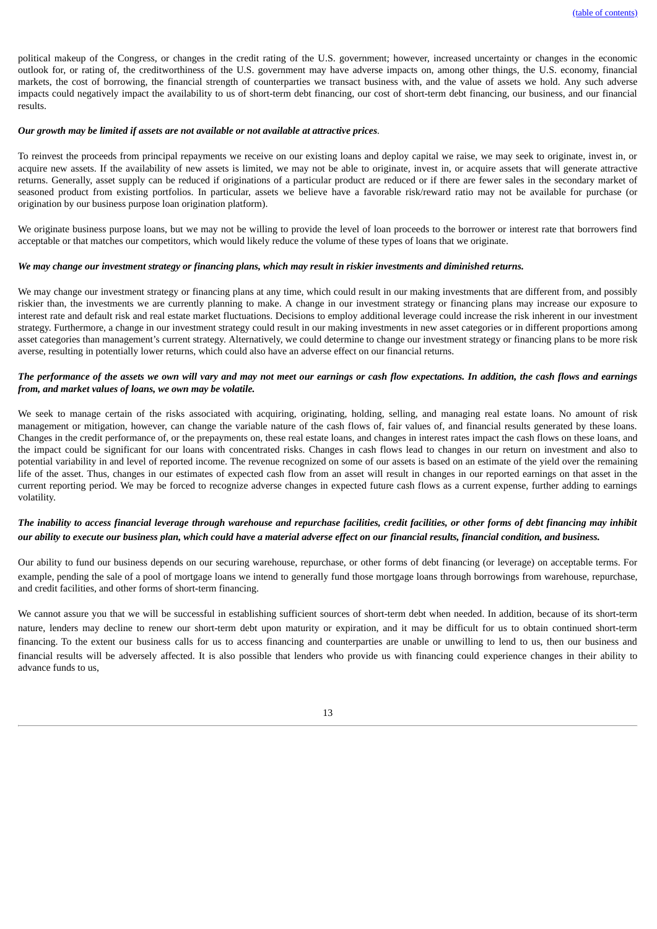political makeup of the Congress, or changes in the credit rating of the U.S. government; however, increased uncertainty or changes in the economic outlook for, or rating of, the creditworthiness of the U.S. government may have adverse impacts on, among other things, the U.S. economy, financial markets, the cost of borrowing, the financial strength of counterparties we transact business with, and the value of assets we hold. Any such adverse impacts could negatively impact the availability to us of short-term debt financing, our cost of short-term debt financing, our business, and our financial results.

#### *Our growth may be limited if assets are not available or not available at attractive prices.*

To reinvest the proceeds from principal repayments we receive on our existing loans and deploy capital we raise, we may seek to originate, invest in, or acquire new assets. If the availability of new assets is limited, we may not be able to originate, invest in, or acquire assets that will generate attractive returns. Generally, asset supply can be reduced if originations of a particular product are reduced or if there are fewer sales in the secondary market of seasoned product from existing portfolios. In particular, assets we believe have a favorable risk/reward ratio may not be available for purchase (or origination by our business purpose loan origination platform).

We originate business purpose loans, but we may not be willing to provide the level of loan proceeds to the borrower or interest rate that borrowers find acceptable or that matches our competitors, which would likely reduce the volume of these types of loans that we originate.

# We may change our investment strategy or financing plans, which may result in riskier investments and diminished returns.

We may change our investment strategy or financing plans at any time, which could result in our making investments that are different from, and possibly riskier than, the investments we are currently planning to make. A change in our investment strategy or financing plans may increase our exposure to interest rate and default risk and real estate market fluctuations. Decisions to employ additional leverage could increase the risk inherent in our investment strategy. Furthermore, a change in our investment strategy could result in our making investments in new asset categories or in different proportions among asset categories than management's current strategy. Alternatively, we could determine to change our investment strategy or financing plans to be more risk averse, resulting in potentially lower returns, which could also have an adverse effect on our financial returns.

# The performance of the assets we own will vary and may not meet our earnings or cash flow expectations. In addition, the cash flows and earnings *from, and market values of loans, we own may be volatile.*

We seek to manage certain of the risks associated with acquiring, originating, holding, selling, and managing real estate loans. No amount of risk management or mitigation, however, can change the variable nature of the cash flows of, fair values of, and financial results generated by these loans. Changes in the credit performance of, or the prepayments on, these real estate loans, and changes in interest rates impact the cash flows on these loans, and the impact could be significant for our loans with concentrated risks. Changes in cash flows lead to changes in our return on investment and also to potential variability in and level of reported income. The revenue recognized on some of our assets is based on an estimate of the yield over the remaining life of the asset. Thus, changes in our estimates of expected cash flow from an asset will result in changes in our reported earnings on that asset in the current reporting period. We may be forced to recognize adverse changes in expected future cash flows as a current expense, further adding to earnings volatility.

# The inability to access financial leverage through warehouse and repurchase facilities, credit facilities, or other forms of debt financing may inhibit our ability to execute our business plan, which could have a material adverse effect on our financial results, financial condition, and business.

Our ability to fund our business depends on our securing warehouse, repurchase, or other forms of debt financing (or leverage) on acceptable terms. For example, pending the sale of a pool of mortgage loans we intend to generally fund those mortgage loans through borrowings from warehouse, repurchase, and credit facilities, and other forms of short-term financing.

We cannot assure you that we will be successful in establishing sufficient sources of short-term debt when needed. In addition, because of its short-term nature, lenders may decline to renew our short-term debt upon maturity or expiration, and it may be difficult for us to obtain continued short-term financing. To the extent our business calls for us to access financing and counterparties are unable or unwilling to lend to us, then our business and financial results will be adversely affected. It is also possible that lenders who provide us with financing could experience changes in their ability to advance funds to us,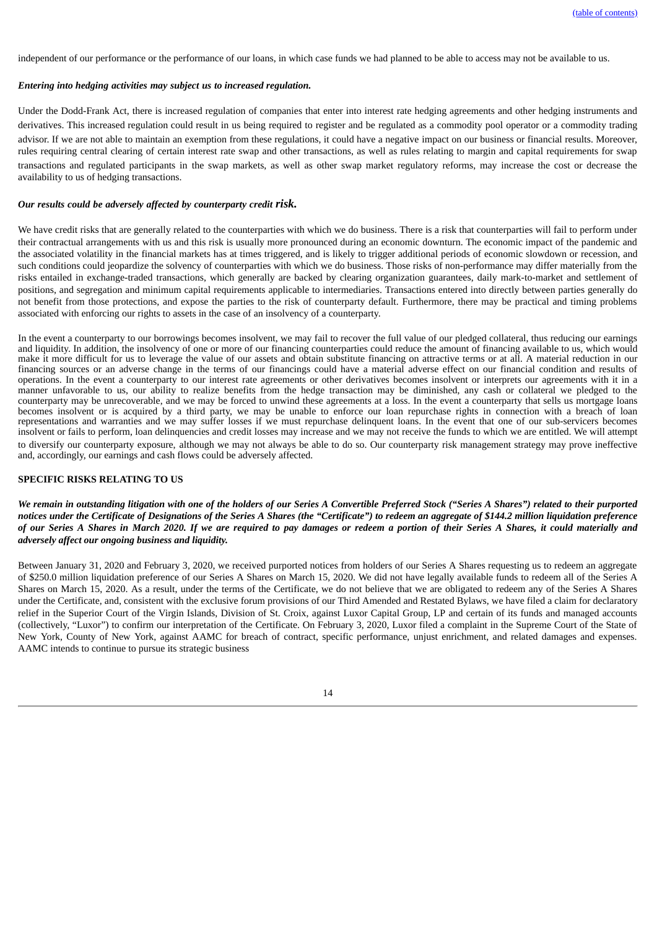independent of our performance or the performance of our loans, in which case funds we had planned to be able to access may not be available to us.

#### *Entering into hedging activities may subject us to increased regulation.*

Under the Dodd-Frank Act, there is increased regulation of companies that enter into interest rate hedging agreements and other hedging instruments and derivatives. This increased regulation could result in us being required to register and be regulated as a commodity pool operator or a commodity trading advisor. If we are not able to maintain an exemption from these regulations, it could have a negative impact on our business or financial results. Moreover, rules requiring central clearing of certain interest rate swap and other transactions, as well as rules relating to margin and capital requirements for swap transactions and regulated participants in the swap markets, as well as other swap market regulatory reforms, may increase the cost or decrease the availability to us of hedging transactions.

#### *Our results could be adversely affected by counterparty credit risk.*

We have credit risks that are generally related to the counterparties with which we do business. There is a risk that counterparties will fail to perform under their contractual arrangements with us and this risk is usually more pronounced during an economic downturn. The economic impact of the pandemic and the associated volatility in the financial markets has at times triggered, and is likely to trigger additional periods of economic slowdown or recession, and such conditions could jeopardize the solvency of counterparties with which we do business. Those risks of non-performance may differ materially from the risks entailed in exchange-traded transactions, which generally are backed by clearing organization guarantees, daily mark-to-market and settlement of positions, and segregation and minimum capital requirements applicable to intermediaries. Transactions entered into directly between parties generally do not benefit from those protections, and expose the parties to the risk of counterparty default. Furthermore, there may be practical and timing problems associated with enforcing our rights to assets in the case of an insolvency of a counterparty.

In the event a counterparty to our borrowings becomes insolvent, we may fail to recover the full value of our pledged collateral, thus reducing our earnings and liquidity. In addition, the insolvency of one or more of our financing counterparties could reduce the amount of financing available to us, which would make it more difficult for us to leverage the value of our assets and obtain substitute financing on attractive terms or at all. A material reduction in our financing sources or an adverse change in the terms of our financings could have a material adverse effect on our financial condition and results of operations. In the event a counterparty to our interest rate agreements or other derivatives becomes insolvent or interprets our agreements with it in a manner unfavorable to us, our ability to realize benefits from the hedge transaction may be diminished, any cash or collateral we pledged to the counterparty may be unrecoverable, and we may be forced to unwind these agreements at a loss. In the event a counterparty that sells us mortgage loans becomes insolvent or is acquired by a third party, we may be unable to enforce our loan repurchase rights in connection with a breach of loan representations and warranties and we may suffer losses if we must repurchase delinquent loans. In the event that one of our sub-servicers becomes insolvent or fails to perform, loan delinquencies and credit losses may increase and we may not receive the funds to which we are entitled. We will attempt to diversify our counterparty exposure, although we may not always be able to do so. Our counterparty risk management strategy may prove ineffective and, accordingly, our earnings and cash flows could be adversely affected.

## **SPECIFIC RISKS RELATING TO US**

We remain in outstanding litigation with one of the holders of our Series A Convertible Preferred Stock ("Series A Shares") related to their purported notices under the Certificate of Designations of the Series A Shares (the "Certificate") to redeem an aggregate of \$144.2 million liquidation preference of our Series A Shares in March 2020. If we are required to pay damages or redeem a portion of their Series A Shares, it could materially and *adversely affect our ongoing business and liquidity.*

Between January 31, 2020 and February 3, 2020, we received purported notices from holders of our Series A Shares requesting us to redeem an aggregate of \$250.0 million liquidation preference of our Series A Shares on March 15, 2020. We did not have legally available funds to redeem all of the Series A Shares on March 15, 2020. As a result, under the terms of the Certificate, we do not believe that we are obligated to redeem any of the Series A Shares under the Certificate, and, consistent with the exclusive forum provisions of our Third Amended and Restated Bylaws, we have filed a claim for declaratory relief in the Superior Court of the Virgin Islands, Division of St. Croix, against Luxor Capital Group, LP and certain of its funds and managed accounts (collectively, "Luxor") to confirm our interpretation of the Certificate. On February 3, 2020, Luxor filed a complaint in the Supreme Court of the State of New York, County of New York, against AAMC for breach of contract, specific performance, unjust enrichment, and related damages and expenses. AAMC intends to continue to pursue its strategic business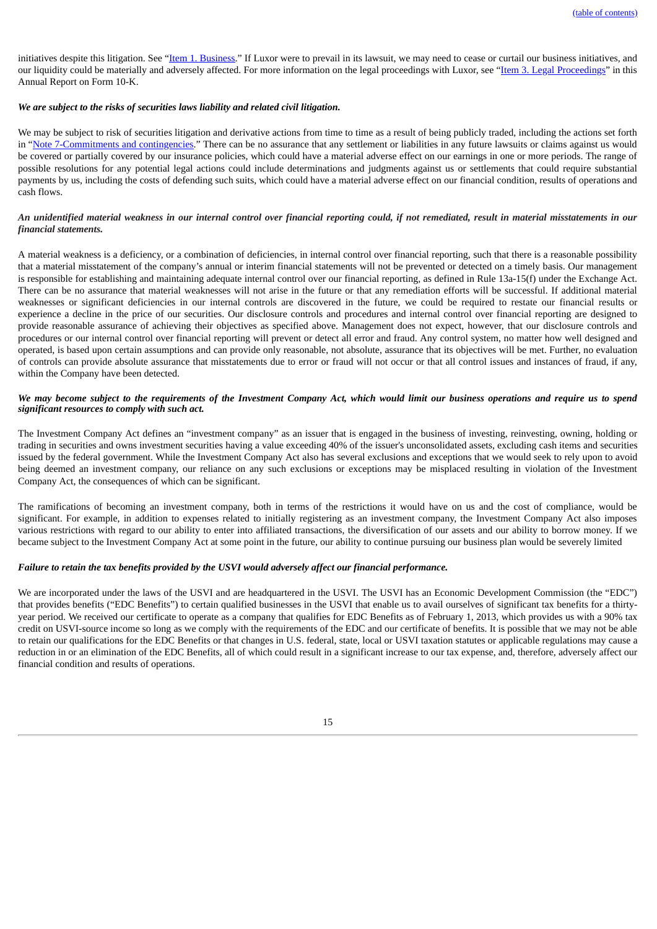initiatives despite this litigation. See "Item 1. [Business](#page-4-0)." If Luxor were to prevail in its lawsuit, we may need to cease or curtail our business initiatives, and our liquidity could be materially and adversely affected. For more information on the legal proceedings with Luxor, see "Item 3. Legal [Proceedings](#page-22-0)" in this Annual Report on Form 10-K.

# *We are subject to the risks of securities laws liability and related civil litigation.*

We may be subject to risk of securities litigation and derivative actions from time to time as a result of being publicly traded, including the actions set forth in "Note [7-Commitments](#page-61-0) and contingencies." There can be no assurance that any settlement or liabilities in any future lawsuits or claims against us would be covered or partially covered by our insurance policies, which could have a material adverse effect on our earnings in one or more periods. The range of possible resolutions for any potential legal actions could include determinations and judgments against us or settlements that could require substantial payments by us, including the costs of defending such suits, which could have a material adverse effect on our financial condition, results of operations and cash flows.

# An unidentified material weakness in our internal control over financial reporting could, if not remediated, result in material misstatements in our *financial statements.*

A material weakness is a deficiency, or a combination of deficiencies, in internal control over financial reporting, such that there is a reasonable possibility that a material misstatement of the company's annual or interim financial statements will not be prevented or detected on a timely basis. Our management is responsible for establishing and maintaining adequate internal control over our financial reporting, as defined in Rule 13a-15(f) under the Exchange Act. There can be no assurance that material weaknesses will not arise in the future or that any remediation efforts will be successful. If additional material weaknesses or significant deficiencies in our internal controls are discovered in the future, we could be required to restate our financial results or experience a decline in the price of our securities. Our disclosure controls and procedures and internal control over financial reporting are designed to provide reasonable assurance of achieving their objectives as specified above. Management does not expect, however, that our disclosure controls and procedures or our internal control over financial reporting will prevent or detect all error and fraud. Any control system, no matter how well designed and operated, is based upon certain assumptions and can provide only reasonable, not absolute, assurance that its objectives will be met. Further, no evaluation of controls can provide absolute assurance that misstatements due to error or fraud will not occur or that all control issues and instances of fraud, if any, within the Company have been detected.

#### We may become subject to the requirements of the Investment Company Act, which would limit our business operations and require us to spend *significant resources to comply with such act.*

The Investment Company Act defines an "investment company" as an issuer that is engaged in the business of investing, reinvesting, owning, holding or trading in securities and owns investment securities having a value exceeding 40% of the issuer's unconsolidated assets, excluding cash items and securities issued by the federal government. While the Investment Company Act also has several exclusions and exceptions that we would seek to rely upon to avoid being deemed an investment company, our reliance on any such exclusions or exceptions may be misplaced resulting in violation of the Investment Company Act, the consequences of which can be significant.

The ramifications of becoming an investment company, both in terms of the restrictions it would have on us and the cost of compliance, would be significant. For example, in addition to expenses related to initially registering as an investment company, the Investment Company Act also imposes various restrictions with regard to our ability to enter into affiliated transactions, the diversification of our assets and our ability to borrow money. If we became subject to the Investment Company Act at some point in the future, our ability to continue pursuing our business plan would be severely limited

# *Failure to retain the tax benefits provided by the USVI would adversely affect our financial performance.*

We are incorporated under the laws of the USVI and are headquartered in the USVI. The USVI has an Economic Development Commission (the "EDC") that provides benefits ("EDC Benefits") to certain qualified businesses in the USVI that enable us to avail ourselves of significant tax benefits for a thirtyyear period. We received our certificate to operate as a company that qualifies for EDC Benefits as of February 1, 2013, which provides us with a 90% tax credit on USVI-source income so long as we comply with the requirements of the EDC and our certificate of benefits. It is possible that we may not be able to retain our qualifications for the EDC Benefits or that changes in U.S. federal, state, local or USVI taxation statutes or applicable regulations may cause a reduction in or an elimination of the EDC Benefits, all of which could result in a significant increase to our tax expense, and, therefore, adversely affect our financial condition and results of operations.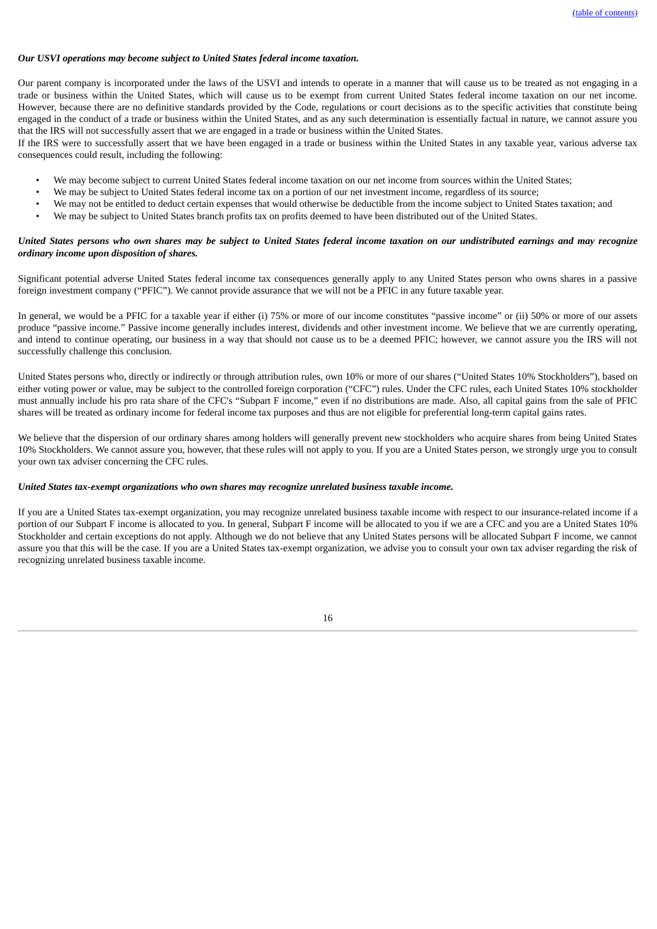#### *Our USVI operations may become subject to United States federal income taxation.*

Our parent company is incorporated under the laws of the USVI and intends to operate in a manner that will cause us to be treated as not engaging in a trade or business within the United States, which will cause us to be exempt from current United States federal income taxation on our net income. However, because there are no definitive standards provided by the Code, regulations or court decisions as to the specific activities that constitute being engaged in the conduct of a trade or business within the United States, and as any such determination is essentially factual in nature, we cannot assure you that the IRS will not successfully assert that we are engaged in a trade or business within the United States.

If the IRS were to successfully assert that we have been engaged in a trade or business within the United States in any taxable year, various adverse tax consequences could result, including the following:

- We may become subject to current United States federal income taxation on our net income from sources within the United States;
- We may be subject to United States federal income tax on a portion of our net investment income, regardless of its source;
- We may not be entitled to deduct certain expenses that would otherwise be deductible from the income subject to United States taxation; and
- We may be subject to United States branch profits tax on profits deemed to have been distributed out of the United States.

# United States persons who own shares may be subject to United States federal income taxation on our undistributed earnings and may recognize *ordinary income upon disposition of shares.*

Significant potential adverse United States federal income tax consequences generally apply to any United States person who owns shares in a passive foreign investment company ("PFIC"). We cannot provide assurance that we will not be a PFIC in any future taxable year.

In general, we would be a PFIC for a taxable year if either (i) 75% or more of our income constitutes "passive income" or (ii) 50% or more of our assets produce "passive income." Passive income generally includes interest, dividends and other investment income. We believe that we are currently operating, and intend to continue operating, our business in a way that should not cause us to be a deemed PFIC; however, we cannot assure you the IRS will not successfully challenge this conclusion.

United States persons who, directly or indirectly or through attribution rules, own 10% or more of our shares ("United States 10% Stockholders"), based on either voting power or value, may be subject to the controlled foreign corporation ("CFC") rules. Under the CFC rules, each United States 10% stockholder must annually include his pro rata share of the CFC's "Subpart F income," even if no distributions are made. Also, all capital gains from the sale of PFIC shares will be treated as ordinary income for federal income tax purposes and thus are not eligible for preferential long-term capital gains rates.

We believe that the dispersion of our ordinary shares among holders will generally prevent new stockholders who acquire shares from being United States 10% Stockholders. We cannot assure you, however, that these rules will not apply to you. If you are a United States person, we strongly urge you to consult your own tax adviser concerning the CFC rules.

#### *United States tax-exempt organizations who own shares may recognize unrelated business taxable income.*

If you are a United States tax-exempt organization, you may recognize unrelated business taxable income with respect to our insurance-related income if a portion of our Subpart F income is allocated to you. In general, Subpart F income will be allocated to you if we are a CFC and you are a United States 10% Stockholder and certain exceptions do not apply. Although we do not believe that any United States persons will be allocated Subpart F income, we cannot assure you that this will be the case. If you are a United States tax-exempt organization, we advise you to consult your own tax adviser regarding the risk of recognizing unrelated business taxable income.

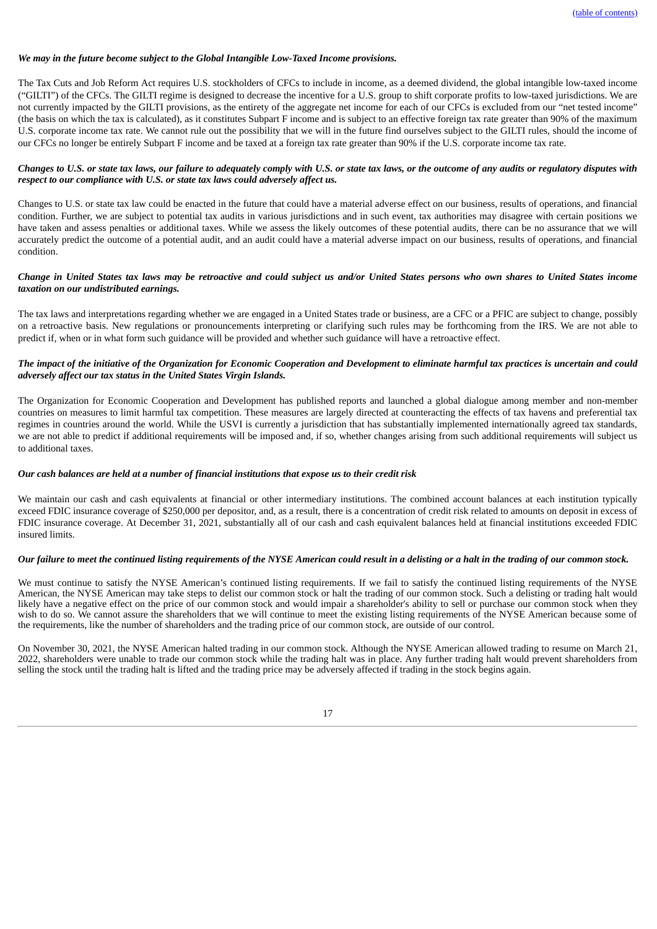#### *We may in the future become subject to the Global Intangible Low-Taxed Income provisions.*

The Tax Cuts and Job Reform Act requires U.S. stockholders of CFCs to include in income, as a deemed dividend, the global intangible low-taxed income ("GILTI") of the CFCs. The GILTI regime is designed to decrease the incentive for a U.S. group to shift corporate profits to low-taxed jurisdictions. We are not currently impacted by the GILTI provisions, as the entirety of the aggregate net income for each of our CFCs is excluded from our "net tested income" (the basis on which the tax is calculated), as it constitutes Subpart F income and is subject to an effective foreign tax rate greater than 90% of the maximum U.S. corporate income tax rate. We cannot rule out the possibility that we will in the future find ourselves subject to the GILTI rules, should the income of our CFCs no longer be entirely Subpart F income and be taxed at a foreign tax rate greater than 90% if the U.S. corporate income tax rate.

## Changes to U.S. or state tax laws, our failure to adequately comply with U.S. or state tax laws, or the outcome of any audits or regulatory disputes with *respect to our compliance with U.S. or state tax laws could adversely affect us.*

Changes to U.S. or state tax law could be enacted in the future that could have a material adverse effect on our business, results of operations, and financial condition. Further, we are subject to potential tax audits in various jurisdictions and in such event, tax authorities may disagree with certain positions we have taken and assess penalties or additional taxes. While we assess the likely outcomes of these potential audits, there can be no assurance that we will accurately predict the outcome of a potential audit, and an audit could have a material adverse impact on our business, results of operations, and financial condition.

#### Change in United States tax laws may be retroactive and could subject us and/or United States persons who own shares to United States income *taxation on our undistributed earnings.*

The tax laws and interpretations regarding whether we are engaged in a United States trade or business, are a CFC or a PFIC are subject to change, possibly on a retroactive basis. New regulations or pronouncements interpreting or clarifying such rules may be forthcoming from the IRS. We are not able to predict if, when or in what form such guidance will be provided and whether such guidance will have a retroactive effect.

# The impact of the initiative of the Organization for Economic Cooperation and Development to eliminate harmful tax practices is uncertain and could *adversely affect our tax status in the United States Virgin Islands.*

The Organization for Economic Cooperation and Development has published reports and launched a global dialogue among member and non-member countries on measures to limit harmful tax competition. These measures are largely directed at counteracting the effects of tax havens and preferential tax regimes in countries around the world. While the USVI is currently a jurisdiction that has substantially implemented internationally agreed tax standards, we are not able to predict if additional requirements will be imposed and, if so, whether changes arising from such additional requirements will subject us to additional taxes.

#### Our cash balances are held at a number of financial institutions that expose us to their credit risk

We maintain our cash and cash equivalents at financial or other intermediary institutions. The combined account balances at each institution typically exceed FDIC insurance coverage of \$250,000 per depositor, and, as a result, there is a concentration of credit risk related to amounts on deposit in excess of FDIC insurance coverage. At December 31, 2021, substantially all of our cash and cash equivalent balances held at financial institutions exceeded FDIC insured limits.

## Our failure to meet the continued listing requirements of the NYSE American could result in a delisting or a halt in the trading of our common stock.

We must continue to satisfy the NYSE American's continued listing requirements. If we fail to satisfy the continued listing requirements of the NYSE American, the NYSE American may take steps to delist our common stock or halt the trading of our common stock. Such a delisting or trading halt would likely have a negative effect on the price of our common stock and would impair a shareholder's ability to sell or purchase our common stock when they wish to do so. We cannot assure the shareholders that we will continue to meet the existing listing requirements of the NYSE American because some of the requirements, like the number of shareholders and the trading price of our common stock, are outside of our control.

On November 30, 2021, the NYSE American halted trading in our common stock. Although the NYSE American allowed trading to resume on March 21, 2022, shareholders were unable to trade our common stock while the trading halt was in place. Any further trading halt would prevent shareholders from selling the stock until the trading halt is lifted and the trading price may be adversely affected if trading in the stock begins again.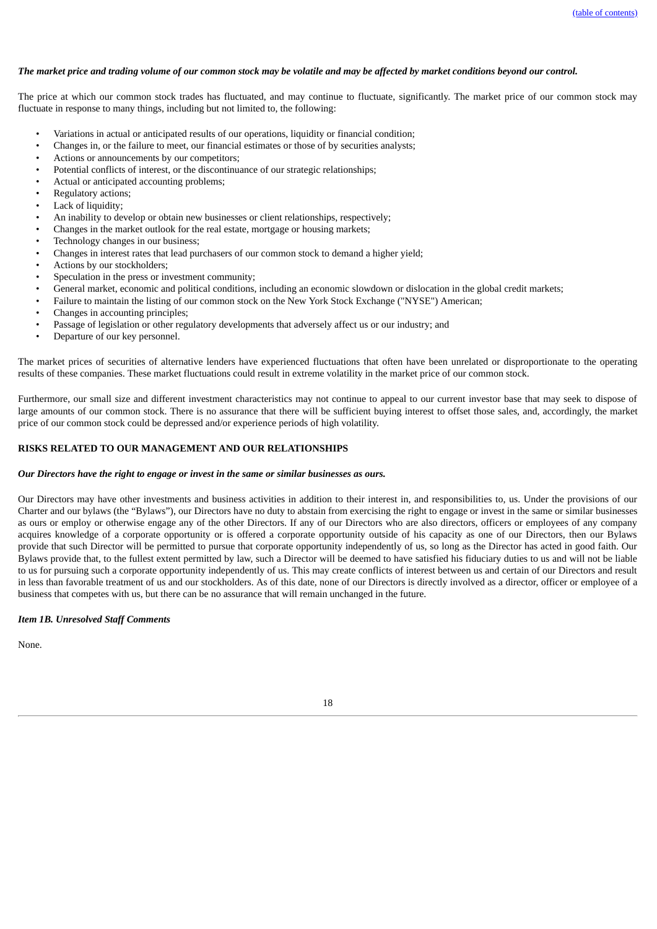# The market price and tradina volume of our common stock may be volatile and may be affected by market conditions bevond our control.

The price at which our common stock trades has fluctuated, and may continue to fluctuate, significantly. The market price of our common stock may fluctuate in response to many things, including but not limited to, the following:

- Variations in actual or anticipated results of our operations, liquidity or financial condition;
- Changes in, or the failure to meet, our financial estimates or those of by securities analysts;
- Actions or announcements by our competitors;
- Potential conflicts of interest, or the discontinuance of our strategic relationships;
- Actual or anticipated accounting problems;
- Regulatory actions;
- Lack of liquidity:
- An inability to develop or obtain new businesses or client relationships, respectively;
- Changes in the market outlook for the real estate, mortgage or housing markets;
- Technology changes in our business;
- Changes in interest rates that lead purchasers of our common stock to demand a higher yield;
- Actions by our stockholders;
- Speculation in the press or investment community;
- General market, economic and political conditions, including an economic slowdown or dislocation in the global credit markets;
- Failure to maintain the listing of our common stock on the New York Stock Exchange ("NYSE") American;
- Changes in accounting principles;
- Passage of legislation or other regulatory developments that adversely affect us or our industry; and
- Departure of our key personnel.

The market prices of securities of alternative lenders have experienced fluctuations that often have been unrelated or disproportionate to the operating results of these companies. These market fluctuations could result in extreme volatility in the market price of our common stock.

Furthermore, our small size and different investment characteristics may not continue to appeal to our current investor base that may seek to dispose of large amounts of our common stock. There is no assurance that there will be sufficient buying interest to offset those sales, and, accordingly, the market price of our common stock could be depressed and/or experience periods of high volatility.

# **RISKS RELATED TO OUR MANAGEMENT AND OUR RELATIONSHIPS**

#### *Our Directors have the right to engage or invest in the same or similar businesses as ours.*

Our Directors may have other investments and business activities in addition to their interest in, and responsibilities to, us. Under the provisions of our Charter and our bylaws (the "Bylaws"), our Directors have no duty to abstain from exercising the right to engage or invest in the same or similar businesses as ours or employ or otherwise engage any of the other Directors. If any of our Directors who are also directors, officers or employees of any company acquires knowledge of a corporate opportunity or is offered a corporate opportunity outside of his capacity as one of our Directors, then our Bylaws provide that such Director will be permitted to pursue that corporate opportunity independently of us, so long as the Director has acted in good faith. Our Bylaws provide that, to the fullest extent permitted by law, such a Director will be deemed to have satisfied his fiduciary duties to us and will not be liable to us for pursuing such a corporate opportunity independently of us. This may create conflicts of interest between us and certain of our Directors and result in less than favorable treatment of us and our stockholders. As of this date, none of our Directors is directly involved as a director, officer or employee of a business that competes with us, but there can be no assurance that will remain unchanged in the future.

# <span id="page-21-0"></span>*Item 1B. Unresolved Staff Comments*

<span id="page-21-1"></span>None.

18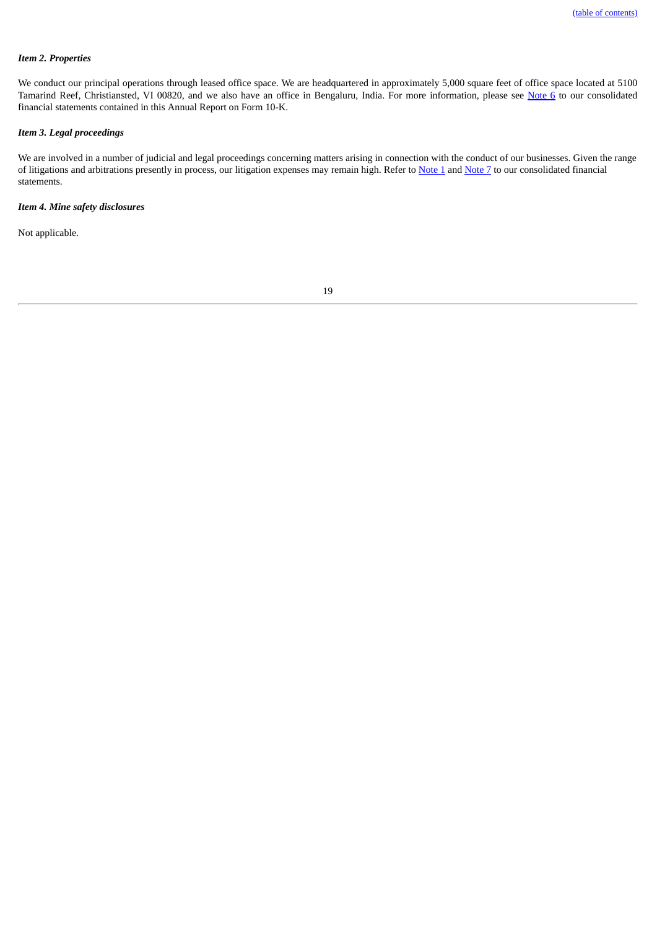# *Item 2. Properties*

We conduct our principal operations through leased office space. We are headquartered in approximately 5,000 square feet of office space located at 5100 Tamarind Reef, Christiansted, VI 00820, and we also have an office in Bengaluru, India. For more information, please see [Note](#page-60-0) 6 to our consolidated financial statements contained in this Annual Report on Form 10-K.

#### <span id="page-22-0"></span>*Item 3. Legal proceedings*

We are involved in a number of judicial and legal proceedings concerning matters arising in connection with the conduct of our businesses. Given the range of litigations and arbitrations presently in process, our litigation expenses may remain high. Refer to [Note](#page-61-0) 1 and Note 7 to our consolidated financial statements.

# <span id="page-22-1"></span>*Item 4. Mine safety disclosures*

<span id="page-22-2"></span>Not applicable.

19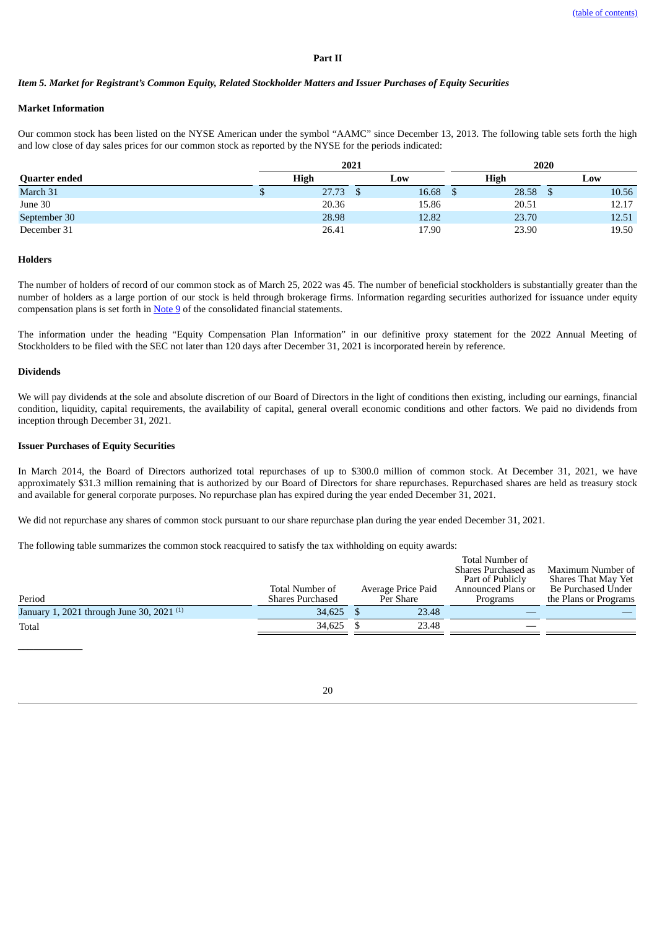#### **Part II**

# <span id="page-23-0"></span>Item 5. Market for Registrant's Common Equity, Related Stockholder Matters and Issuer Purchases of Equity Securities

## **Market Information**

Our common stock has been listed on the NYSE American under the symbol "AAMC" since December 13, 2013. The following table sets forth the high and low close of day sales prices for our common stock as reported by the NYSE for the periods indicated:

|               | 2021 |             |  |       | 2020 |             |  |       |
|---------------|------|-------------|--|-------|------|-------------|--|-------|
| Quarter ended |      | <b>High</b> |  | Low   |      | <b>High</b> |  | Low   |
| March 31      |      | 27.73       |  | 16.68 |      | 28.58       |  | 10.56 |
| June 30       |      | 20.36       |  | 15.86 |      | 20.51       |  | 12.17 |
| September 30  |      | 28.98       |  | 12.82 |      | 23.70       |  | 12.51 |
| December 31   |      | 26.41       |  | 17.90 |      | 23.90       |  | 19.50 |

#### **Holders**

The number of holders of record of our common stock as of March 25, 2022 was 45. The number of beneficial stockholders is substantially greater than the number of holders as a large portion of our stock is held through brokerage firms. Information regarding securities authorized for issuance under equity compensation plans is set forth in [Note](#page-63-0) 9 of the consolidated financial statements.

The information under the heading "Equity Compensation Plan Information" in our definitive proxy statement for the 2022 Annual Meeting of Stockholders to be filed with the SEC not later than 120 days after December 31, 2021 is incorporated herein by reference.

#### **Dividends**

**\_\_\_\_\_\_\_\_\_\_\_\_\_**

We will pay dividends at the sole and absolute discretion of our Board of Directors in the light of conditions then existing, including our earnings, financial condition, liquidity, capital requirements, the availability of capital, general overall economic conditions and other factors. We paid no dividends from inception through December 31, 2021.

#### **Issuer Purchases of Equity Securities**

In March 2014, the Board of Directors authorized total repurchases of up to \$300.0 million of common stock. At December 31, 2021, we have approximately \$31.3 million remaining that is authorized by our Board of Directors for share repurchases. Repurchased shares are held as treasury stock and available for general corporate purposes. No repurchase plan has expired during the year ended December 31, 2021.

We did not repurchase any shares of common stock pursuant to our share repurchase plan during the year ended December 31, 2021.

The following table summarizes the common stock reacquired to satisfy the tax withholding on equity awards:

| Period                                               | Total Number of<br><b>Shares Purchased</b> | Average Price Paid<br>Per Share | Total Number of<br>Shares Purchased as<br>Part of Publicly<br>Announced Plans or<br>Programs | Maximum Number of<br>Shares That May Yet<br>Be Purchased Under<br>the Plans or Programs |
|------------------------------------------------------|--------------------------------------------|---------------------------------|----------------------------------------------------------------------------------------------|-----------------------------------------------------------------------------------------|
|                                                      |                                            |                                 |                                                                                              |                                                                                         |
| January 1, 2021 through June 30, 2021 <sup>(1)</sup> | 34,625                                     | 23.48                           |                                                                                              |                                                                                         |
| Total                                                | 34.625                                     | 23.48                           |                                                                                              |                                                                                         |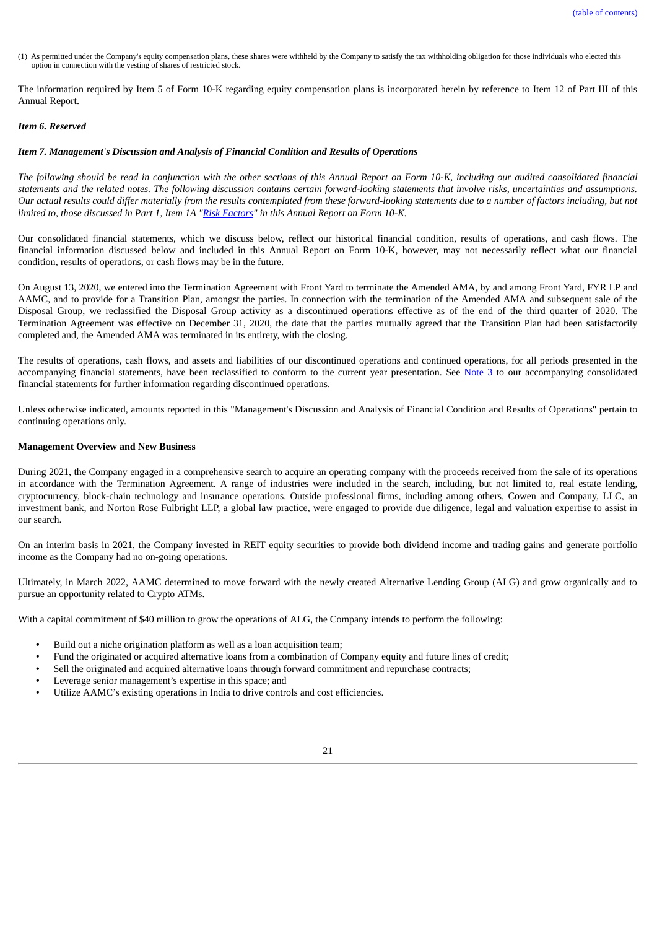(1) As permitted under the Company's equity compensation plans, these shares were withheld by the Company to satisfy the tax withholding obligation for those individuals who elected this option in connection with the vesting of shares of restricted stock.

The information required by Item 5 of Form 10-K regarding equity compensation plans is incorporated herein by reference to Item 12 of Part III of this Annual Report.

#### <span id="page-24-0"></span>*Item 6. Reserved*

#### <span id="page-24-1"></span>*Item 7. Management's Discussion and Analysis of Financial Condition and Results of Operations*

The following should be read in conjunction with the other sections of this Annual Report on Form 10-K, including our audited consolidated financial statements and the related notes. The following discussion contains certain forward-looking statements that involve risks, uncertainties and assumptions. Our actual results could differ materially from the results contemplated from these forward-looking statements due to a number of factors including, but not *limited to, those discussed in Part 1, Item 1A "Risk [Factors"](#page-7-0) in this Annual Report on Form 10-K.*

Our consolidated financial statements, which we discuss below, reflect our historical financial condition, results of operations, and cash flows. The financial information discussed below and included in this Annual Report on Form 10-K, however, may not necessarily reflect what our financial condition, results of operations, or cash flows may be in the future.

On August 13, 2020, we entered into the Termination Agreement with Front Yard to terminate the Amended AMA, by and among Front Yard, FYR LP and AAMC, and to provide for a Transition Plan, amongst the parties. In connection with the termination of the Amended AMA and subsequent sale of the Disposal Group, we reclassified the Disposal Group activity as a discontinued operations effective as of the end of the third quarter of 2020. The Termination Agreement was effective on December 31, 2020, the date that the parties mutually agreed that the Transition Plan had been satisfactorily completed and, the Amended AMA was terminated in its entirety, with the closing.

The results of operations, cash flows, and assets and liabilities of our discontinued operations and continued operations, for all periods presented in the accompanying financial statements, have been reclassified to conform to the current year presentation. See [Note](#page-56-0) 3 to our accompanying consolidated financial statements for further information regarding discontinued operations.

Unless otherwise indicated, amounts reported in this "Management's Discussion and Analysis of Financial Condition and Results of Operations" pertain to continuing operations only.

#### **Management Overview and New Business**

During 2021, the Company engaged in a comprehensive search to acquire an operating company with the proceeds received from the sale of its operations in accordance with the Termination Agreement. A range of industries were included in the search, including, but not limited to, real estate lending, cryptocurrency, block-chain technology and insurance operations. Outside professional firms, including among others, Cowen and Company, LLC, an investment bank, and Norton Rose Fulbright LLP, a global law practice, were engaged to provide due diligence, legal and valuation expertise to assist in our search.

On an interim basis in 2021, the Company invested in REIT equity securities to provide both dividend income and trading gains and generate portfolio income as the Company had no on-going operations.

Ultimately, in March 2022, AAMC determined to move forward with the newly created Alternative Lending Group (ALG) and grow organically and to pursue an opportunity related to Crypto ATMs.

With a capital commitment of \$40 million to grow the operations of ALG, the Company intends to perform the following:

- Build out a niche origination platform as well as a loan acquisition team;
- Fund the originated or acquired alternative loans from a combination of Company equity and future lines of credit;
- Sell the originated and acquired alternative loans through forward commitment and repurchase contracts;
- Leverage senior management's expertise in this space; and
- Utilize AAMC's existing operations in India to drive controls and cost efficiencies.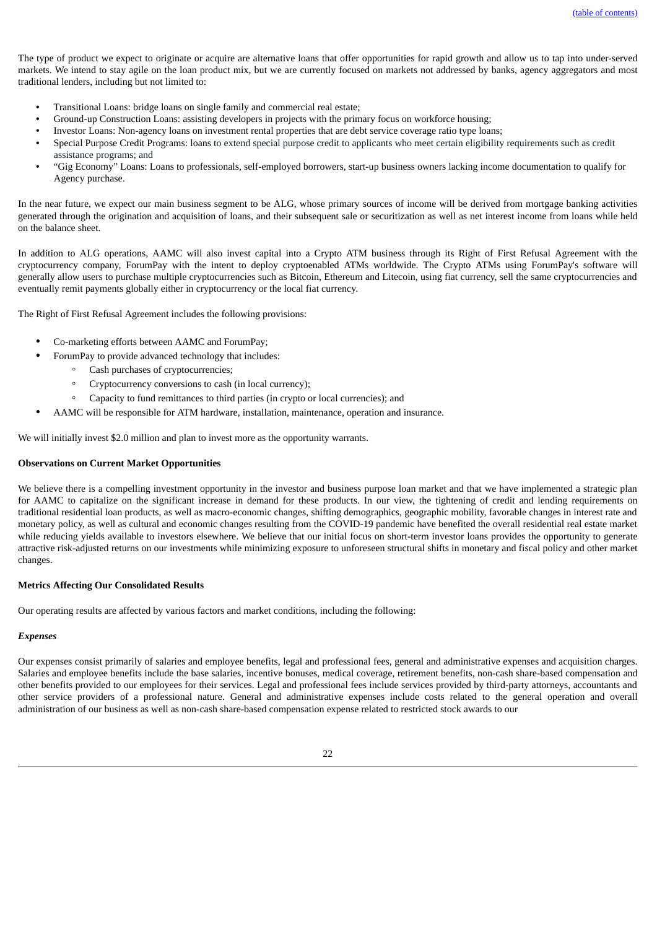The type of product we expect to originate or acquire are alternative loans that offer opportunities for rapid growth and allow us to tap into under-served markets. We intend to stay agile on the loan product mix, but we are currently focused on markets not addressed by banks, agency aggregators and most traditional lenders, including but not limited to:

- Transitional Loans: bridge loans on single family and commercial real estate;
- Ground-up Construction Loans: assisting developers in projects with the primary focus on workforce housing;
- Investor Loans: Non-agency loans on investment rental properties that are debt service coverage ratio type loans;
- Special Purpose Credit Programs: loans to extend special purpose credit to applicants who meet certain eligibility requirements such as credit assistance programs; and
- "Gig Economy" Loans: Loans to professionals, self-employed borrowers, start-up business owners lacking income documentation to qualify for Agency purchase.

In the near future, we expect our main business segment to be ALG, whose primary sources of income will be derived from mortgage banking activities generated through the origination and acquisition of loans, and their subsequent sale or securitization as well as net interest income from loans while held on the balance sheet.

In addition to ALG operations, AAMC will also invest capital into a Crypto ATM business through its Right of First Refusal Agreement with the cryptocurrency company, ForumPay with the intent to deploy cryptoenabled ATMs worldwide. The Crypto ATMs using ForumPay's software will generally allow users to purchase multiple cryptocurrencies such as Bitcoin, Ethereum and Litecoin, using fiat currency, sell the same cryptocurrencies and eventually remit payments globally either in cryptocurrency or the local fiat currency.

The Right of First Refusal Agreement includes the following provisions:

- Co-marketing efforts between AAMC and ForumPay;
- ForumPay to provide advanced technology that includes:
	- Cash purchases of cryptocurrencies;
	- Cryptocurrency conversions to cash (in local currency);
	- Capacity to fund remittances to third parties (in crypto or local currencies); and
	- AAMC will be responsible for ATM hardware, installation, maintenance, operation and insurance.

We will initially invest \$2.0 million and plan to invest more as the opportunity warrants.

## **Observations on Current Market Opportunities**

We believe there is a compelling investment opportunity in the investor and business purpose loan market and that we have implemented a strategic plan for AAMC to capitalize on the significant increase in demand for these products. In our view, the tightening of credit and lending requirements on traditional residential loan products, as well as macro-economic changes, shifting demographics, geographic mobility, favorable changes in interest rate and monetary policy, as well as cultural and economic changes resulting from the COVID-19 pandemic have benefited the overall residential real estate market while reducing yields available to investors elsewhere. We believe that our initial focus on short-term investor loans provides the opportunity to generate attractive risk-adjusted returns on our investments while minimizing exposure to unforeseen structural shifts in monetary and fiscal policy and other market changes.

# **Metrics Affecting Our Consolidated Results**

Our operating results are affected by various factors and market conditions, including the following:

# *Expenses*

Our expenses consist primarily of salaries and employee benefits, legal and professional fees, general and administrative expenses and acquisition charges. Salaries and employee benefits include the base salaries, incentive bonuses, medical coverage, retirement benefits, non-cash share-based compensation and other benefits provided to our employees for their services. Legal and professional fees include services provided by third-party attorneys, accountants and other service providers of a professional nature. General and administrative expenses include costs related to the general operation and overall administration of our business as well as non-cash share-based compensation expense related to restricted stock awards to our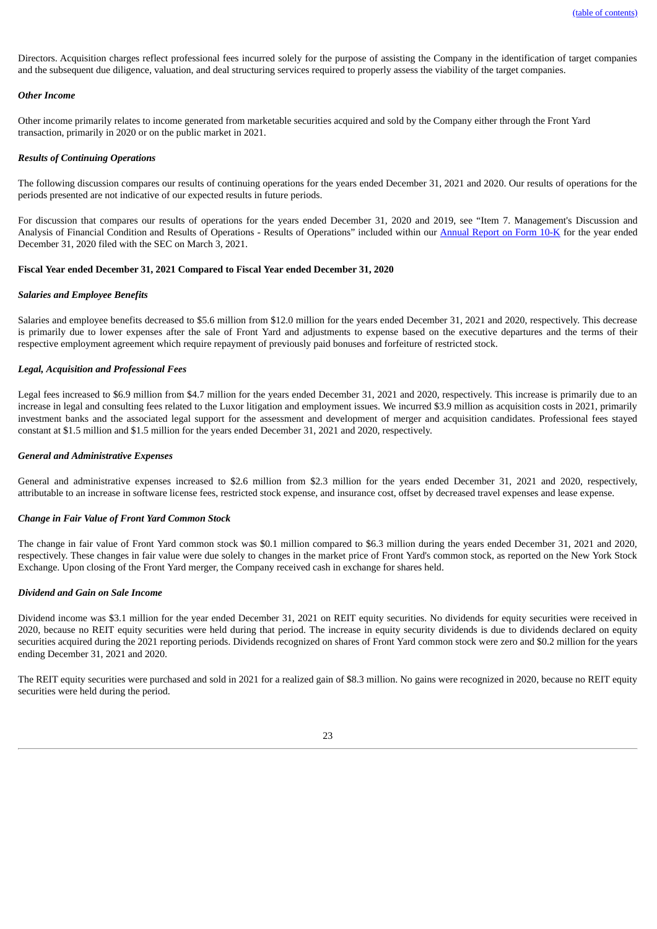Directors. Acquisition charges reflect professional fees incurred solely for the purpose of assisting the Company in the identification of target companies and the subsequent due diligence, valuation, and deal structuring services required to properly assess the viability of the target companies.

#### *Other Income*

Other income primarily relates to income generated from marketable securities acquired and sold by the Company either through the Front Yard transaction, primarily in 2020 or on the public market in 2021.

#### *Results of Continuing Operations*

The following discussion compares our results of continuing operations for the years ended December 31, 2021 and 2020. Our results of operations for the periods presented are not indicative of our expected results in future periods.

For discussion that compares our results of operations for the years ended December 31, 2020 and 2019, see "Item 7. Management's Discussion and Analysis of Financial Condition and Results of Operations - Results of Operations" included within our [Annual](https://www.sec.gov/Archives/edgar/data/0001555074/000155507421000032/0001555074-21-000032-index.htm) Report on Form 10-K for the year ended December 31, 2020 filed with the SEC on March 3, 2021.

# **Fiscal Year ended December 31, 2021 Compared to Fiscal Year ended December 31, 2020**

# *Salaries and Employee Benefits*

Salaries and employee benefits decreased to \$5.6 million from \$12.0 million for the years ended December 31, 2021 and 2020, respectively. This decrease is primarily due to lower expenses after the sale of Front Yard and adjustments to expense based on the executive departures and the terms of their respective employment agreement which require repayment of previously paid bonuses and forfeiture of restricted stock.

#### *Legal, Acquisition and Professional Fees*

Legal fees increased to \$6.9 million from \$4.7 million for the years ended December 31, 2021 and 2020, respectively. This increase is primarily due to an increase in legal and consulting fees related to the Luxor litigation and employment issues. We incurred \$3.9 million as acquisition costs in 2021, primarily investment banks and the associated legal support for the assessment and development of merger and acquisition candidates. Professional fees stayed constant at \$1.5 million and \$1.5 million for the years ended December 31, 2021 and 2020, respectively.

## *General and Administrative Expenses*

General and administrative expenses increased to \$2.6 million from \$2.3 million for the years ended December 31, 2021 and 2020, respectively, attributable to an increase in software license fees, restricted stock expense, and insurance cost, offset by decreased travel expenses and lease expense.

#### *Change in Fair Value of Front Yard Common Stock*

The change in fair value of Front Yard common stock was \$0.1 million compared to \$6.3 million during the years ended December 31, 2021 and 2020, respectively. These changes in fair value were due solely to changes in the market price of Front Yard's common stock, as reported on the New York Stock Exchange. Upon closing of the Front Yard merger, the Company received cash in exchange for shares held.

#### *Dividend and Gain on Sale Income*

Dividend income was \$3.1 million for the year ended December 31, 2021 on REIT equity securities. No dividends for equity securities were received in 2020, because no REIT equity securities were held during that period. The increase in equity security dividends is due to dividends declared on equity securities acquired during the 2021 reporting periods. Dividends recognized on shares of Front Yard common stock were zero and \$0.2 million for the years ending December 31, 2021 and 2020.

The REIT equity securities were purchased and sold in 2021 for a realized gain of \$8.3 million. No gains were recognized in 2020, because no REIT equity securities were held during the period.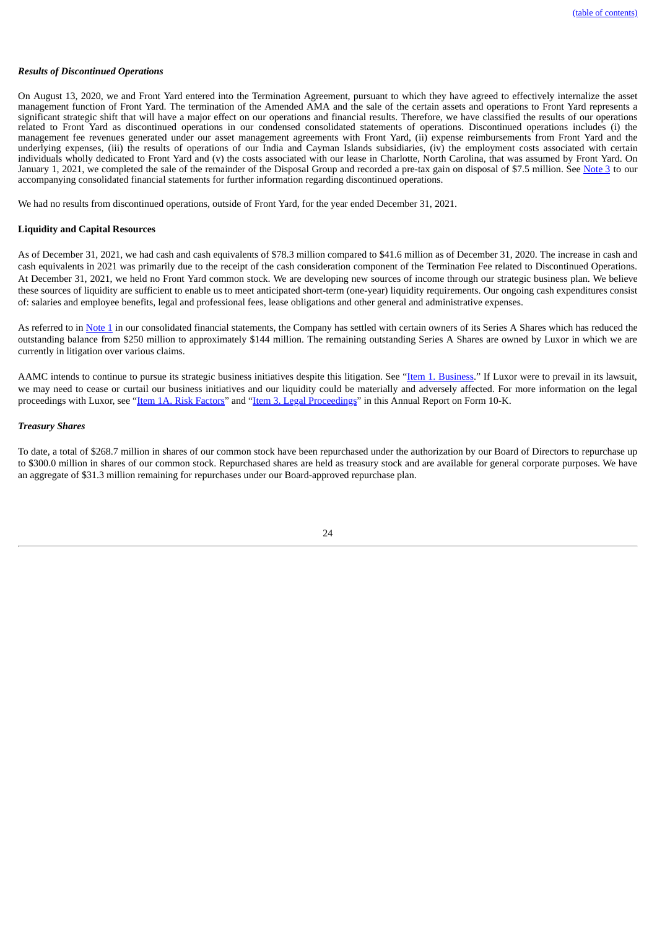#### *Results of Discontinued Operations*

On August 13, 2020, we and Front Yard entered into the Termination Agreement, pursuant to which they have agreed to effectively internalize the asset management function of Front Yard. The termination of the Amended AMA and the sale of the certain assets and operations to Front Yard represents a significant strategic shift that will have a major effect on our operations and financial results. Therefore, we have classified the results of our operations related to Front Yard as discontinued operations in our condensed consolidated statements of operations. Discontinued operations includes (i) the management fee revenues generated under our asset management agreements with Front Yard, (ii) expense reimbursements from Front Yard and the underlying expenses, (iii) the results of operations of our India and Cayman Islands subsidiaries, (iv) the employment costs associated with certain individuals wholly dedicated to Front Yard and (v) the costs associated with our lease in Charlotte, North Carolina, that was assumed by Front Yard. On January 1, 2021, we completed the sale of the remainder of the Disposal Group and recorded a pre-tax gain on disposal of \$7.5 million. See [Note](#page-56-0) 3 to our accompanying consolidated financial statements for further information regarding discontinued operations.

We had no results from discontinued operations, outside of Front Yard, for the year ended December 31, 2021.

#### **Liquidity and Capital Resources**

As of December 31, 2021, we had cash and cash equivalents of \$78.3 million compared to \$41.6 million as of December 31, 2020. The increase in cash and cash equivalents in 2021 was primarily due to the receipt of the cash consideration component of the Termination Fee related to Discontinued Operations. At December 31, 2021, we held no Front Yard common stock. We are developing new sources of income through our strategic business plan. We believe these sources of liquidity are sufficient to enable us to meet anticipated short-term (one-year) liquidity requirements. Our ongoing cash expenditures consist of: salaries and employee benefits, legal and professional fees, lease obligations and other general and administrative expenses.

As referred to in [Note](#page-49-0) [1](#page-49-0) in our consolidated financial statements, the Company has settled with certain owners of its Series A Shares which has reduced the outstanding balance from \$250 million to approximately \$144 million. The remaining outstanding Series A Shares are owned by Luxor in which we are currently in litigation over various claims.

AAMC intends to continue to pursue its strategic business initiatives despite this litigation. See "Item 1. [Business](#page-4-0)." If Luxor were to prevail in its lawsuit, we may need to cease or curtail our business initiatives and our liquidity could be materially and adversely affected. For more information on the legal proceedings with Luxor, see "Item 1A. Risk [Factors](#page-7-0)" and "Item 3. Legal [Proceedings"](#page-22-0) in this Annual Report on Form 10-K.

#### *Treasury Shares*

To date, a total of \$268.7 million in shares of our common stock have been repurchased under the authorization by our Board of Directors to repurchase up to \$300.0 million in shares of our common stock. Repurchased shares are held as treasury stock and are available for general corporate purposes. We have an aggregate of \$31.3 million remaining for repurchases under our Board-approved repurchase plan.

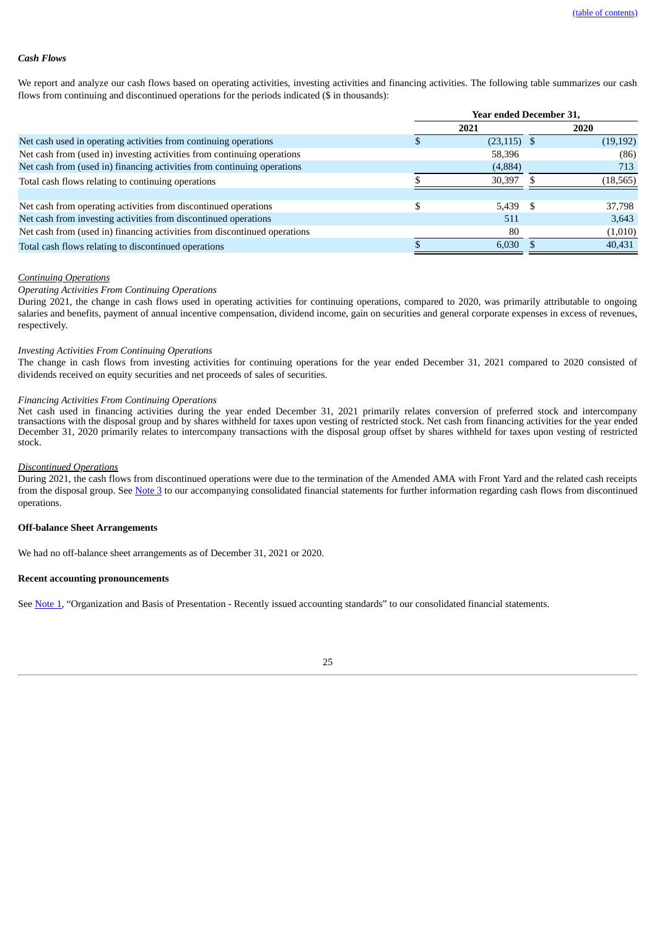#### *Cash Flows*

We report and analyze our cash flows based on operating activities, investing activities and financing activities. The following table summarizes our cash flows from continuing and discontinued operations for the periods indicated (\$ in thousands):

|                                                                           | Year ended December 31, |                |  |           |
|---------------------------------------------------------------------------|-------------------------|----------------|--|-----------|
|                                                                           |                         | 2021           |  | 2020      |
| Net cash used in operating activities from continuing operations          |                         | $(23, 115)$ \$ |  | (19, 192) |
| Net cash from (used in) investing activities from continuing operations   |                         | 58,396         |  | (86)      |
| Net cash from (used in) financing activities from continuing operations   |                         | (4,884)        |  | 713       |
| Total cash flows relating to continuing operations                        |                         | 30,397         |  | (18, 565) |
| Net cash from operating activities from discontinued operations           |                         | $5,439$ \$     |  | 37,798    |
| Net cash from investing activities from discontinued operations           |                         | 511            |  | 3,643     |
| Net cash from (used in) financing activities from discontinued operations |                         | 80             |  | (1,010)   |
| Total cash flows relating to discontinued operations                      |                         | 6,030          |  | 40,431    |

#### *Continuing Operations*

#### *Operating Activities From Continuing Operations*

During 2021, the change in cash flows used in operating activities for continuing operations, compared to 2020, was primarily attributable to ongoing salaries and benefits, payment of annual incentive compensation, dividend income, gain on securities and general corporate expenses in excess of revenues, respectively.

#### *Investing Activities From Continuing Operations*

The change in cash flows from investing activities for continuing operations for the year ended December 31, 2021 compared to 2020 consisted of dividends received on equity securities and net proceeds of sales of securities.

#### *Financing Activities From Continuing Operations*

Net cash used in financing activities during the year ended December 31, 2021 primarily relates conversion of preferred stock and intercompany transactions with the disposal group and by shares withheld for taxes upon vesting of restricted stock. Net cash from financing activities for the year ended December 31, 2020 primarily relates to intercompany transactions with the disposal group offset by shares withheld for taxes upon vesting of restricted stock.

#### *Discontinued Operations*

During 2021, the cash flows from discontinued operations were due to the termination of the Amended AMA with Front Yard and the related cash receipts from the disposal group. See [Note](#page-56-0) 3 to our accompanying consolidated financial statements for further information regarding cash flows from discontinued operations.

#### **Off-balance Sheet Arrangements**

We had no off-balance sheet arrangements as of December 31, 2021 or 2020.

#### **Recent accounting pronouncements**

See [Note](#page-49-0) 1, "Organization and Basis of Presentation - Recently issued accounting standards" to our consolidated financial statements.

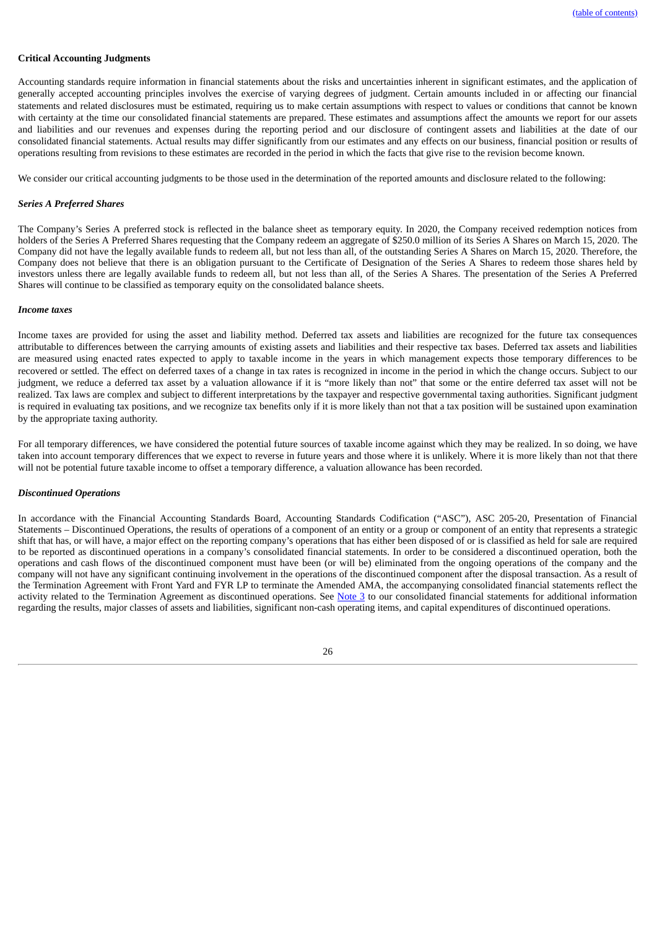#### **Critical Accounting Judgments**

Accounting standards require information in financial statements about the risks and uncertainties inherent in significant estimates, and the application of generally accepted accounting principles involves the exercise of varying degrees of judgment. Certain amounts included in or affecting our financial statements and related disclosures must be estimated, requiring us to make certain assumptions with respect to values or conditions that cannot be known with certainty at the time our consolidated financial statements are prepared. These estimates and assumptions affect the amounts we report for our assets and liabilities and our revenues and expenses during the reporting period and our disclosure of contingent assets and liabilities at the date of our consolidated financial statements. Actual results may differ significantly from our estimates and any effects on our business, financial position or results of operations resulting from revisions to these estimates are recorded in the period in which the facts that give rise to the revision become known.

We consider our critical accounting judgments to be those used in the determination of the reported amounts and disclosure related to the following:

#### *Series A Preferred Shares*

The Company's Series A preferred stock is reflected in the balance sheet as temporary equity. In 2020, the Company received redemption notices from holders of the Series A Preferred Shares requesting that the Company redeem an aggregate of \$250.0 million of its Series A Shares on March 15, 2020. The Company did not have the legally available funds to redeem all, but not less than all, of the outstanding Series A Shares on March 15, 2020. Therefore, the Company does not believe that there is an obligation pursuant to the Certificate of Designation of the Series A Shares to redeem those shares held by investors unless there are legally available funds to redeem all, but not less than all, of the Series A Shares. The presentation of the Series A Preferred Shares will continue to be classified as temporary equity on the consolidated balance sheets.

## *Income taxes*

Income taxes are provided for using the asset and liability method. Deferred tax assets and liabilities are recognized for the future tax consequences attributable to differences between the carrying amounts of existing assets and liabilities and their respective tax bases. Deferred tax assets and liabilities are measured using enacted rates expected to apply to taxable income in the years in which management expects those temporary differences to be recovered or settled. The effect on deferred taxes of a change in tax rates is recognized in income in the period in which the change occurs. Subject to our judgment, we reduce a deferred tax asset by a valuation allowance if it is "more likely than not" that some or the entire deferred tax asset will not be realized. Tax laws are complex and subject to different interpretations by the taxpayer and respective governmental taxing authorities. Significant judgment is required in evaluating tax positions, and we recognize tax benefits only if it is more likely than not that a tax position will be sustained upon examination by the appropriate taxing authority.

For all temporary differences, we have considered the potential future sources of taxable income against which they may be realized. In so doing, we have taken into account temporary differences that we expect to reverse in future years and those where it is unlikely. Where it is more likely than not that there will not be potential future taxable income to offset a temporary difference, a valuation allowance has been recorded.

## *Discontinued Operations*

<span id="page-29-0"></span>In accordance with the Financial Accounting Standards Board, Accounting Standards Codification ("ASC"), ASC 205-20, Presentation of Financial Statements – Discontinued Operations, the results of operations of a component of an entity or a group or component of an entity that represents a strategic shift that has, or will have, a major effect on the reporting company's operations that has either been disposed of or is classified as held for sale are required to be reported as discontinued operations in a company's consolidated financial statements. In order to be considered a discontinued operation, both the operations and cash flows of the discontinued component must have been (or will be) eliminated from the ongoing operations of the company and the company will not have any significant continuing involvement in the operations of the discontinued component after the disposal transaction. As a result of the Termination Agreement with Front Yard and FYR LP to terminate the Amended AMA, the accompanying consolidated financial statements reflect the activity related to the Termination Agreement as discontinued operations. See [Note](#page-56-0) 3 to our consolidated financial statements for additional information regarding the results, major classes of assets and liabilities, significant non-cash operating items, and capital expenditures of discontinued operations.

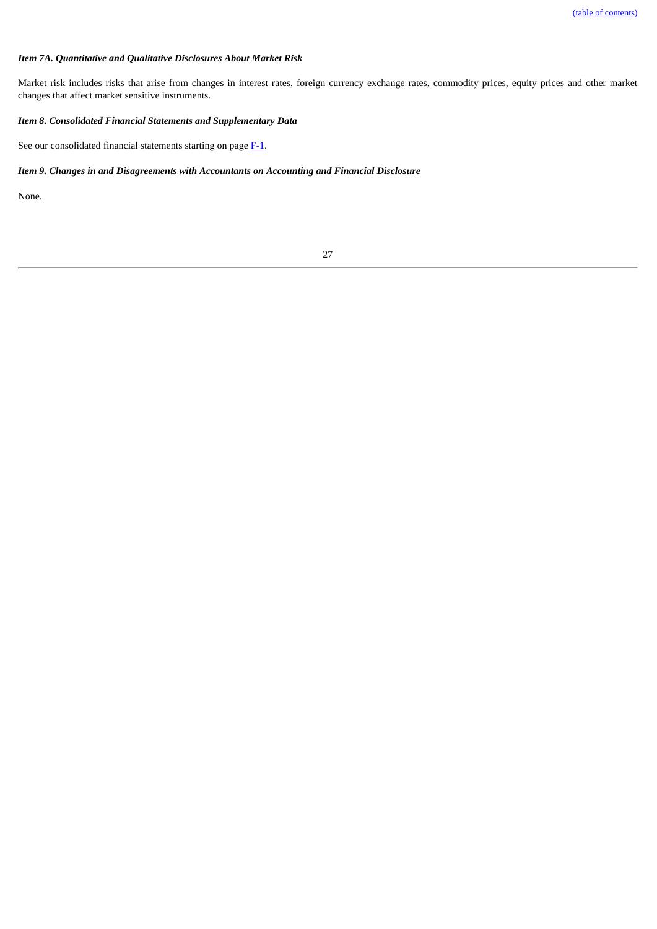# *Item 7A. Quantitative and Qualitative Disclosures About Market Risk*

Market risk includes risks that arise from changes in interest rates, foreign currency exchange rates, commodity prices, equity prices and other market changes that affect market sensitive instruments.

# <span id="page-30-0"></span>*Item 8. Consolidated Financial Statements and Supplementary Data*

See our consolidated financial statements starting on page  $F-1$ .

# <span id="page-30-1"></span>*Item 9. Changes in and Disagreements with Accountants on Accounting and Financial Disclosure*

<span id="page-30-2"></span>None.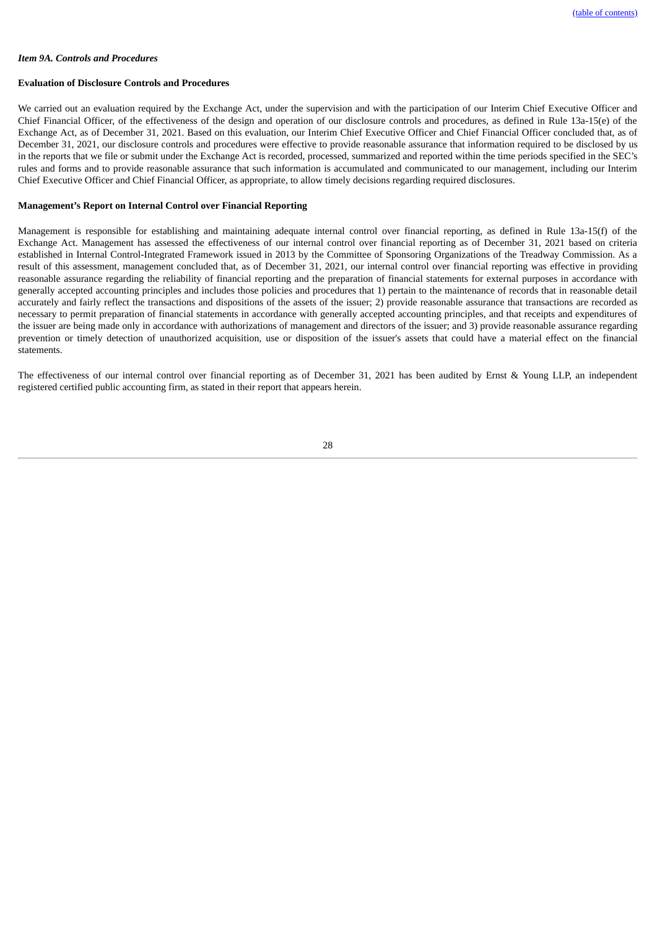#### *Item 9A. Controls and Procedures*

#### **Evaluation of Disclosure Controls and Procedures**

We carried out an evaluation required by the Exchange Act, under the supervision and with the participation of our Interim Chief Executive Officer and Chief Financial Officer, of the effectiveness of the design and operation of our disclosure controls and procedures, as defined in Rule 13a-15(e) of the Exchange Act, as of December 31, 2021. Based on this evaluation, our Interim Chief Executive Officer and Chief Financial Officer concluded that, as of December 31, 2021, our disclosure controls and procedures were effective to provide reasonable assurance that information required to be disclosed by us in the reports that we file or submit under the Exchange Act is recorded, processed, summarized and reported within the time periods specified in the SEC's rules and forms and to provide reasonable assurance that such information is accumulated and communicated to our management, including our Interim Chief Executive Officer and Chief Financial Officer, as appropriate, to allow timely decisions regarding required disclosures.

#### **Management's Report on Internal Control over Financial Reporting**

Management is responsible for establishing and maintaining adequate internal control over financial reporting, as defined in Rule 13a-15(f) of the Exchange Act. Management has assessed the effectiveness of our internal control over financial reporting as of December 31, 2021 based on criteria established in Internal Control-Integrated Framework issued in 2013 by the Committee of Sponsoring Organizations of the Treadway Commission. As a result of this assessment, management concluded that, as of December 31, 2021, our internal control over financial reporting was effective in providing reasonable assurance regarding the reliability of financial reporting and the preparation of financial statements for external purposes in accordance with generally accepted accounting principles and includes those policies and procedures that 1) pertain to the maintenance of records that in reasonable detail accurately and fairly reflect the transactions and dispositions of the assets of the issuer; 2) provide reasonable assurance that transactions are recorded as necessary to permit preparation of financial statements in accordance with generally accepted accounting principles, and that receipts and expenditures of the issuer are being made only in accordance with authorizations of management and directors of the issuer; and 3) provide reasonable assurance regarding prevention or timely detection of unauthorized acquisition, use or disposition of the issuer's assets that could have a material effect on the financial statements.

The effectiveness of our internal control over financial reporting as of December 31, 2021 has been audited by Ernst & Young LLP, an independent registered certified public accounting firm, as stated in their report that appears herein.

28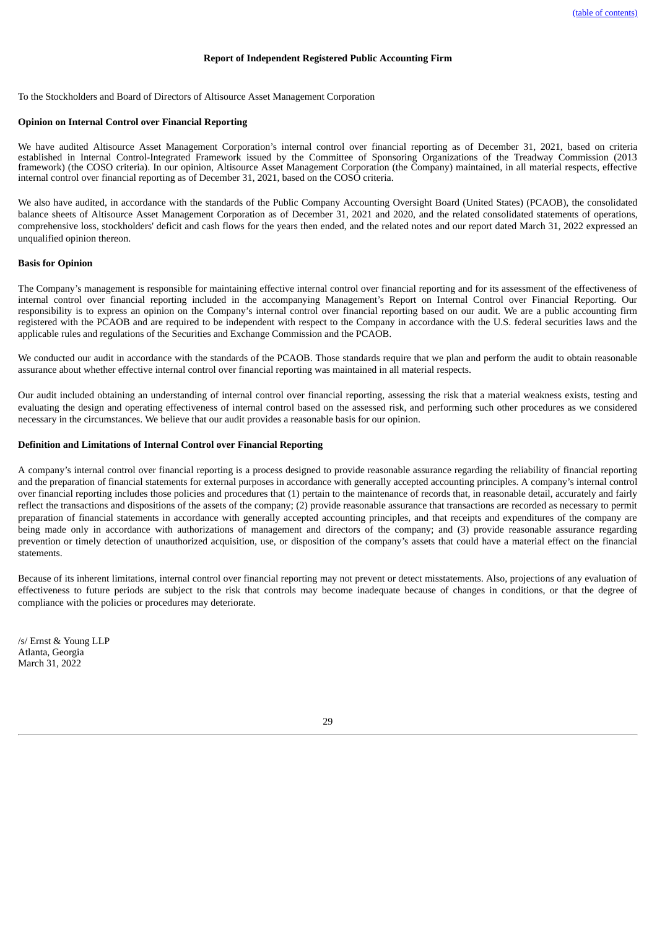#### **Report of Independent Registered Public Accounting Firm**

To the Stockholders and Board of Directors of Altisource Asset Management Corporation

#### **Opinion on Internal Control over Financial Reporting**

We have audited Altisource Asset Management Corporation's internal control over financial reporting as of December 31, 2021, based on criteria established in Internal Control-Integrated Framework issued by the Committee of Sponsoring Organizations of the Treadway Commission (2013 framework) (the COSO criteria). In our opinion, Altisource Asset Management Corporation (the Company) maintained, in all material respects, effective internal control over financial reporting as of December 31, 2021, based on the COSO criteria.

We also have audited, in accordance with the standards of the Public Company Accounting Oversight Board (United States) (PCAOB), the consolidated balance sheets of Altisource Asset Management Corporation as of December 31, 2021 and 2020, and the related consolidated statements of operations, comprehensive loss, stockholders' deficit and cash flows for the years then ended, and the related notes and our report dated March 31, 2022 expressed an unqualified opinion thereon.

## **Basis for Opinion**

The Company's management is responsible for maintaining effective internal control over financial reporting and for its assessment of the effectiveness of internal control over financial reporting included in the accompanying Management's Report on Internal Control over Financial Reporting. Our responsibility is to express an opinion on the Company's internal control over financial reporting based on our audit. We are a public accounting firm registered with the PCAOB and are required to be independent with respect to the Company in accordance with the U.S. federal securities laws and the applicable rules and regulations of the Securities and Exchange Commission and the PCAOB.

We conducted our audit in accordance with the standards of the PCAOB. Those standards require that we plan and perform the audit to obtain reasonable assurance about whether effective internal control over financial reporting was maintained in all material respects.

Our audit included obtaining an understanding of internal control over financial reporting, assessing the risk that a material weakness exists, testing and evaluating the design and operating effectiveness of internal control based on the assessed risk, and performing such other procedures as we considered necessary in the circumstances. We believe that our audit provides a reasonable basis for our opinion.

#### **Definition and Limitations of Internal Control over Financial Reporting**

A company's internal control over financial reporting is a process designed to provide reasonable assurance regarding the reliability of financial reporting and the preparation of financial statements for external purposes in accordance with generally accepted accounting principles. A company's internal control over financial reporting includes those policies and procedures that (1) pertain to the maintenance of records that, in reasonable detail, accurately and fairly reflect the transactions and dispositions of the assets of the company; (2) provide reasonable assurance that transactions are recorded as necessary to permit preparation of financial statements in accordance with generally accepted accounting principles, and that receipts and expenditures of the company are being made only in accordance with authorizations of management and directors of the company; and (3) provide reasonable assurance regarding prevention or timely detection of unauthorized acquisition, use, or disposition of the company's assets that could have a material effect on the financial statements.

Because of its inherent limitations, internal control over financial reporting may not prevent or detect misstatements. Also, projections of any evaluation of effectiveness to future periods are subject to the risk that controls may become inadequate because of changes in conditions, or that the degree of compliance with the policies or procedures may deteriorate.

/s/ Ernst & Young LLP Atlanta, Georgia March 31, 2022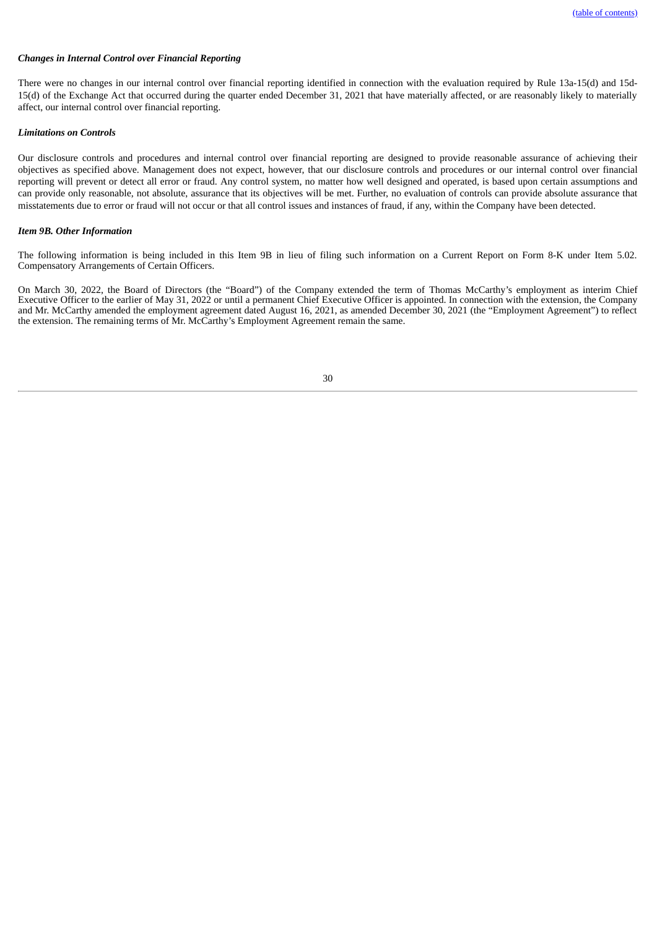#### *Changes in Internal Control over Financial Reporting*

There were no changes in our internal control over financial reporting identified in connection with the evaluation required by Rule 13a-15(d) and 15d-15(d) of the Exchange Act that occurred during the quarter ended December 31, 2021 that have materially affected, or are reasonably likely to materially affect, our internal control over financial reporting.

#### *Limitations on Controls*

Our disclosure controls and procedures and internal control over financial reporting are designed to provide reasonable assurance of achieving their objectives as specified above. Management does not expect, however, that our disclosure controls and procedures or our internal control over financial reporting will prevent or detect all error or fraud. Any control system, no matter how well designed and operated, is based upon certain assumptions and can provide only reasonable, not absolute, assurance that its objectives will be met. Further, no evaluation of controls can provide absolute assurance that misstatements due to error or fraud will not occur or that all control issues and instances of fraud, if any, within the Company have been detected.

#### <span id="page-33-0"></span>*Item 9B. Other Information*

The following information is being included in this Item 9B in lieu of filing such information on a Current Report on Form 8-K under Item 5.02. Compensatory Arrangements of Certain Officers.

<span id="page-33-1"></span>On March 30, 2022, the Board of Directors (the "Board") of the Company extended the term of Thomas McCarthy's employment as interim Chief Executive Officer to the earlier of May 31, 2022 or until a permanent Chief Executive Officer is appointed. In connection with the extension, the Company and Mr. McCarthy amended the employment agreement dated August 16, 2021, as amended December 30, 2021 (the "Employment Agreement") to reflect the extension. The remaining terms of Mr. McCarthy's Employment Agreement remain the same.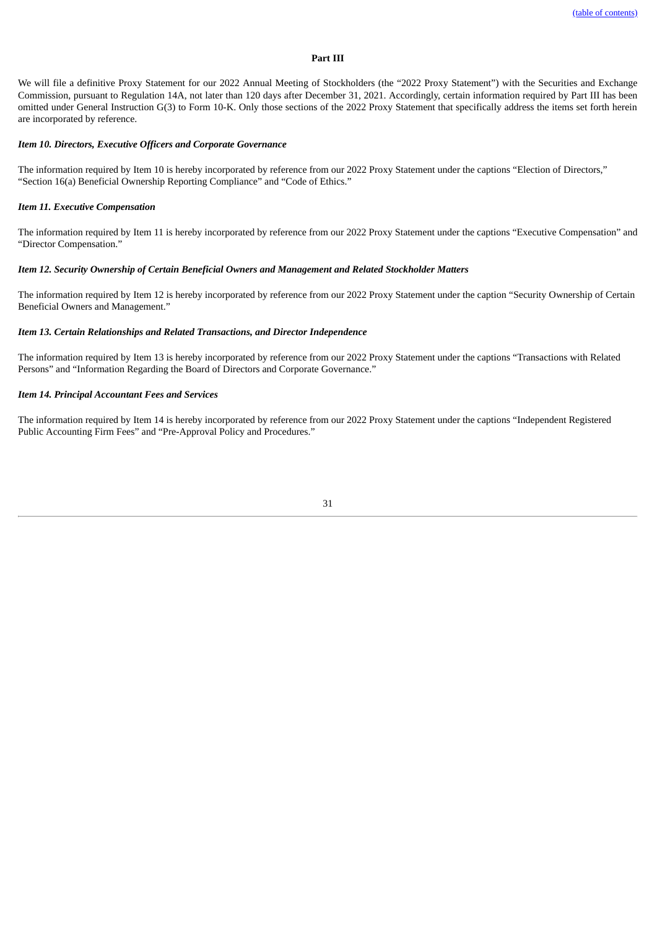# **Part III**

We will file a definitive Proxy Statement for our 2022 Annual Meeting of Stockholders (the "2022 Proxy Statement") with the Securities and Exchange Commission, pursuant to Regulation 14A, not later than 120 days after December 31, 2021. Accordingly, certain information required by Part III has been omitted under General Instruction G(3) to Form 10-K. Only those sections of the 2022 Proxy Statement that specifically address the items set forth herein are incorporated by reference.

#### <span id="page-34-0"></span>*Item 10. Directors, Executive Officers and Corporate Governance*

The information required by Item 10 is hereby incorporated by reference from our 2022 Proxy Statement under the captions "Election of Directors," "Section 16(a) Beneficial Ownership Reporting Compliance" and "Code of Ethics."

#### <span id="page-34-1"></span>*Item 11. Executive Compensation*

The information required by Item 11 is hereby incorporated by reference from our 2022 Proxy Statement under the captions "Executive Compensation" and "Director Compensation."

# <span id="page-34-2"></span>*Item 12. Security Ownership of Certain Beneficial Owners and Management and Related Stockholder Matters*

The information required by Item 12 is hereby incorporated by reference from our 2022 Proxy Statement under the caption "Security Ownership of Certain Beneficial Owners and Management."

## <span id="page-34-3"></span>*Item 13. Certain Relationships and Related Transactions, and Director Independence*

The information required by Item 13 is hereby incorporated by reference from our 2022 Proxy Statement under the captions "Transactions with Related Persons" and "Information Regarding the Board of Directors and Corporate Governance."

# <span id="page-34-4"></span>*Item 14. Principal Accountant Fees and Services*

<span id="page-34-5"></span>The information required by Item 14 is hereby incorporated by reference from our 2022 Proxy Statement under the captions "Independent Registered Public Accounting Firm Fees" and "Pre-Approval Policy and Procedures."

31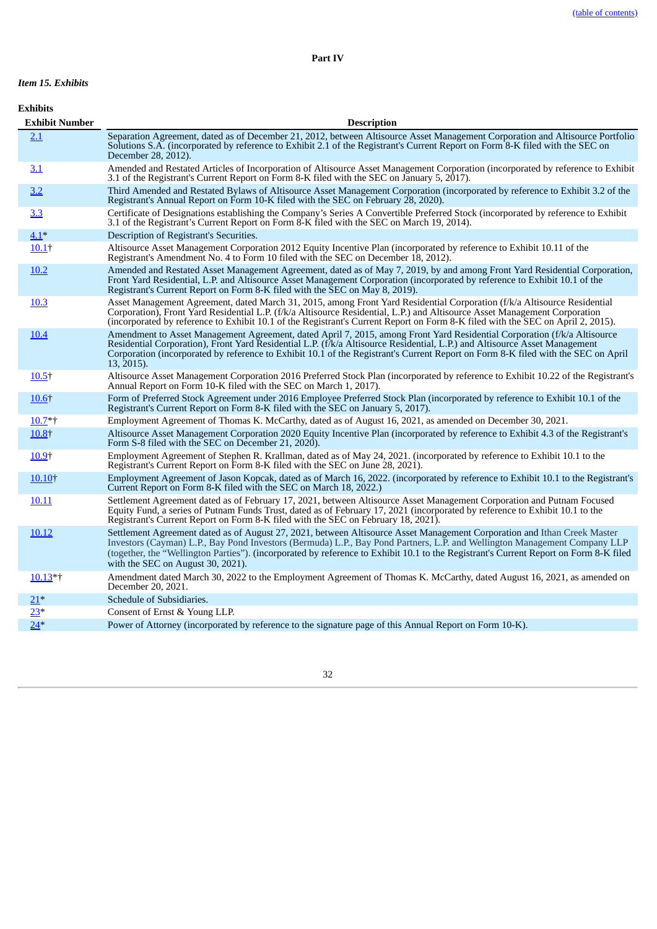# <span id="page-35-0"></span>*Item 15. Exhibits*

# **Exhibits**

| <b>Exhibit Number</b> | <b>Description</b>                                                                                                                                                                                                                                                                                                                                                                                                                  |
|-----------------------|-------------------------------------------------------------------------------------------------------------------------------------------------------------------------------------------------------------------------------------------------------------------------------------------------------------------------------------------------------------------------------------------------------------------------------------|
| 2.1                   | Separation Agreement, dated as of December 21, 2012, between Altisource Asset Management Corporation and Altisource Portfolio<br>Solutions S.A. (incorporated by reference to Exhibit 2.1 of the Registrant's Current Report on Form 8-K filed with the SEC on<br>December 28, 2012).                                                                                                                                               |
| <u>3.1</u>            | Amended and Restated Articles of Incorporation of Altisource Asset Management Corporation (incorporated by reference to Exhibit<br>3.1 of the Registrant's Current Report on Form 8-K filed with the SEC on January 5, 2017).                                                                                                                                                                                                       |
| 3.2                   | Third Amended and Restated Bylaws of Altisource Asset Management Corporation (incorporated by reference to Exhibit 3.2 of the<br>Registrant's Annual Report on Form 10-K filed with the SEC on February 28, 2020).                                                                                                                                                                                                                  |
| 3.3                   | Certificate of Designations establishing the Company's Series A Convertible Preferred Stock (incorporated by reference to Exhibit<br>3.1 of the Registrant's Current Report on Form 8-K filed with the SEC on March 19, 2014).                                                                                                                                                                                                      |
| $4.1*$                | Description of Registrant's Securities.                                                                                                                                                                                                                                                                                                                                                                                             |
| $10.1+$               | Altisource Asset Management Corporation 2012 Equity Incentive Plan (incorporated by reference to Exhibit 10.11 of the<br>Registrant's Amendment No. 4 to Form 10 filed with the SEC on December 18, 2012).                                                                                                                                                                                                                          |
| <u>10.2</u>           | Amended and Restated Asset Management Agreement, dated as of May 7, 2019, by and among Front Yard Residential Corporation,<br>Front Yard Residential, L.P. and Altisource Asset Management Corporation (incorporated by reference to Exhibit 10.1 of the<br>Registrant's Current Report on Form 8-K filed with the SEC on May 8, 2019).                                                                                             |
| 10.3                  | Asset Management Agreement, dated March 31, 2015, among Front Yard Residential Corporation (f/k/a Altisource Residential<br>Corporation), Front Yard Residential L.P. (f/k/a Altisource Residential, L.P.) and Altisource Asset Management Corporation<br>(incorporated by reference to Exhibit 10.1 of the Registrant's Current Report on Form 8-K filed with the SEC on April 2, 2015).                                           |
| 10.4                  | Amendment to Asset Management Agreement, dated April 7, 2015, among Front Yard Residential Corporation (f/k/a Altisource<br>Residential Corporation), Front Yard Residential L.P. (f/k/a Altisource Residential, L.P.) and Altisource Asset Management<br>Corporation (incorporated by reference to Exhibit 10.1 of the Registrant's Current Report on Form 8-K filed with the SEC on April<br>13, 2015).                           |
| $10.5+$               | Altisource Asset Management Corporation 2016 Preferred Stock Plan (incorporated by reference to Exhibit 10.22 of the Registrant's<br>Annual Report on Form 10-K filed with the SEC on March 1, 2017).                                                                                                                                                                                                                               |
| 10.6†                 | Form of Preferred Stock Agreement under 2016 Employee Preferred Stock Plan (incorporated by reference to Exhibit 10.1 of the<br>Registrant's Current Report on Form 8-K filed with the SEC on January 5, 2017).                                                                                                                                                                                                                     |
| $10.7*$               | Employment Agreement of Thomas K. McCarthy, dated as of August 16, 2021, as amended on December 30, 2021.                                                                                                                                                                                                                                                                                                                           |
| $10.8$ <sup>†</sup>   | Altisource Asset Management Corporation 2020 Equity Incentive Plan (incorporated by reference to Exhibit 4.3 of the Registrant's<br>Form S-8 filed with the SEC on December 21, 2020).                                                                                                                                                                                                                                              |
| $10.9$ <sup>+</sup>   | Employment Agreement of Stephen R. Krallman, dated as of May 24, 2021. (incorporated by reference to Exhibit 10.1 to the<br>Registrant's Current Report on Form 8-K filed with the SEC on June 28, 2021).                                                                                                                                                                                                                           |
| 10.10 <sup>+</sup>    | Employment Agreement of Jason Kopcak, dated as of March 16, 2022. (incorporated by reference to Exhibit 10.1 to the Registrant's<br>Current Report on Form 8-K filed with the SEC on March 18, 2022.)                                                                                                                                                                                                                               |
| 10.11                 | Settlement Agreement dated as of February 17, 2021, between Altisource Asset Management Corporation and Putnam Focused<br>Equity Fund, a series of Putnam Funds Trust, dated as of February 17, 2021 (incorporated by reference to Exhibit 10.1 to the<br>Registrant's Current Report on Form 8-K filed with the SEC on February 18, 2021).                                                                                         |
| 10.12                 | Settlement Agreement dated as of August 27, 2021, between Altisource Asset Management Corporation and Ithan Creek Master<br>Investors (Cayman) L.P., Bay Pond Investors (Bermuda) L.P., Bay Pond Partners, L.P. and Wellington Management Company LLP<br>(together, the "Wellington Parties"). (incorporated by reference to Exhibit 10.1 to the Registrant's Current Report on Form 8-K filed<br>with the SEC on August 30, 2021). |
| $10.13*$              | Amendment dated March 30, 2022 to the Employment Agreement of Thomas K. McCarthy, dated August 16, 2021, as amended on<br>December 20, 2021.                                                                                                                                                                                                                                                                                        |
| $21*$                 | Schedule of Subsidiaries.                                                                                                                                                                                                                                                                                                                                                                                                           |
| $23*$                 | Consent of Ernst & Young LLP.                                                                                                                                                                                                                                                                                                                                                                                                       |
| $24*$                 | Power of Attorney (incorporated by reference to the signature page of this Annual Report on Form 10-K).                                                                                                                                                                                                                                                                                                                             |
|                       |                                                                                                                                                                                                                                                                                                                                                                                                                                     |

32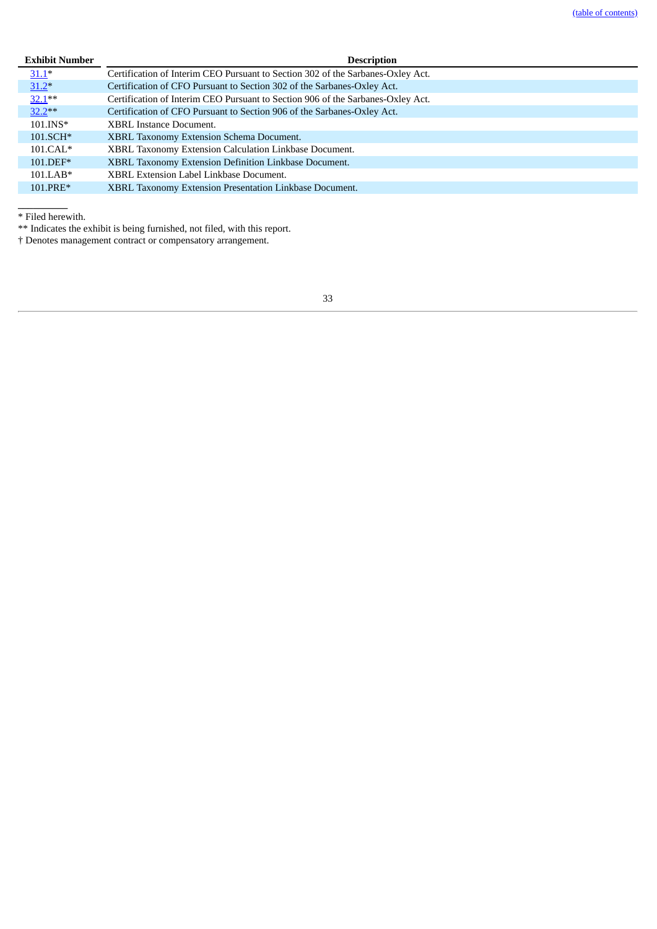| <b>Exhibit Number</b> | <b>Description</b>                                                              |
|-----------------------|---------------------------------------------------------------------------------|
| $31.1*$               | Certification of Interim CEO Pursuant to Section 302 of the Sarbanes-Oxley Act. |
| $31.2*$               | Certification of CFO Pursuant to Section 302 of the Sarbanes-Oxley Act.         |
| $32.1**$              | Certification of Interim CEO Pursuant to Section 906 of the Sarbanes-Oxley Act. |
| $32.2**$              | Certification of CFO Pursuant to Section 906 of the Sarbanes-Oxley Act.         |
| $101.1$ NS*           | <b>XBRL Instance Document.</b>                                                  |
| $101.SCH*$            | <b>XBRL Taxonomy Extension Schema Document.</b>                                 |
| $101.CAL*$            | XBRL Taxonomy Extension Calculation Linkbase Document.                          |
| $101.DEF*$            | <b>XBRL Taxonomy Extension Definition Linkbase Document.</b>                    |
| $101.LAB*$            | XBRL Extension Label Linkbase Document.                                         |
| 101.PRE*              | XBRL Taxonomy Extension Presentation Linkbase Document.                         |

\* Filed herewith.

**\_\_\_\_\_\_\_\_\_\_**

\*\* Indicates the exhibit is being furnished, not filed, with this report.

† Denotes management contract or compensatory arrangement.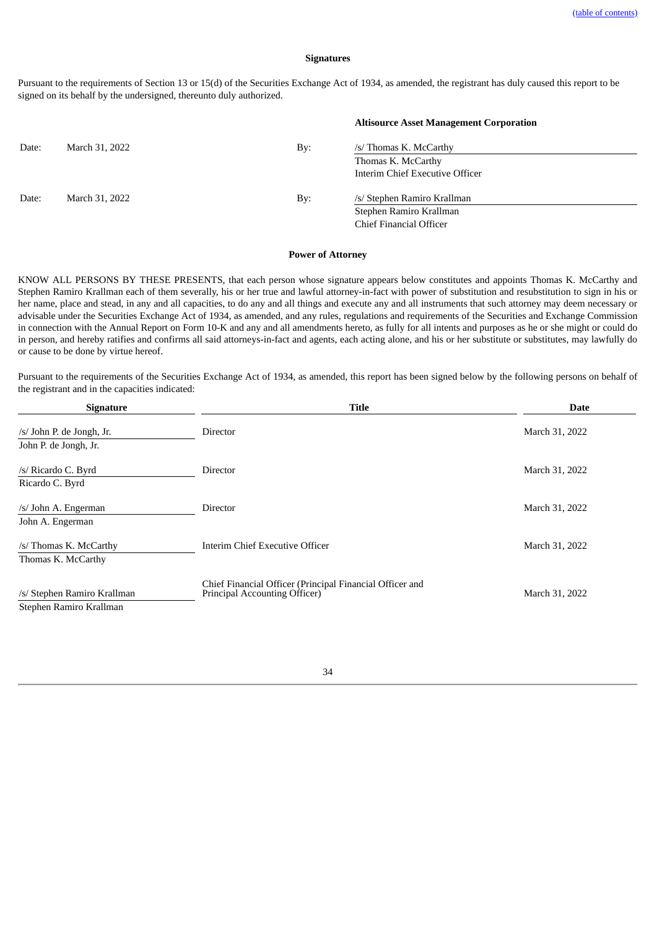## **Signatures**

Pursuant to the requirements of Section 13 or 15(d) of the Securities Exchange Act of 1934, as amended, the registrant has duly caused this report to be signed on its behalf by the undersigned, thereunto duly authorized.

|       |                |     | <b>Altisource Asset Management Corporation</b> |
|-------|----------------|-----|------------------------------------------------|
| Date: | March 31, 2022 | By: | /s/ Thomas K. McCarthy                         |
|       |                |     | Thomas K. McCarthy                             |
|       |                |     | Interim Chief Executive Officer                |
| Date: | March 31, 2022 | By: | /s/ Stephen Ramiro Krallman                    |
|       |                |     | Stephen Ramiro Krallman                        |
|       |                |     | Chief Financial Officer                        |

#### **Power of Attorney**

KNOW ALL PERSONS BY THESE PRESENTS, that each person whose signature appears below constitutes and appoints Thomas K. McCarthy and Stephen Ramiro Krallman each of them severally, his or her true and lawful attorney-in-fact with power of substitution and resubstitution to sign in his or her name, place and stead, in any and all capacities, to do any and all things and execute any and all instruments that such attorney may deem necessary or advisable under the Securities Exchange Act of 1934, as amended, and any rules, regulations and requirements of the Securities and Exchange Commission in connection with the Annual Report on Form 10-K and any and all amendments hereto, as fully for all intents and purposes as he or she might or could do in person, and hereby ratifies and confirms all said attorneys-in-fact and agents, each acting alone, and his or her substitute or substitutes, may lawfully do or cause to be done by virtue hereof.

Pursuant to the requirements of the Securities Exchange Act of 1934, as amended, this report has been signed below by the following persons on behalf of the registrant and in the capacities indicated:

| <b>Signature</b>            | <b>Title</b>                                                                              | <b>Date</b>    |
|-----------------------------|-------------------------------------------------------------------------------------------|----------------|
| /s/ John P. de Jongh, Jr.   | Director                                                                                  | March 31, 2022 |
| John P. de Jongh, Jr.       |                                                                                           |                |
| /s/ Ricardo C. Byrd         | Director                                                                                  | March 31, 2022 |
| Ricardo C. Byrd             |                                                                                           |                |
| /s/ John A. Engerman        | Director                                                                                  | March 31, 2022 |
| John A. Engerman            |                                                                                           |                |
| /s/ Thomas K. McCarthy      | Interim Chief Executive Officer                                                           | March 31, 2022 |
| Thomas K. McCarthy          |                                                                                           |                |
| /s/ Stephen Ramiro Krallman | Chief Financial Officer (Principal Financial Officer and<br>Principal Accounting Officer) | March 31, 2022 |
| Stephen Ramiro Krallman     |                                                                                           |                |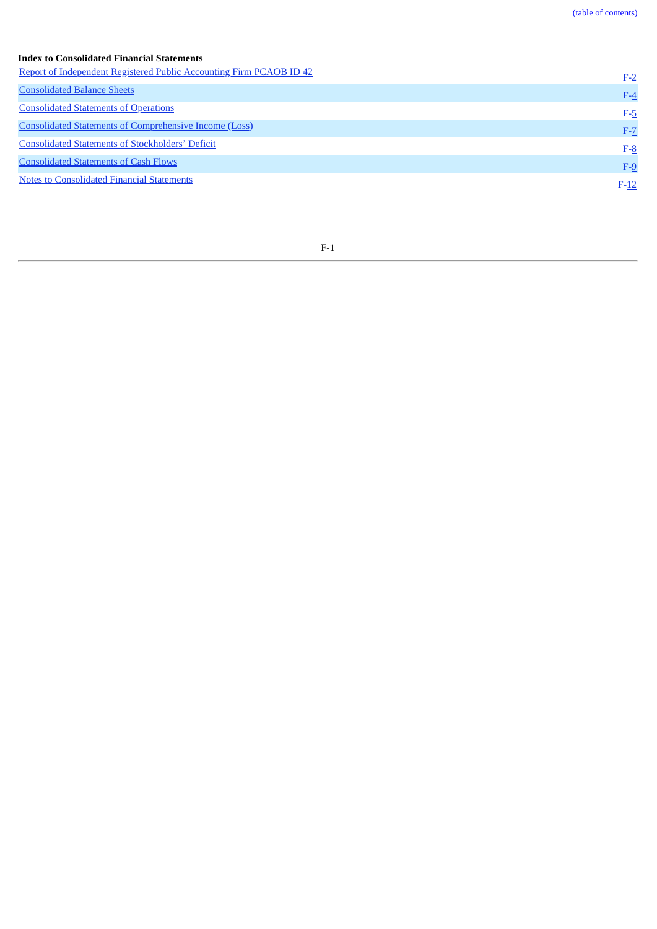# **Index to Consolidated Financial Statements**

<span id="page-38-0"></span>

| Report of Independent Registered Public Accounting Firm PCAOB ID 42 | $F-2$  |
|---------------------------------------------------------------------|--------|
| <b>Consolidated Balance Sheets</b>                                  | $F-4$  |
| <b>Consolidated Statements of Operations</b>                        | $F-5$  |
| <b>Consolidated Statements of Comprehensive Income (Loss)</b>       | $F-7$  |
| <b>Consolidated Statements of Stockholders' Deficit</b>             | $F-8$  |
| <b>Consolidated Statements of Cash Flows</b>                        | $F-9$  |
| <b>Notes to Consolidated Financial Statements</b>                   | $F-12$ |
|                                                                     |        |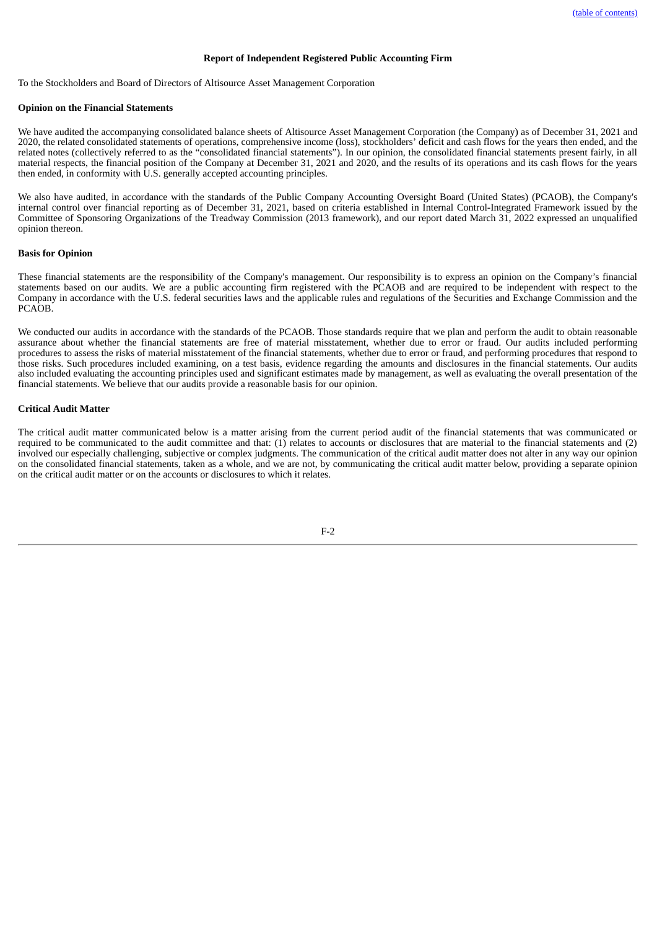#### **Report of Independent Registered Public Accounting Firm**

To the Stockholders and Board of Directors of Altisource Asset Management Corporation

#### **Opinion on the Financial Statements**

We have audited the accompanying consolidated balance sheets of Altisource Asset Management Corporation (the Company) as of December 31, 2021 and 2020, the related consolidated statements of operations, comprehensive income (loss), stockholders' deficit and cash flows for the years then ended, and the related notes (collectively referred to as the "consolidated financial statements"). In our opinion, the consolidated financial statements present fairly, in all material respects, the financial position of the Company at December 31, 2021 and 2020, and the results of its operations and its cash flows for the years then ended, in conformity with U.S. generally accepted accounting principles.

We also have audited, in accordance with the standards of the Public Company Accounting Oversight Board (United States) (PCAOB), the Company's internal control over financial reporting as of December 31, 2021, based on criteria established in Internal Control-Integrated Framework issued by the Committee of Sponsoring Organizations of the Treadway Commission (2013 framework), and our report dated March 31, 2022 expressed an unqualified opinion thereon.

#### **Basis for Opinion**

These financial statements are the responsibility of the Company's management. Our responsibility is to express an opinion on the Company's financial statements based on our audits. We are a public accounting firm registered with the PCAOB and are required to be independent with respect to the Company in accordance with the U.S. federal securities laws and the applicable rules and regulations of the Securities and Exchange Commission and the PCAOB.

We conducted our audits in accordance with the standards of the PCAOB. Those standards require that we plan and perform the audit to obtain reasonable assurance about whether the financial statements are free of material misstatement, whether due to error or fraud. Our audits included performing procedures to assess the risks of material misstatement of the financial statements, whether due to error or fraud, and performing procedures that respond to those risks. Such procedures included examining, on a test basis, evidence regarding the amounts and disclosures in the financial statements. Our audits also included evaluating the accounting principles used and significant estimates made by management, as well as evaluating the overall presentation of the financial statements. We believe that our audits provide a reasonable basis for our opinion.

### **Critical Audit Matter**

The critical audit matter communicated below is a matter arising from the current period audit of the financial statements that was communicated or required to be communicated to the audit committee and that: (1) relates to accounts or disclosures that are material to the financial statements and (2) involved our especially challenging, subjective or complex judgments. The communication of the critical audit matter does not alter in any way our opinion on the consolidated financial statements, taken as a whole, and we are not, by communicating the critical audit matter below, providing a separate opinion on the critical audit matter or on the accounts or disclosures to which it relates.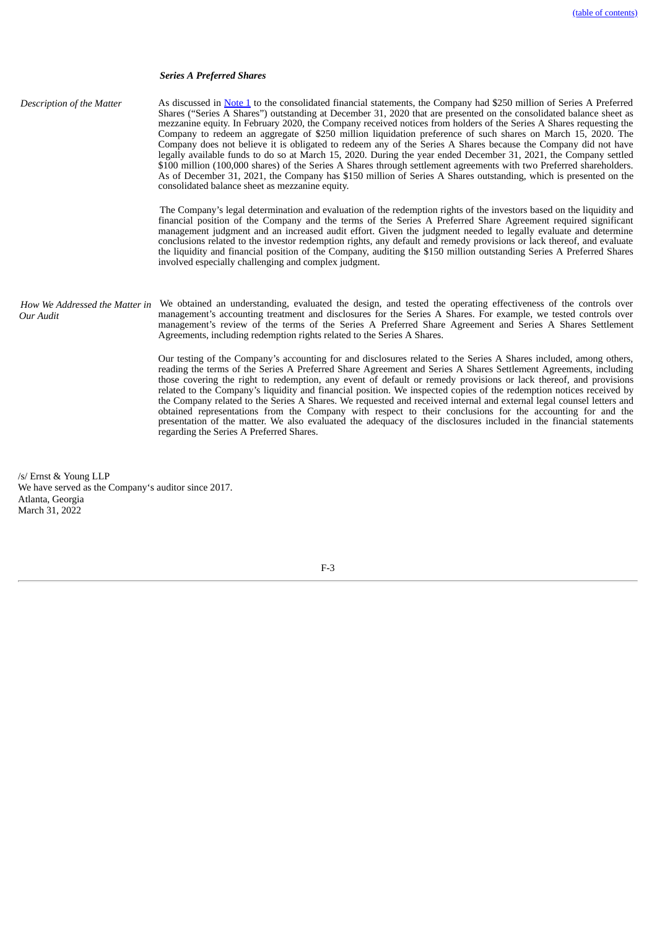#### *Series A Preferred Shares*

regarding the Series A Preferred Shares.

*Description of the Matter* As discussed in [Note](#page-49-0) 1 to the consolidated financial statements, the Company had \$250 million of Series A Preferred Shares ("Series A Shares") outstanding at December 31, 2020 that are presented on the consolidated balance sheet as mezzanine equity. In February 2020, the Company received notices from holders of the Series A Shares requesting the Company to redeem an aggregate of \$250 million liquidation preference of such shares on March 15, 2020. The Company does not believe it is obligated to redeem any of the Series A Shares because the Company did not have legally available funds to do so at March 15, 2020. During the year ended December 31, 2021, the Company settled \$100 million (100,000 shares) of the Series A Shares through settlement agreements with two Preferred shareholders. As of December 31, 2021, the Company has \$150 million of Series A Shares outstanding, which is presented on the consolidated balance sheet as mezzanine equity. The Company's legal determination and evaluation of the redemption rights of the investors based on the liquidity and financial position of the Company and the terms of the Series A Preferred Share Agreement required significant management judgment and an increased audit effort. Given the judgment needed to legally evaluate and determine conclusions related to the investor redemption rights, any default and remedy provisions or lack thereof, and evaluate the liquidity and financial position of the Company, auditing the \$150 million outstanding Series A Preferred Shares involved especially challenging and complex judgment. *How We Addressed the Matter in Our Audit* We obtained an understanding, evaluated the design, and tested the operating effectiveness of the controls over management's accounting treatment and disclosures for the Series A Shares. For example, we tested controls over management's review of the terms of the Series A Preferred Share Agreement and Series A Shares Settlement Agreements, including redemption rights related to the Series A Shares. Our testing of the Company's accounting for and disclosures related to the Series A Shares included, among others, reading the terms of the Series A Preferred Share Agreement and Series A Shares Settlement Agreements, including those covering the right to redemption, any event of default or remedy provisions or lack thereof, and provisions related to the Company's liquidity and financial position. We inspected copies of the redemption notices received by the Company related to the Series A Shares. We requested and received internal and external legal counsel letters and obtained representations from the Company with respect to their conclusions for the accounting for and the

<span id="page-40-0"></span>/s/ Ernst & Young LLP We have served as the Company's auditor since 2017. Atlanta, Georgia March 31, 2022

F-3

presentation of the matter. We also evaluated the adequacy of the disclosures included in the financial statements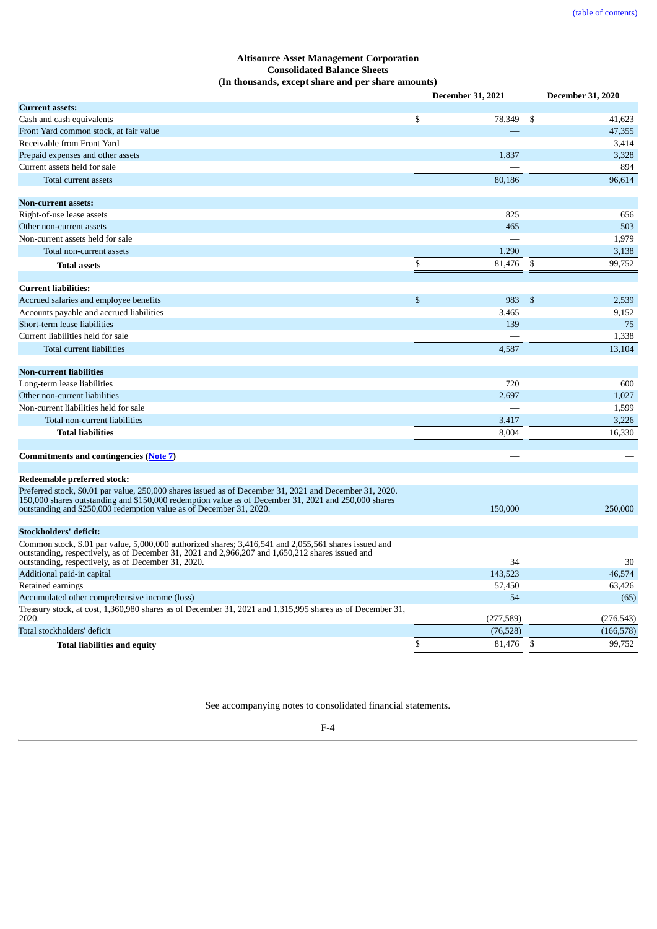## **Altisource Asset Management Corporation Consolidated Balance Sheets (In thousands, except share and per share amounts)**

|                                                                                                                                                                                                                                                                                        | <b>December 31, 2021</b> |      | <b>December 31, 2020</b> |
|----------------------------------------------------------------------------------------------------------------------------------------------------------------------------------------------------------------------------------------------------------------------------------------|--------------------------|------|--------------------------|
| <b>Current assets:</b>                                                                                                                                                                                                                                                                 |                          |      |                          |
| Cash and cash equivalents                                                                                                                                                                                                                                                              | \$<br>78,349             | - \$ | 41,623                   |
| Front Yard common stock, at fair value                                                                                                                                                                                                                                                 |                          |      | 47,355                   |
| Receivable from Front Yard                                                                                                                                                                                                                                                             |                          |      | 3,414                    |
| Prepaid expenses and other assets                                                                                                                                                                                                                                                      | 1,837                    |      | 3,328                    |
| Current assets held for sale                                                                                                                                                                                                                                                           |                          |      | 894                      |
| Total current assets                                                                                                                                                                                                                                                                   | 80,186                   |      | 96,614                   |
| <b>Non-current assets:</b>                                                                                                                                                                                                                                                             |                          |      |                          |
| Right-of-use lease assets                                                                                                                                                                                                                                                              | 825                      |      | 656                      |
| Other non-current assets                                                                                                                                                                                                                                                               | 465                      |      | 503                      |
| Non-current assets held for sale                                                                                                                                                                                                                                                       |                          |      | 1,979                    |
| Total non-current assets                                                                                                                                                                                                                                                               | 1,290                    |      | 3,138                    |
| <b>Total assets</b>                                                                                                                                                                                                                                                                    | \$<br>81,476             | \$   | 99,752                   |
| <b>Current liabilities:</b>                                                                                                                                                                                                                                                            |                          |      |                          |
| Accrued salaries and employee benefits                                                                                                                                                                                                                                                 | \$<br>983                | -\$  | 2,539                    |
| Accounts payable and accrued liabilities                                                                                                                                                                                                                                               | 3,465                    |      | 9,152                    |
| Short-term lease liabilities                                                                                                                                                                                                                                                           | 139                      |      | 75                       |
| Current liabilities held for sale                                                                                                                                                                                                                                                      |                          |      | 1,338                    |
| Total current liabilities                                                                                                                                                                                                                                                              | 4.587                    |      | 13,104                   |
|                                                                                                                                                                                                                                                                                        |                          |      |                          |
| <b>Non-current liabilities</b>                                                                                                                                                                                                                                                         |                          |      |                          |
| Long-term lease liabilities                                                                                                                                                                                                                                                            | 720                      |      | 600                      |
| Other non-current liabilities                                                                                                                                                                                                                                                          | 2,697                    |      | 1,027                    |
| Non-current liabilities held for sale                                                                                                                                                                                                                                                  |                          |      | 1,599                    |
| Total non-current liabilities                                                                                                                                                                                                                                                          | 3,417                    |      | 3,226                    |
| <b>Total liabilities</b>                                                                                                                                                                                                                                                               | 8,004                    |      | 16,330                   |
| <b>Commitments and contingencies (Note 7)</b>                                                                                                                                                                                                                                          |                          |      |                          |
|                                                                                                                                                                                                                                                                                        |                          |      |                          |
| Redeemable preferred stock:                                                                                                                                                                                                                                                            |                          |      |                          |
| Preferred stock, \$0.01 par value, 250,000 shares issued as of December 31, 2021 and December 31, 2020.<br>150,000 shares outstanding and \$150,000 redemption value as of December 31, 2021 and 250,000 shares<br>outstanding and \$250,000 redemption value as of December 31, 2020. | 150,000                  |      | 250,000                  |
| Stockholders' deficit:                                                                                                                                                                                                                                                                 |                          |      |                          |
| Common stock, \$.01 par value, 5,000,000 authorized shares; 3,416,541 and 2,055,561 shares issued and<br>outstanding, respectively, as of December 31, 2021 and 2,966,207 and 1,650,212 shares issued and                                                                              |                          |      |                          |
| outstanding, respectively, as of December 31, 2020.                                                                                                                                                                                                                                    | 34                       |      | 30                       |
| Additional paid-in capital                                                                                                                                                                                                                                                             | 143,523                  |      | 46,574                   |
| Retained earnings                                                                                                                                                                                                                                                                      | 57,450                   |      | 63,426                   |
| Accumulated other comprehensive income (loss)                                                                                                                                                                                                                                          | 54                       |      | (65)                     |
| Treasury stock, at cost, 1,360,980 shares as of December 31, 2021 and 1,315,995 shares as of December 31,<br>2020.                                                                                                                                                                     | (277, 589)               |      | (276, 543)               |
| Total stockholders' deficit                                                                                                                                                                                                                                                            | (76, 528)                |      | (166, 578)               |
| <b>Total liabilities and equity</b>                                                                                                                                                                                                                                                    | \$<br>81,476             | \$   | 99,752                   |

<span id="page-41-0"></span>See accompanying notes to consolidated financial statements.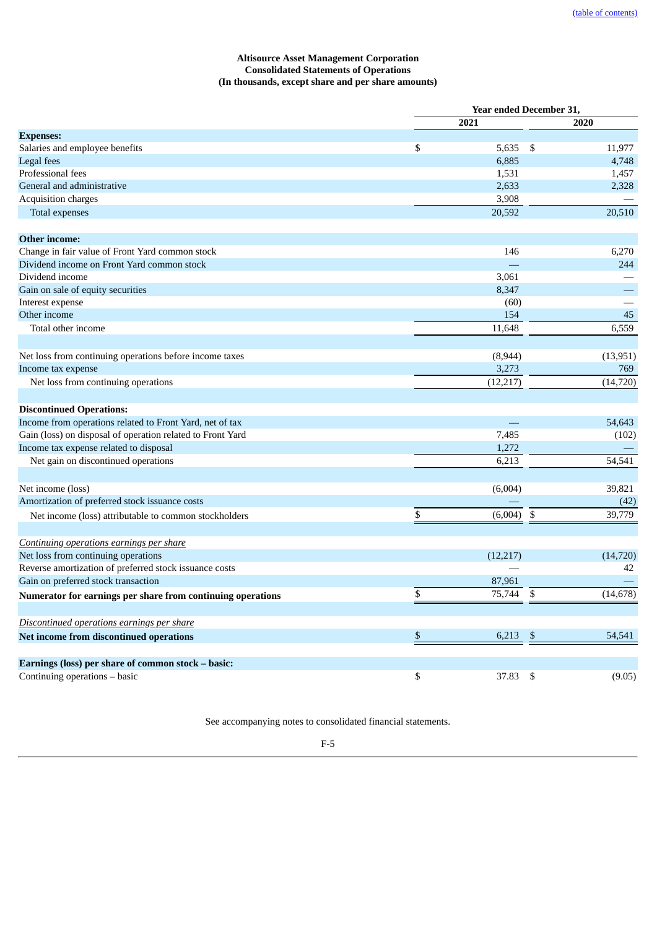# **Altisource Asset Management Corporation Consolidated Statements of Operations (In thousands, except share and per share amounts)**

|                                                             |               | Year ended December 31, |                 |
|-------------------------------------------------------------|---------------|-------------------------|-----------------|
|                                                             |               | 2021                    | 2020            |
| <b>Expenses:</b>                                            |               |                         |                 |
| Salaries and employee benefits                              | \$            | 5,635                   | \$<br>11,977    |
| Legal fees                                                  |               | 6,885                   | 4,748           |
| Professional fees                                           |               | 1,531                   | 1,457           |
| General and administrative                                  |               | 2,633                   | 2,328           |
| Acquisition charges                                         |               | 3,908                   |                 |
| Total expenses                                              |               | 20,592                  | 20,510          |
| <b>Other income:</b>                                        |               |                         |                 |
| Change in fair value of Front Yard common stock             |               | 146                     | 6,270           |
| Dividend income on Front Yard common stock                  |               |                         | 244             |
| Dividend income                                             |               | 3,061                   |                 |
| Gain on sale of equity securities                           |               | 8,347                   |                 |
| Interest expense                                            |               | (60)                    |                 |
| Other income                                                |               | 154                     | 45              |
| Total other income                                          |               | 11,648                  | 6,559           |
| Net loss from continuing operations before income taxes     |               | (8,944)                 | (13,951)        |
| Income tax expense                                          |               | 3,273                   | 769             |
| Net loss from continuing operations                         |               | (12, 217)               | (14, 720)       |
| <b>Discontinued Operations:</b>                             |               |                         |                 |
| Income from operations related to Front Yard, net of tax    |               |                         | 54,643          |
| Gain (loss) on disposal of operation related to Front Yard  |               | 7,485                   | (102)           |
| Income tax expense related to disposal                      |               | 1,272                   |                 |
|                                                             |               |                         |                 |
| Net gain on discontinued operations                         |               | 6,213                   | 54,541          |
| Net income (loss)                                           |               | (6,004)                 | 39,821          |
| Amortization of preferred stock issuance costs              |               |                         | (42)            |
| Net income (loss) attributable to common stockholders       | \$            | (6,004)                 | \$<br>39,779    |
| Continuing operations earnings per share                    |               |                         |                 |
| Net loss from continuing operations                         |               | (12, 217)               | (14, 720)       |
| Reverse amortization of preferred stock issuance costs      |               |                         | 42              |
| Gain on preferred stock transaction                         |               | 87,961                  |                 |
| Numerator for earnings per share from continuing operations | \$            | 75,744                  | \$<br>(14, 678) |
| Discontinued operations earnings per share                  |               |                         |                 |
| Net income from discontinued operations                     | $\frac{1}{2}$ | 6,213 \$                | 54,541          |
|                                                             |               |                         |                 |
| Earnings (loss) per share of common stock - basic:          |               |                         |                 |
| Continuing operations - basic                               | \$            | 37.83 \$                | (9.05)          |

See accompanying notes to consolidated financial statements.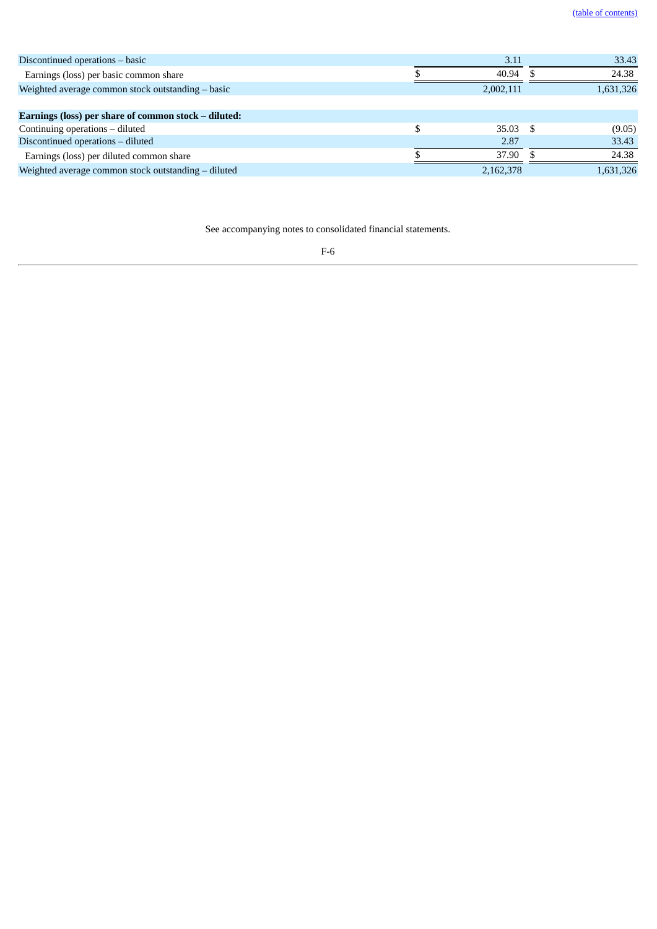| Discontinued operations – basic                      | 3.11       | 33.43     |
|------------------------------------------------------|------------|-----------|
| Earnings (loss) per basic common share               | 40.94      | 24.38     |
| Weighted average common stock outstanding - basic    | 2,002,111  | 1,631,326 |
|                                                      |            |           |
| Earnings (loss) per share of common stock – diluted: |            |           |
| Continuing operations - diluted                      | $35.03$ \$ | (9.05)    |
| Discontinued operations - diluted                    | 2.87       | 33.43     |
| Earnings (loss) per diluted common share             | 37.90      | 24.38     |
| Weighted average common stock outstanding - diluted  | 2,162,378  | 1,631,326 |

<span id="page-43-0"></span>See accompanying notes to consolidated financial statements.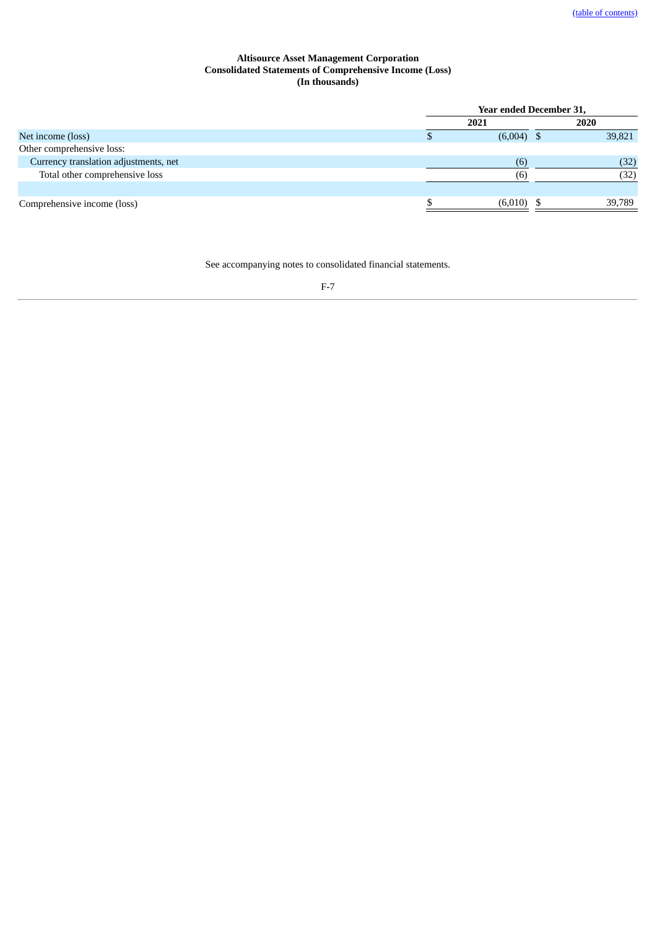# **Altisource Asset Management Corporation Consolidated Statements of Comprehensive Income (Loss) (In thousands)**

<span id="page-44-0"></span>

|                                       | Year ended December 31, |              |  |        |
|---------------------------------------|-------------------------|--------------|--|--------|
|                                       |                         | 2021         |  | 2020   |
| Net income (loss)                     |                         | $(6,004)$ \$ |  | 39,821 |
| Other comprehensive loss:             |                         |              |  |        |
| Currency translation adjustments, net |                         | (6)          |  | (32)   |
| Total other comprehensive loss        |                         | (6)          |  | 32)    |
|                                       |                         |              |  |        |
| Comprehensive income (loss)           |                         | $(6,010)$ \$ |  | 39,789 |

See accompanying notes to consolidated financial statements.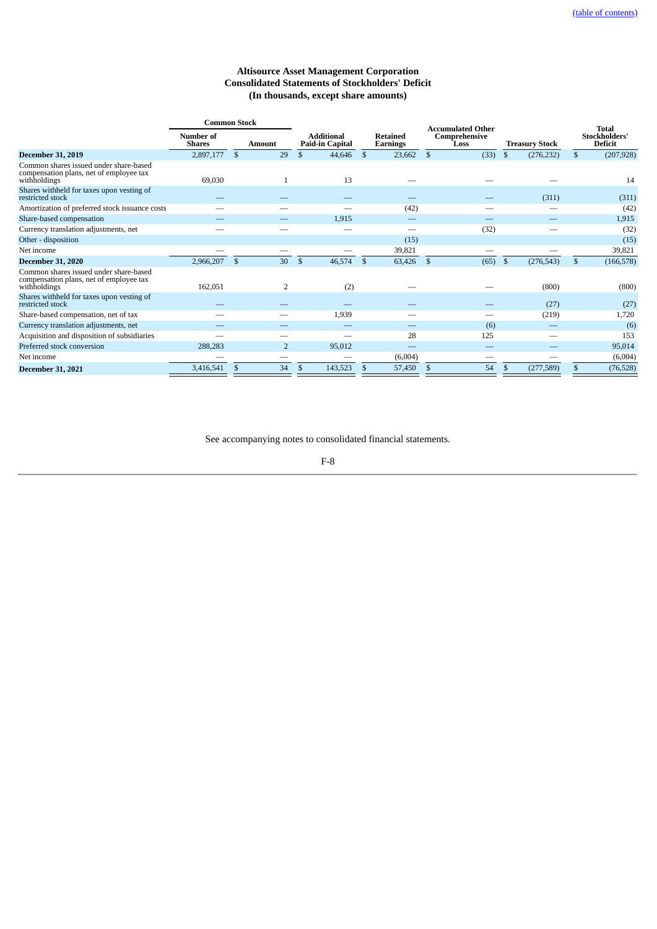## **Altisource Asset Management Corporation Consolidated Statements of Stockholders' Deficit (In thousands, except share amounts)**

|                                                                                                   | <b>Common Stock</b>               |              |                |    |                                             |               |                                    | <b>Accumulated Other</b> |                       |     |                       | <b>Total</b> |                                 |
|---------------------------------------------------------------------------------------------------|-----------------------------------|--------------|----------------|----|---------------------------------------------|---------------|------------------------------------|--------------------------|-----------------------|-----|-----------------------|--------------|---------------------------------|
|                                                                                                   | <b>Number of</b><br><b>Shares</b> |              | <b>Amount</b>  |    | <b>Additional</b><br><b>Paid-in Capital</b> |               | <b>Retained</b><br><b>Earnings</b> |                          | Comprehensive<br>Loss |     | <b>Treasury Stock</b> |              | Stockholders'<br><b>Deficit</b> |
| <b>December 31, 2019</b>                                                                          | 2,897,177                         | $\mathbb{S}$ | 29             | S  | 44,646                                      | <sup>\$</sup> | 23,662                             | $\mathbf{s}$             | (33)                  | \$. | (276, 232)            | $\mathbb{S}$ | (207, 928)                      |
| Common shares issued under share-based<br>compensation plans, net of employee tax<br>withholdings | 69,030                            |              |                |    | 13                                          |               |                                    |                          |                       |     |                       |              | 14                              |
| Shares withheld for taxes upon vesting of<br>restricted stock                                     |                                   |              |                |    |                                             |               |                                    |                          |                       |     | (311)                 |              | (311)                           |
| Amortization of preferred stock issuance costs                                                    |                                   |              |                |    |                                             |               | (42)                               |                          |                       |     |                       |              | (42)                            |
| Share-based compensation                                                                          |                                   |              |                |    | 1,915                                       |               |                                    |                          |                       |     |                       |              | 1,915                           |
| Currency translation adjustments, net                                                             |                                   |              |                |    |                                             |               |                                    |                          | (32)                  |     |                       |              | (32)                            |
| Other - disposition                                                                               |                                   |              |                |    |                                             |               | (15)                               |                          |                       |     |                       |              | (15)                            |
| Net income                                                                                        |                                   |              |                |    |                                             |               | 39,821                             |                          |                       |     |                       |              | 39,821                          |
| <b>December 31, 2020</b>                                                                          | 2,966,207                         | S            | 30             | \$ | 46,574                                      | -S            | 63,426                             | -S                       | (65)                  | \$  | (276, 543)            | \$.          | (166, 578)                      |
| Common shares issued under share-based<br>compensation plans, net of employee tax<br>withholdings | 162,051                           |              | $\overline{2}$ |    | (2)                                         |               |                                    |                          |                       |     | (800)                 |              | (800)                           |
| Shares withheld for taxes upon vesting of<br>restricted stock                                     |                                   |              |                |    |                                             |               |                                    |                          |                       |     | (27)                  |              | (27)                            |
| Share-based compensation, net of tax                                                              |                                   |              |                |    | 1,939                                       |               |                                    |                          |                       |     | (219)                 |              | 1,720                           |
| Currency translation adjustments, net                                                             |                                   |              |                |    |                                             |               |                                    |                          | (6)                   |     |                       |              | (6)                             |
| Acquisition and disposition of subsidiaries                                                       |                                   |              |                |    |                                             |               | 28                                 |                          | 125                   |     |                       |              | 153                             |
| Preferred stock conversion                                                                        | 288,283                           |              | $\overline{2}$ |    | 95,012                                      |               |                                    |                          |                       |     |                       |              | 95,014                          |
| Net income                                                                                        |                                   |              |                |    |                                             |               | (6,004)                            |                          |                       |     |                       |              | (6,004)                         |
| <b>December 31, 2021</b>                                                                          | 3,416,541                         | J.           | 34             | \$ | 143,523                                     |               | 57,450                             | \$                       | 54                    |     | (277, 589)            |              | (76, 528)                       |

<span id="page-45-0"></span>See accompanying notes to consolidated financial statements.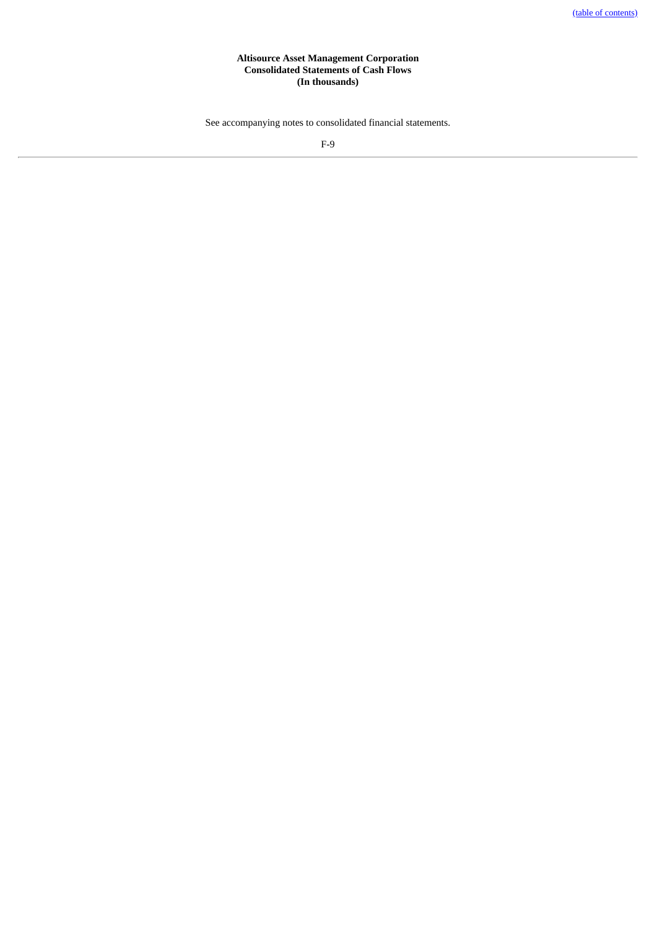## **Altisource Asset Management Corporation Consolidated Statements of Cash Flows (In thousands)**

See accompanying notes to consolidated financial statements.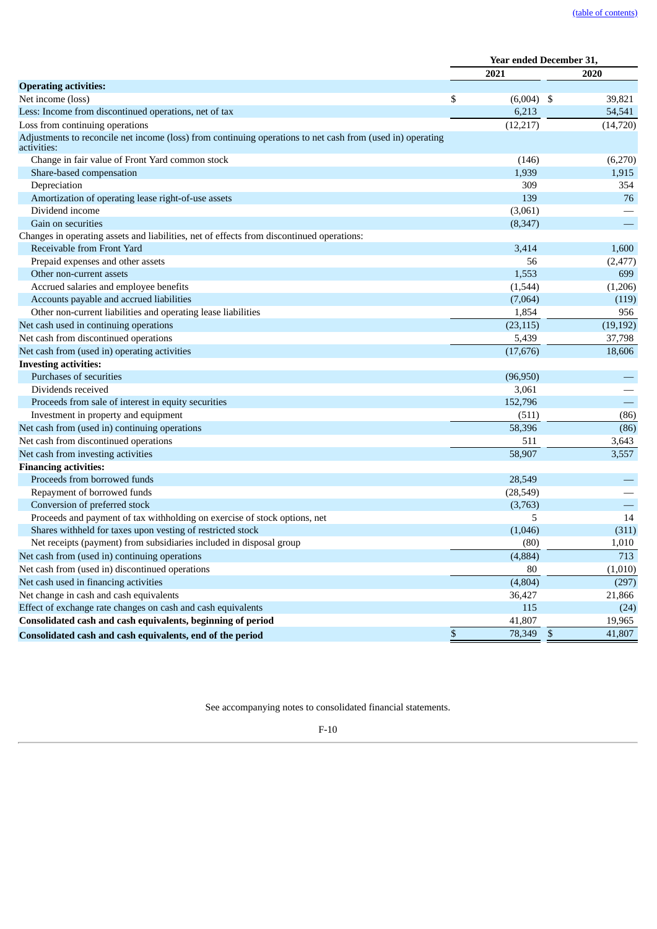| 2021<br>2020<br>\$<br>$(6,004)$ \$<br>39,821<br>6,213<br>54,541<br>(12, 217)<br>(14, 720)<br>Adjustments to reconcile net income (loss) from continuing operations to net cash from (used in) operating<br>Change in fair value of Front Yard common stock<br>(6,270)<br>(146)<br>Share-based compensation<br>1,939<br>1,915<br>Depreciation<br>309<br>354<br>Amortization of operating lease right-of-use assets<br>139<br>76<br>(3,061)<br>Dividend income<br>Gain on securities<br>(8, 347)<br>Receivable from Front Yard<br>3,414<br>1,600<br>Prepaid expenses and other assets<br>56<br>(2, 477)<br>Other non-current assets<br>1,553<br>699<br>Accrued salaries and employee benefits<br>(1,544)<br>(1,206)<br>Accounts payable and accrued liabilities<br>(7,064)<br>(119)<br>Other non-current liabilities and operating lease liabilities<br>1,854<br>956<br>(23, 115)<br>(19, 192)<br>5,439<br>37,798<br>18,606<br>(17, 676)<br>Purchases of securities<br>(96, 950)<br>Dividends received<br>3,061<br>Proceeds from sale of interest in equity securities<br>152,796<br>Investment in property and equipment<br>(511)<br>(86)<br>58,396<br>(86)<br>511<br>3,643<br>3,557<br>Net cash from investing activities<br>58,907<br><b>Financing activities:</b><br>Proceeds from borrowed funds<br>28,549<br>Repayment of borrowed funds<br>(28, 549)<br>Conversion of preferred stock<br>(3,763)<br>Proceeds and payment of tax withholding on exercise of stock options, net<br>5<br>14<br>Shares withheld for taxes upon vesting of restricted stock<br>(1,046)<br>(311)<br>Net receipts (payment) from subsidiaries included in disposal group<br>(80)<br>1,010<br>Net cash from (used in) continuing operations<br>(4,884)<br>713<br>Net cash from (used in) discontinued operations<br>80<br>(1,010)<br>Net cash used in financing activities<br>(4,804)<br>(297)<br>Net change in cash and cash equivalents<br>36,427<br>21,866<br>Effect of exchange rate changes on cash and cash equivalents<br>115<br>(24)<br>Consolidated cash and cash equivalents, beginning of period<br>41,807<br>19,965 |                                                                                           | Year ended December 31, |        |              |        |
|--------------------------------------------------------------------------------------------------------------------------------------------------------------------------------------------------------------------------------------------------------------------------------------------------------------------------------------------------------------------------------------------------------------------------------------------------------------------------------------------------------------------------------------------------------------------------------------------------------------------------------------------------------------------------------------------------------------------------------------------------------------------------------------------------------------------------------------------------------------------------------------------------------------------------------------------------------------------------------------------------------------------------------------------------------------------------------------------------------------------------------------------------------------------------------------------------------------------------------------------------------------------------------------------------------------------------------------------------------------------------------------------------------------------------------------------------------------------------------------------------------------------------------------------------------------------------------------------------------------------------------------------------------------------------------------------------------------------------------------------------------------------------------------------------------------------------------------------------------------------------------------------------------------------------------------------------------------------------------------------------------------------------------------------------------------------------------------------------------------|-------------------------------------------------------------------------------------------|-------------------------|--------|--------------|--------|
|                                                                                                                                                                                                                                                                                                                                                                                                                                                                                                                                                                                                                                                                                                                                                                                                                                                                                                                                                                                                                                                                                                                                                                                                                                                                                                                                                                                                                                                                                                                                                                                                                                                                                                                                                                                                                                                                                                                                                                                                                                                                                                              |                                                                                           |                         |        |              |        |
|                                                                                                                                                                                                                                                                                                                                                                                                                                                                                                                                                                                                                                                                                                                                                                                                                                                                                                                                                                                                                                                                                                                                                                                                                                                                                                                                                                                                                                                                                                                                                                                                                                                                                                                                                                                                                                                                                                                                                                                                                                                                                                              | <b>Operating activities:</b>                                                              |                         |        |              |        |
|                                                                                                                                                                                                                                                                                                                                                                                                                                                                                                                                                                                                                                                                                                                                                                                                                                                                                                                                                                                                                                                                                                                                                                                                                                                                                                                                                                                                                                                                                                                                                                                                                                                                                                                                                                                                                                                                                                                                                                                                                                                                                                              | Net income (loss)                                                                         |                         |        |              |        |
|                                                                                                                                                                                                                                                                                                                                                                                                                                                                                                                                                                                                                                                                                                                                                                                                                                                                                                                                                                                                                                                                                                                                                                                                                                                                                                                                                                                                                                                                                                                                                                                                                                                                                                                                                                                                                                                                                                                                                                                                                                                                                                              | Less: Income from discontinued operations, net of tax                                     |                         |        |              |        |
|                                                                                                                                                                                                                                                                                                                                                                                                                                                                                                                                                                                                                                                                                                                                                                                                                                                                                                                                                                                                                                                                                                                                                                                                                                                                                                                                                                                                                                                                                                                                                                                                                                                                                                                                                                                                                                                                                                                                                                                                                                                                                                              | Loss from continuing operations                                                           |                         |        |              |        |
|                                                                                                                                                                                                                                                                                                                                                                                                                                                                                                                                                                                                                                                                                                                                                                                                                                                                                                                                                                                                                                                                                                                                                                                                                                                                                                                                                                                                                                                                                                                                                                                                                                                                                                                                                                                                                                                                                                                                                                                                                                                                                                              | activities:                                                                               |                         |        |              |        |
|                                                                                                                                                                                                                                                                                                                                                                                                                                                                                                                                                                                                                                                                                                                                                                                                                                                                                                                                                                                                                                                                                                                                                                                                                                                                                                                                                                                                                                                                                                                                                                                                                                                                                                                                                                                                                                                                                                                                                                                                                                                                                                              |                                                                                           |                         |        |              |        |
|                                                                                                                                                                                                                                                                                                                                                                                                                                                                                                                                                                                                                                                                                                                                                                                                                                                                                                                                                                                                                                                                                                                                                                                                                                                                                                                                                                                                                                                                                                                                                                                                                                                                                                                                                                                                                                                                                                                                                                                                                                                                                                              |                                                                                           |                         |        |              |        |
|                                                                                                                                                                                                                                                                                                                                                                                                                                                                                                                                                                                                                                                                                                                                                                                                                                                                                                                                                                                                                                                                                                                                                                                                                                                                                                                                                                                                                                                                                                                                                                                                                                                                                                                                                                                                                                                                                                                                                                                                                                                                                                              |                                                                                           |                         |        |              |        |
|                                                                                                                                                                                                                                                                                                                                                                                                                                                                                                                                                                                                                                                                                                                                                                                                                                                                                                                                                                                                                                                                                                                                                                                                                                                                                                                                                                                                                                                                                                                                                                                                                                                                                                                                                                                                                                                                                                                                                                                                                                                                                                              |                                                                                           |                         |        |              |        |
|                                                                                                                                                                                                                                                                                                                                                                                                                                                                                                                                                                                                                                                                                                                                                                                                                                                                                                                                                                                                                                                                                                                                                                                                                                                                                                                                                                                                                                                                                                                                                                                                                                                                                                                                                                                                                                                                                                                                                                                                                                                                                                              |                                                                                           |                         |        |              |        |
|                                                                                                                                                                                                                                                                                                                                                                                                                                                                                                                                                                                                                                                                                                                                                                                                                                                                                                                                                                                                                                                                                                                                                                                                                                                                                                                                                                                                                                                                                                                                                                                                                                                                                                                                                                                                                                                                                                                                                                                                                                                                                                              |                                                                                           |                         |        |              |        |
|                                                                                                                                                                                                                                                                                                                                                                                                                                                                                                                                                                                                                                                                                                                                                                                                                                                                                                                                                                                                                                                                                                                                                                                                                                                                                                                                                                                                                                                                                                                                                                                                                                                                                                                                                                                                                                                                                                                                                                                                                                                                                                              | Changes in operating assets and liabilities, net of effects from discontinued operations: |                         |        |              |        |
|                                                                                                                                                                                                                                                                                                                                                                                                                                                                                                                                                                                                                                                                                                                                                                                                                                                                                                                                                                                                                                                                                                                                                                                                                                                                                                                                                                                                                                                                                                                                                                                                                                                                                                                                                                                                                                                                                                                                                                                                                                                                                                              |                                                                                           |                         |        |              |        |
|                                                                                                                                                                                                                                                                                                                                                                                                                                                                                                                                                                                                                                                                                                                                                                                                                                                                                                                                                                                                                                                                                                                                                                                                                                                                                                                                                                                                                                                                                                                                                                                                                                                                                                                                                                                                                                                                                                                                                                                                                                                                                                              |                                                                                           |                         |        |              |        |
|                                                                                                                                                                                                                                                                                                                                                                                                                                                                                                                                                                                                                                                                                                                                                                                                                                                                                                                                                                                                                                                                                                                                                                                                                                                                                                                                                                                                                                                                                                                                                                                                                                                                                                                                                                                                                                                                                                                                                                                                                                                                                                              |                                                                                           |                         |        |              |        |
|                                                                                                                                                                                                                                                                                                                                                                                                                                                                                                                                                                                                                                                                                                                                                                                                                                                                                                                                                                                                                                                                                                                                                                                                                                                                                                                                                                                                                                                                                                                                                                                                                                                                                                                                                                                                                                                                                                                                                                                                                                                                                                              |                                                                                           |                         |        |              |        |
|                                                                                                                                                                                                                                                                                                                                                                                                                                                                                                                                                                                                                                                                                                                                                                                                                                                                                                                                                                                                                                                                                                                                                                                                                                                                                                                                                                                                                                                                                                                                                                                                                                                                                                                                                                                                                                                                                                                                                                                                                                                                                                              |                                                                                           |                         |        |              |        |
|                                                                                                                                                                                                                                                                                                                                                                                                                                                                                                                                                                                                                                                                                                                                                                                                                                                                                                                                                                                                                                                                                                                                                                                                                                                                                                                                                                                                                                                                                                                                                                                                                                                                                                                                                                                                                                                                                                                                                                                                                                                                                                              |                                                                                           |                         |        |              |        |
|                                                                                                                                                                                                                                                                                                                                                                                                                                                                                                                                                                                                                                                                                                                                                                                                                                                                                                                                                                                                                                                                                                                                                                                                                                                                                                                                                                                                                                                                                                                                                                                                                                                                                                                                                                                                                                                                                                                                                                                                                                                                                                              | Net cash used in continuing operations                                                    |                         |        |              |        |
|                                                                                                                                                                                                                                                                                                                                                                                                                                                                                                                                                                                                                                                                                                                                                                                                                                                                                                                                                                                                                                                                                                                                                                                                                                                                                                                                                                                                                                                                                                                                                                                                                                                                                                                                                                                                                                                                                                                                                                                                                                                                                                              | Net cash from discontinued operations                                                     |                         |        |              |        |
|                                                                                                                                                                                                                                                                                                                                                                                                                                                                                                                                                                                                                                                                                                                                                                                                                                                                                                                                                                                                                                                                                                                                                                                                                                                                                                                                                                                                                                                                                                                                                                                                                                                                                                                                                                                                                                                                                                                                                                                                                                                                                                              | Net cash from (used in) operating activities                                              |                         |        |              |        |
|                                                                                                                                                                                                                                                                                                                                                                                                                                                                                                                                                                                                                                                                                                                                                                                                                                                                                                                                                                                                                                                                                                                                                                                                                                                                                                                                                                                                                                                                                                                                                                                                                                                                                                                                                                                                                                                                                                                                                                                                                                                                                                              | <b>Investing activities:</b>                                                              |                         |        |              |        |
|                                                                                                                                                                                                                                                                                                                                                                                                                                                                                                                                                                                                                                                                                                                                                                                                                                                                                                                                                                                                                                                                                                                                                                                                                                                                                                                                                                                                                                                                                                                                                                                                                                                                                                                                                                                                                                                                                                                                                                                                                                                                                                              |                                                                                           |                         |        |              |        |
|                                                                                                                                                                                                                                                                                                                                                                                                                                                                                                                                                                                                                                                                                                                                                                                                                                                                                                                                                                                                                                                                                                                                                                                                                                                                                                                                                                                                                                                                                                                                                                                                                                                                                                                                                                                                                                                                                                                                                                                                                                                                                                              |                                                                                           |                         |        |              |        |
|                                                                                                                                                                                                                                                                                                                                                                                                                                                                                                                                                                                                                                                                                                                                                                                                                                                                                                                                                                                                                                                                                                                                                                                                                                                                                                                                                                                                                                                                                                                                                                                                                                                                                                                                                                                                                                                                                                                                                                                                                                                                                                              |                                                                                           |                         |        |              |        |
|                                                                                                                                                                                                                                                                                                                                                                                                                                                                                                                                                                                                                                                                                                                                                                                                                                                                                                                                                                                                                                                                                                                                                                                                                                                                                                                                                                                                                                                                                                                                                                                                                                                                                                                                                                                                                                                                                                                                                                                                                                                                                                              |                                                                                           |                         |        |              |        |
|                                                                                                                                                                                                                                                                                                                                                                                                                                                                                                                                                                                                                                                                                                                                                                                                                                                                                                                                                                                                                                                                                                                                                                                                                                                                                                                                                                                                                                                                                                                                                                                                                                                                                                                                                                                                                                                                                                                                                                                                                                                                                                              | Net cash from (used in) continuing operations                                             |                         |        |              |        |
|                                                                                                                                                                                                                                                                                                                                                                                                                                                                                                                                                                                                                                                                                                                                                                                                                                                                                                                                                                                                                                                                                                                                                                                                                                                                                                                                                                                                                                                                                                                                                                                                                                                                                                                                                                                                                                                                                                                                                                                                                                                                                                              | Net cash from discontinued operations                                                     |                         |        |              |        |
|                                                                                                                                                                                                                                                                                                                                                                                                                                                                                                                                                                                                                                                                                                                                                                                                                                                                                                                                                                                                                                                                                                                                                                                                                                                                                                                                                                                                                                                                                                                                                                                                                                                                                                                                                                                                                                                                                                                                                                                                                                                                                                              |                                                                                           |                         |        |              |        |
|                                                                                                                                                                                                                                                                                                                                                                                                                                                                                                                                                                                                                                                                                                                                                                                                                                                                                                                                                                                                                                                                                                                                                                                                                                                                                                                                                                                                                                                                                                                                                                                                                                                                                                                                                                                                                                                                                                                                                                                                                                                                                                              |                                                                                           |                         |        |              |        |
|                                                                                                                                                                                                                                                                                                                                                                                                                                                                                                                                                                                                                                                                                                                                                                                                                                                                                                                                                                                                                                                                                                                                                                                                                                                                                                                                                                                                                                                                                                                                                                                                                                                                                                                                                                                                                                                                                                                                                                                                                                                                                                              |                                                                                           |                         |        |              |        |
|                                                                                                                                                                                                                                                                                                                                                                                                                                                                                                                                                                                                                                                                                                                                                                                                                                                                                                                                                                                                                                                                                                                                                                                                                                                                                                                                                                                                                                                                                                                                                                                                                                                                                                                                                                                                                                                                                                                                                                                                                                                                                                              |                                                                                           |                         |        |              |        |
|                                                                                                                                                                                                                                                                                                                                                                                                                                                                                                                                                                                                                                                                                                                                                                                                                                                                                                                                                                                                                                                                                                                                                                                                                                                                                                                                                                                                                                                                                                                                                                                                                                                                                                                                                                                                                                                                                                                                                                                                                                                                                                              |                                                                                           |                         |        |              |        |
|                                                                                                                                                                                                                                                                                                                                                                                                                                                                                                                                                                                                                                                                                                                                                                                                                                                                                                                                                                                                                                                                                                                                                                                                                                                                                                                                                                                                                                                                                                                                                                                                                                                                                                                                                                                                                                                                                                                                                                                                                                                                                                              |                                                                                           |                         |        |              |        |
|                                                                                                                                                                                                                                                                                                                                                                                                                                                                                                                                                                                                                                                                                                                                                                                                                                                                                                                                                                                                                                                                                                                                                                                                                                                                                                                                                                                                                                                                                                                                                                                                                                                                                                                                                                                                                                                                                                                                                                                                                                                                                                              |                                                                                           |                         |        |              |        |
|                                                                                                                                                                                                                                                                                                                                                                                                                                                                                                                                                                                                                                                                                                                                                                                                                                                                                                                                                                                                                                                                                                                                                                                                                                                                                                                                                                                                                                                                                                                                                                                                                                                                                                                                                                                                                                                                                                                                                                                                                                                                                                              |                                                                                           |                         |        |              |        |
|                                                                                                                                                                                                                                                                                                                                                                                                                                                                                                                                                                                                                                                                                                                                                                                                                                                                                                                                                                                                                                                                                                                                                                                                                                                                                                                                                                                                                                                                                                                                                                                                                                                                                                                                                                                                                                                                                                                                                                                                                                                                                                              |                                                                                           |                         |        |              |        |
|                                                                                                                                                                                                                                                                                                                                                                                                                                                                                                                                                                                                                                                                                                                                                                                                                                                                                                                                                                                                                                                                                                                                                                                                                                                                                                                                                                                                                                                                                                                                                                                                                                                                                                                                                                                                                                                                                                                                                                                                                                                                                                              |                                                                                           |                         |        |              |        |
|                                                                                                                                                                                                                                                                                                                                                                                                                                                                                                                                                                                                                                                                                                                                                                                                                                                                                                                                                                                                                                                                                                                                                                                                                                                                                                                                                                                                                                                                                                                                                                                                                                                                                                                                                                                                                                                                                                                                                                                                                                                                                                              |                                                                                           |                         |        |              |        |
|                                                                                                                                                                                                                                                                                                                                                                                                                                                                                                                                                                                                                                                                                                                                                                                                                                                                                                                                                                                                                                                                                                                                                                                                                                                                                                                                                                                                                                                                                                                                                                                                                                                                                                                                                                                                                                                                                                                                                                                                                                                                                                              |                                                                                           |                         |        |              |        |
|                                                                                                                                                                                                                                                                                                                                                                                                                                                                                                                                                                                                                                                                                                                                                                                                                                                                                                                                                                                                                                                                                                                                                                                                                                                                                                                                                                                                                                                                                                                                                                                                                                                                                                                                                                                                                                                                                                                                                                                                                                                                                                              |                                                                                           |                         |        |              |        |
|                                                                                                                                                                                                                                                                                                                                                                                                                                                                                                                                                                                                                                                                                                                                                                                                                                                                                                                                                                                                                                                                                                                                                                                                                                                                                                                                                                                                                                                                                                                                                                                                                                                                                                                                                                                                                                                                                                                                                                                                                                                                                                              |                                                                                           |                         |        |              |        |
|                                                                                                                                                                                                                                                                                                                                                                                                                                                                                                                                                                                                                                                                                                                                                                                                                                                                                                                                                                                                                                                                                                                                                                                                                                                                                                                                                                                                                                                                                                                                                                                                                                                                                                                                                                                                                                                                                                                                                                                                                                                                                                              | Consolidated cash and cash equivalents, end of the period                                 | ${\mathbb S}$           | 78,349 | $\mathbb{S}$ | 41,807 |

See accompanying notes to consolidated financial statements.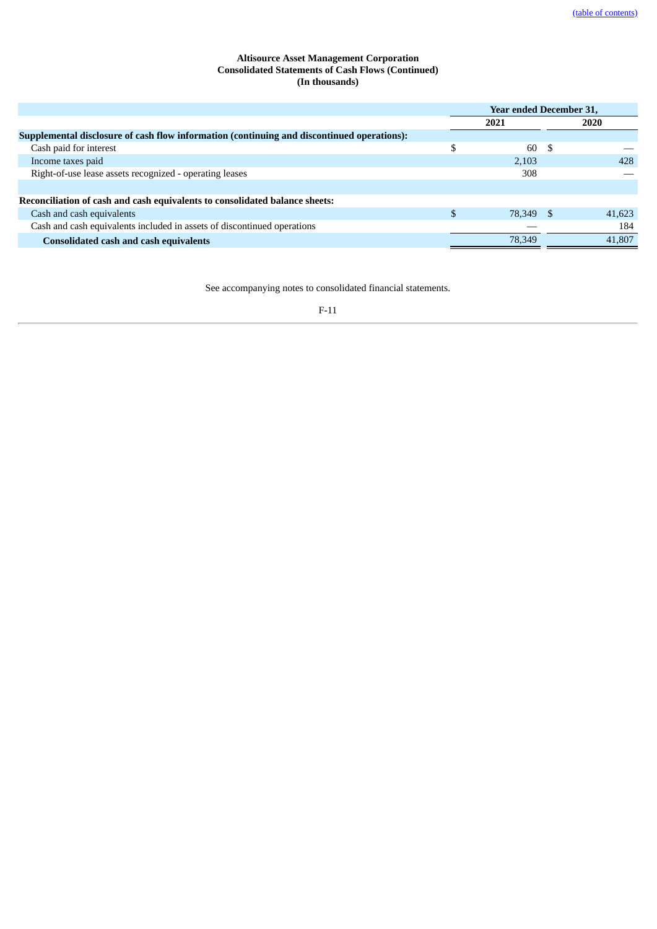## **Altisource Asset Management Corporation Consolidated Statements of Cash Flows (Continued) (In thousands)**

|                                                                                            | <b>Year ended December 31,</b> |           |      |        |
|--------------------------------------------------------------------------------------------|--------------------------------|-----------|------|--------|
|                                                                                            |                                | 2021      |      | 2020   |
| Supplemental disclosure of cash flow information (continuing and discontinued operations): |                                |           |      |        |
| Cash paid for interest                                                                     | \$                             | 60        | - \$ |        |
| Income taxes paid                                                                          |                                | 2,103     |      | 428    |
| Right-of-use lease assets recognized - operating leases                                    |                                | 308       |      |        |
|                                                                                            |                                |           |      |        |
| Reconciliation of cash and cash equivalents to consolidated balance sheets:                |                                |           |      |        |
| Cash and cash equivalents                                                                  |                                | 78.349 \$ |      | 41,623 |
| Cash and cash equivalents included in assets of discontinued operations                    |                                |           |      | 184    |
| <b>Consolidated cash and cash equivalents</b>                                              |                                | 78,349    |      | 41,807 |

<span id="page-48-0"></span>See accompanying notes to consolidated financial statements.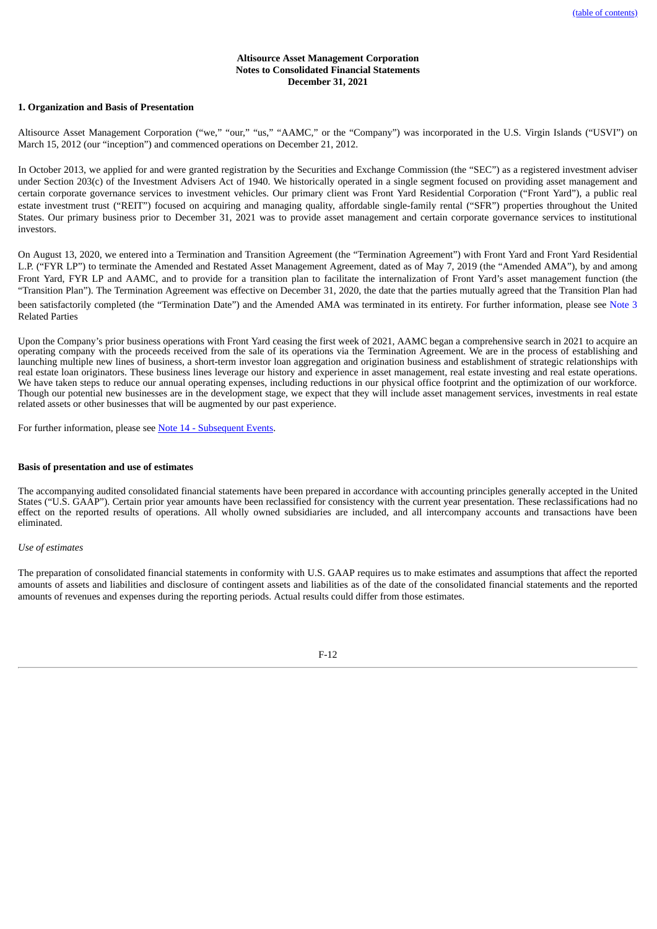## **Altisource Asset Management Corporation Notes to Consolidated Financial Statements December 31, 2021**

#### <span id="page-49-0"></span>**1. Organization and Basis of Presentation**

Altisource Asset Management Corporation ("we," "our," "us," "AAMC," or the "Company") was incorporated in the U.S. Virgin Islands ("USVI") on March 15, 2012 (our "inception") and commenced operations on December 21, 2012.

In October 2013, we applied for and were granted registration by the Securities and Exchange Commission (the "SEC") as a registered investment adviser under Section 203(c) of the Investment Advisers Act of 1940. We historically operated in a single segment focused on providing asset management and certain corporate governance services to investment vehicles. Our primary client was Front Yard Residential Corporation ("Front Yard"), a public real estate investment trust ("REIT") focused on acquiring and managing quality, affordable single-family rental ("SFR") properties throughout the United States. Our primary business prior to December 31, 2021 was to provide asset management and certain corporate governance services to institutional investors.

On August 13, 2020, we entered into a Termination and Transition Agreement (the "Termination Agreement") with Front Yard and Front Yard Residential L.P. ("FYR LP") to terminate the Amended and Restated Asset Management Agreement, dated as of May 7, 2019 (the "Amended AMA"), by and among Front Yard, FYR LP and AAMC, and to provide for a transition plan to facilitate the internalization of Front Yard's asset management function (the "Transition Plan"). The Termination Agreement was effective on December 31, 2020, the date that the parties mutually agreed that the Transition Plan had been satisfactorily completed (the "Termination Date") and the Amended AMA was terminated in its entirety. For further information, please see Note 3 Related Parties

Upon the Company's prior business operations with Front Yard ceasing the first week of 2021, AAMC began a comprehensive search in 2021 to acquire an operating company with the proceeds received from the sale of its operations via the Termination Agreement. We are in the process of establishing and launching multiple new lines of business, a short-term investor loan aggregation and origination business and establishment of strategic relationships with real estate loan originators. These business lines leverage our history and experience in asset management, real estate investing and real estate operations. We have taken steps to reduce our annual operating expenses, including reductions in our physical office footprint and the optimization of our workforce. Though our potential new businesses are in the development stage, we expect that they will include asset management services, investments in real estate related assets or other businesses that will be augmented by our past experience.

For further information, please see Note 14 - [Subsequent](#page-70-0) Events.

#### **Basis of presentation and use of estimates**

The accompanying audited consolidated financial statements have been prepared in accordance with accounting principles generally accepted in the United States ("U.S. GAAP"). Certain prior year amounts have been reclassified for consistency with the current year presentation. These reclassifications had no effect on the reported results of operations. All wholly owned subsidiaries are included, and all intercompany accounts and transactions have been eliminated.

## *Use of estimates*

The preparation of consolidated financial statements in conformity with U.S. GAAP requires us to make estimates and assumptions that affect the reported amounts of assets and liabilities and disclosure of contingent assets and liabilities as of the date of the consolidated financial statements and the reported amounts of revenues and expenses during the reporting periods. Actual results could differ from those estimates.

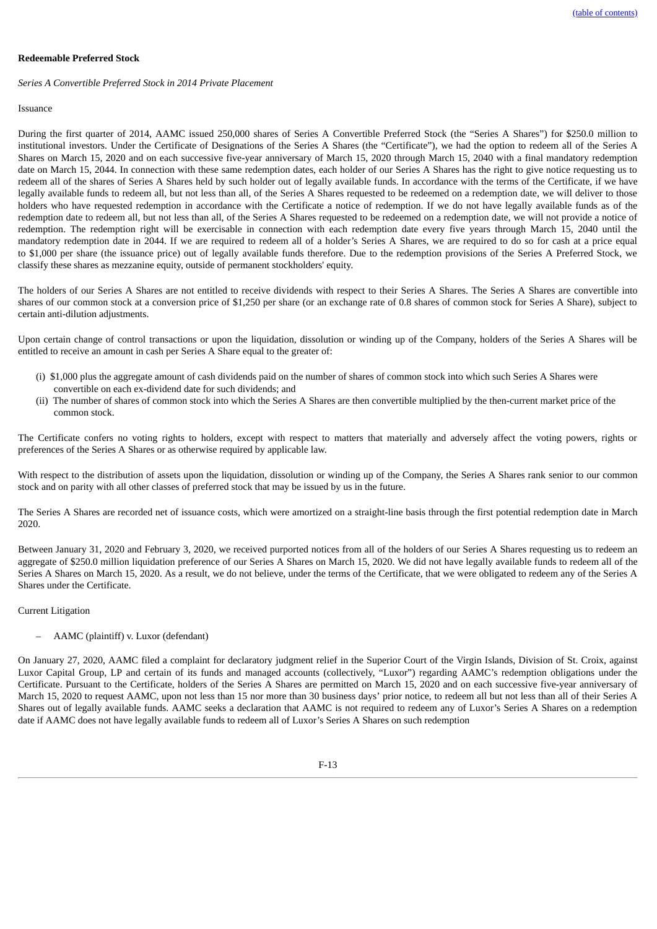### **Redeemable Preferred Stock**

*Series A Convertible Preferred Stock in 2014 Private Placement*

#### Issuance

During the first quarter of 2014, AAMC issued 250,000 shares of Series A Convertible Preferred Stock (the "Series A Shares") for \$250.0 million to institutional investors. Under the Certificate of Designations of the Series A Shares (the "Certificate"), we had the option to redeem all of the Series A Shares on March 15, 2020 and on each successive five-year anniversary of March 15, 2020 through March 15, 2040 with a final mandatory redemption date on March 15, 2044. In connection with these same redemption dates, each holder of our Series A Shares has the right to give notice requesting us to redeem all of the shares of Series A Shares held by such holder out of legally available funds. In accordance with the terms of the Certificate, if we have legally available funds to redeem all, but not less than all, of the Series A Shares requested to be redeemed on a redemption date, we will deliver to those holders who have requested redemption in accordance with the Certificate a notice of redemption. If we do not have legally available funds as of the redemption date to redeem all, but not less than all, of the Series A Shares requested to be redeemed on a redemption date, we will not provide a notice of redemption. The redemption right will be exercisable in connection with each redemption date every five years through March 15, 2040 until the mandatory redemption date in 2044. If we are required to redeem all of a holder's Series A Shares, we are required to do so for cash at a price equal to \$1,000 per share (the issuance price) out of legally available funds therefore. Due to the redemption provisions of the Series A Preferred Stock, we classify these shares as mezzanine equity, outside of permanent stockholders' equity.

The holders of our Series A Shares are not entitled to receive dividends with respect to their Series A Shares. The Series A Shares are convertible into shares of our common stock at a conversion price of \$1,250 per share (or an exchange rate of 0.8 shares of common stock for Series A Share), subject to certain anti-dilution adjustments.

Upon certain change of control transactions or upon the liquidation, dissolution or winding up of the Company, holders of the Series A Shares will be entitled to receive an amount in cash per Series A Share equal to the greater of:

- (i) \$1,000 plus the aggregate amount of cash dividends paid on the number of shares of common stock into which such Series A Shares were convertible on each ex-dividend date for such dividends; and
- (ii) The number of shares of common stock into which the Series A Shares are then convertible multiplied by the then-current market price of the common stock.

The Certificate confers no voting rights to holders, except with respect to matters that materially and adversely affect the voting powers, rights or preferences of the Series A Shares or as otherwise required by applicable law.

With respect to the distribution of assets upon the liquidation, dissolution or winding up of the Company, the Series A Shares rank senior to our common stock and on parity with all other classes of preferred stock that may be issued by us in the future.

The Series A Shares are recorded net of issuance costs, which were amortized on a straight-line basis through the first potential redemption date in March 2020.

Between January 31, 2020 and February 3, 2020, we received purported notices from all of the holders of our Series A Shares requesting us to redeem an aggregate of \$250.0 million liquidation preference of our Series A Shares on March 15, 2020. We did not have legally available funds to redeem all of the Series A Shares on March 15, 2020. As a result, we do not believe, under the terms of the Certificate, that we were obligated to redeem any of the Series A Shares under the Certificate.

## Current Litigation

## – AAMC (plaintiff) v. Luxor (defendant)

On January 27, 2020, AAMC filed a complaint for declaratory judgment relief in the Superior Court of the Virgin Islands, Division of St. Croix, against Luxor Capital Group, LP and certain of its funds and managed accounts (collectively, "Luxor") regarding AAMC's redemption obligations under the Certificate. Pursuant to the Certificate, holders of the Series A Shares are permitted on March 15, 2020 and on each successive five-year anniversary of March 15, 2020 to request AAMC, upon not less than 15 nor more than 30 business days' prior notice, to redeem all but not less than all of their Series A Shares out of legally available funds. AAMC seeks a declaration that AAMC is not required to redeem any of Luxor's Series A Shares on a redemption date if AAMC does not have legally available funds to redeem all of Luxor's Series A Shares on such redemption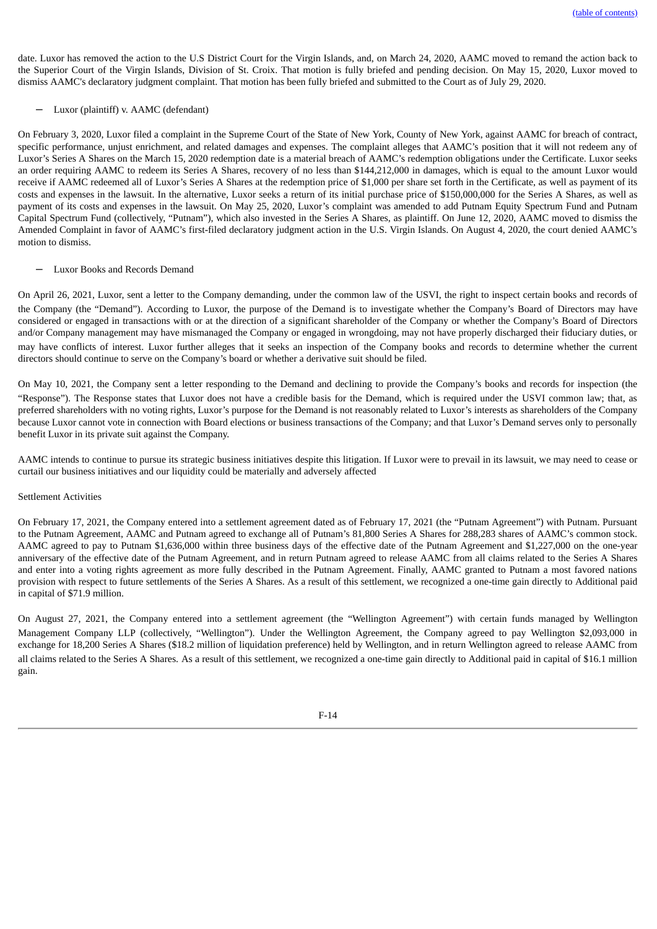date. Luxor has removed the action to the U.S District Court for the Virgin Islands, and, on March 24, 2020, AAMC moved to remand the action back to the Superior Court of the Virgin Islands, Division of St. Croix. That motion is fully briefed and pending decision. On May 15, 2020, Luxor moved to dismiss AAMC's declaratory judgment complaint. That motion has been fully briefed and submitted to the Court as of July 29, 2020.

## – Luxor (plaintiff) v. AAMC (defendant)

On February 3, 2020, Luxor filed a complaint in the Supreme Court of the State of New York, County of New York, against AAMC for breach of contract, specific performance, unjust enrichment, and related damages and expenses. The complaint alleges that AAMC's position that it will not redeem any of Luxor's Series A Shares on the March 15, 2020 redemption date is a material breach of AAMC's redemption obligations under the Certificate. Luxor seeks an order requiring AAMC to redeem its Series A Shares, recovery of no less than \$144,212,000 in damages, which is equal to the amount Luxor would receive if AAMC redeemed all of Luxor's Series A Shares at the redemption price of \$1,000 per share set forth in the Certificate, as well as payment of its costs and expenses in the lawsuit. In the alternative, Luxor seeks a return of its initial purchase price of \$150,000,000 for the Series A Shares, as well as payment of its costs and expenses in the lawsuit. On May 25, 2020, Luxor's complaint was amended to add Putnam Equity Spectrum Fund and Putnam Capital Spectrum Fund (collectively, "Putnam"), which also invested in the Series A Shares, as plaintiff. On June 12, 2020, AAMC moved to dismiss the Amended Complaint in favor of AAMC's first-filed declaratory judgment action in the U.S. Virgin Islands. On August 4, 2020, the court denied AAMC's motion to dismiss.

## – Luxor Books and Records Demand

On April 26, 2021, Luxor, sent a letter to the Company demanding, under the common law of the USVI, the right to inspect certain books and records of the Company (the "Demand"). According to Luxor, the purpose of the Demand is to investigate whether the Company's Board of Directors may have considered or engaged in transactions with or at the direction of a significant shareholder of the Company or whether the Company's Board of Directors and/or Company management may have mismanaged the Company or engaged in wrongdoing, may not have properly discharged their fiduciary duties, or may have conflicts of interest. Luxor further alleges that it seeks an inspection of the Company books and records to determine whether the current directors should continue to serve on the Company's board or whether a derivative suit should be filed.

On May 10, 2021, the Company sent a letter responding to the Demand and declining to provide the Company's books and records for inspection (the "Response"). The Response states that Luxor does not have a credible basis for the Demand, which is required under the USVI common law; that, as preferred shareholders with no voting rights, Luxor's purpose for the Demand is not reasonably related to Luxor's interests as shareholders of the Company because Luxor cannot vote in connection with Board elections or business transactions of the Company; and that Luxor's Demand serves only to personally benefit Luxor in its private suit against the Company.

AAMC intends to continue to pursue its strategic business initiatives despite this litigation. If Luxor were to prevail in its lawsuit, we may need to cease or curtail our business initiatives and our liquidity could be materially and adversely affected

#### Settlement Activities

On February 17, 2021, the Company entered into a settlement agreement dated as of February 17, 2021 (the "Putnam Agreement") with Putnam. Pursuant to the Putnam Agreement, AAMC and Putnam agreed to exchange all of Putnam's 81,800 Series A Shares for 288,283 shares of AAMC's common stock. AAMC agreed to pay to Putnam \$1,636,000 within three business days of the effective date of the Putnam Agreement and \$1,227,000 on the one-year anniversary of the effective date of the Putnam Agreement, and in return Putnam agreed to release AAMC from all claims related to the Series A Shares and enter into a voting rights agreement as more fully described in the Putnam Agreement. Finally, AAMC granted to Putnam a most favored nations provision with respect to future settlements of the Series A Shares. As a result of this settlement, we recognized a one-time gain directly to Additional paid in capital of \$71.9 million.

On August 27, 2021, the Company entered into a settlement agreement (the "Wellington Agreement") with certain funds managed by Wellington Management Company LLP (collectively, "Wellington"). Under the Wellington Agreement, the Company agreed to pay Wellington \$2,093,000 in exchange for 18,200 Series A Shares (\$18.2 million of liquidation preference) held by Wellington, and in return Wellington agreed to release AAMC from all claims related to the Series A Shares. As a result of this settlement, we recognized a one-time gain directly to Additional paid in capital of \$16.1 million gain.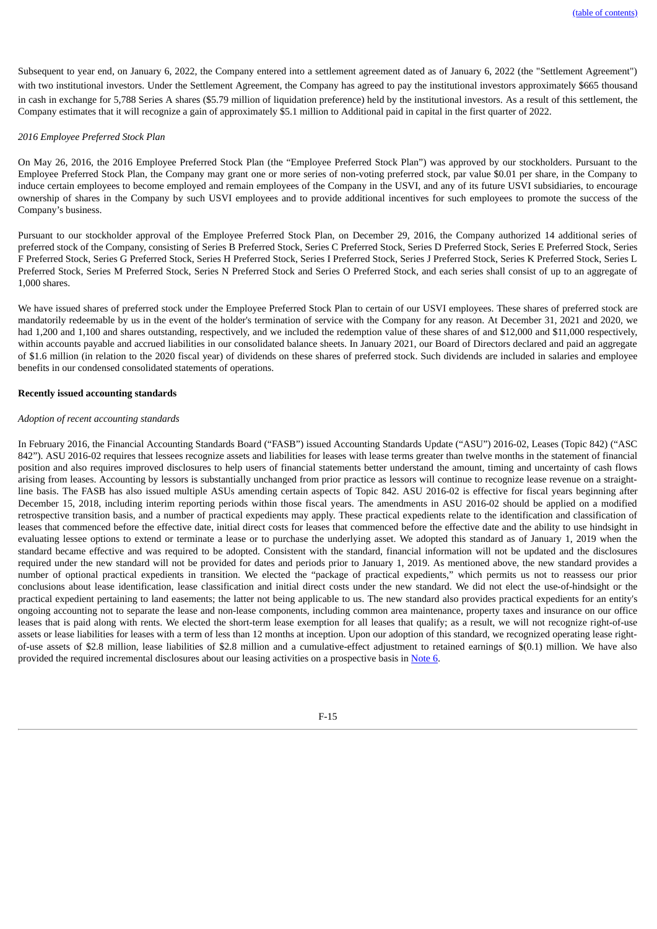Subsequent to year end, on January 6, 2022, the Company entered into a settlement agreement dated as of January 6, 2022 (the "Settlement Agreement") with two institutional investors. Under the Settlement Agreement, the Company has agreed to pay the institutional investors approximately \$665 thousand in cash in exchange for 5,788 Series A shares (\$5.79 million of liquidation preference) held by the institutional investors. As a result of this settlement, the Company estimates that it will recognize a gain of approximately \$5.1 million to Additional paid in capital in the first quarter of 2022.

## *2016 Employee Preferred Stock Plan*

On May 26, 2016, the 2016 Employee Preferred Stock Plan (the "Employee Preferred Stock Plan") was approved by our stockholders. Pursuant to the Employee Preferred Stock Plan, the Company may grant one or more series of non-voting preferred stock, par value \$0.01 per share, in the Company to induce certain employees to become employed and remain employees of the Company in the USVI, and any of its future USVI subsidiaries, to encourage ownership of shares in the Company by such USVI employees and to provide additional incentives for such employees to promote the success of the Company's business.

Pursuant to our stockholder approval of the Employee Preferred Stock Plan, on December 29, 2016, the Company authorized 14 additional series of preferred stock of the Company, consisting of Series B Preferred Stock, Series C Preferred Stock, Series D Preferred Stock, Series E Preferred Stock, Series F Preferred Stock, Series G Preferred Stock, Series H Preferred Stock, Series I Preferred Stock, Series J Preferred Stock, Series K Preferred Stock, Series L Preferred Stock, Series M Preferred Stock, Series N Preferred Stock and Series O Preferred Stock, and each series shall consist of up to an aggregate of 1,000 shares.

We have issued shares of preferred stock under the Employee Preferred Stock Plan to certain of our USVI employees. These shares of preferred stock are mandatorily redeemable by us in the event of the holder's termination of service with the Company for any reason. At December 31, 2021 and 2020, we had 1,200 and 1,100 and shares outstanding, respectively, and we included the redemption value of these shares of and \$12,000 and \$11,000 respectively, within accounts payable and accrued liabilities in our consolidated balance sheets. In January 2021, our Board of Directors declared and paid an aggregate of \$1.6 million (in relation to the 2020 fiscal year) of dividends on these shares of preferred stock. Such dividends are included in salaries and employee benefits in our condensed consolidated statements of operations.

## **Recently issued accounting standards**

#### *Adoption of recent accounting standards*

In February 2016, the Financial Accounting Standards Board ("FASB") issued Accounting Standards Update ("ASU") 2016-02, Leases (Topic 842) ("ASC 842"). ASU 2016-02 requires that lessees recognize assets and liabilities for leases with lease terms greater than twelve months in the statement of financial position and also requires improved disclosures to help users of financial statements better understand the amount, timing and uncertainty of cash flows arising from leases. Accounting by lessors is substantially unchanged from prior practice as lessors will continue to recognize lease revenue on a straightline basis. The FASB has also issued multiple ASUs amending certain aspects of Topic 842. ASU 2016-02 is effective for fiscal years beginning after December 15, 2018, including interim reporting periods within those fiscal years. The amendments in ASU 2016-02 should be applied on a modified retrospective transition basis, and a number of practical expedients may apply. These practical expedients relate to the identification and classification of leases that commenced before the effective date, initial direct costs for leases that commenced before the effective date and the ability to use hindsight in evaluating lessee options to extend or terminate a lease or to purchase the underlying asset. We adopted this standard as of January 1, 2019 when the standard became effective and was required to be adopted. Consistent with the standard, financial information will not be updated and the disclosures required under the new standard will not be provided for dates and periods prior to January 1, 2019. As mentioned above, the new standard provides a number of optional practical expedients in transition. We elected the "package of practical expedients," which permits us not to reassess our prior conclusions about lease identification, lease classification and initial direct costs under the new standard. We did not elect the use-of-hindsight or the practical expedient pertaining to land easements; the latter not being applicable to us. The new standard also provides practical expedients for an entity's ongoing accounting not to separate the lease and non-lease components, including common area maintenance, property taxes and insurance on our office leases that is paid along with rents. We elected the short-term lease exemption for all leases that qualify; as a result, we will not recognize right-of-use assets or lease liabilities for leases with a term of less than 12 months at inception. Upon our adoption of this standard, we recognized operating lease rightof-use assets of \$2.8 million, lease liabilities of \$2.8 million and a cumulative-effect adjustment to retained earnings of \$(0.1) million. We have also provided the required incremental disclosures about our leasing activities on a prospective basis in [Note](#page-60-0) 6.

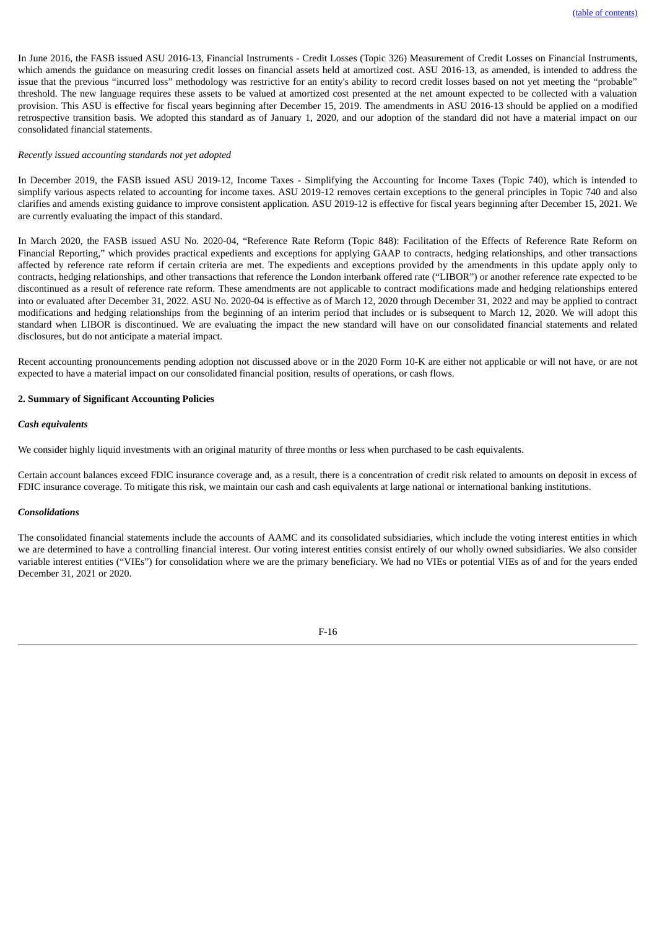In June 2016, the FASB issued ASU 2016-13, Financial Instruments - Credit Losses (Topic 326) Measurement of Credit Losses on Financial Instruments, which amends the guidance on measuring credit losses on financial assets held at amortized cost. ASU 2016-13, as amended, is intended to address the issue that the previous "incurred loss" methodology was restrictive for an entity's ability to record credit losses based on not yet meeting the "probable" threshold. The new language requires these assets to be valued at amortized cost presented at the net amount expected to be collected with a valuation provision. This ASU is effective for fiscal years beginning after December 15, 2019. The amendments in ASU 2016-13 should be applied on a modified retrospective transition basis. We adopted this standard as of January 1, 2020, and our adoption of the standard did not have a material impact on our consolidated financial statements.

#### *Recently issued accounting standards not yet adopted*

In December 2019, the FASB issued ASU 2019-12, Income Taxes - Simplifying the Accounting for Income Taxes (Topic 740), which is intended to simplify various aspects related to accounting for income taxes. ASU 2019-12 removes certain exceptions to the general principles in Topic 740 and also clarifies and amends existing guidance to improve consistent application. ASU 2019-12 is effective for fiscal years beginning after December 15, 2021. We are currently evaluating the impact of this standard.

In March 2020, the FASB issued ASU No. 2020-04, "Reference Rate Reform (Topic 848): Facilitation of the Effects of Reference Rate Reform on Financial Reporting," which provides practical expedients and exceptions for applying GAAP to contracts, hedging relationships, and other transactions affected by reference rate reform if certain criteria are met. The expedients and exceptions provided by the amendments in this update apply only to contracts, hedging relationships, and other transactions that reference the London interbank offered rate ("LIBOR") or another reference rate expected to be discontinued as a result of reference rate reform. These amendments are not applicable to contract modifications made and hedging relationships entered into or evaluated after December 31, 2022. ASU No. 2020-04 is effective as of March 12, 2020 through December 31, 2022 and may be applied to contract modifications and hedging relationships from the beginning of an interim period that includes or is subsequent to March 12, 2020. We will adopt this standard when LIBOR is discontinued. We are evaluating the impact the new standard will have on our consolidated financial statements and related disclosures, but do not anticipate a material impact.

Recent accounting pronouncements pending adoption not discussed above or in the 2020 Form 10-K are either not applicable or will not have, or are not expected to have a material impact on our consolidated financial position, results of operations, or cash flows.

## **2. Summary of Significant Accounting Policies**

## *Cash equivalents*

We consider highly liquid investments with an original maturity of three months or less when purchased to be cash equivalents.

Certain account balances exceed FDIC insurance coverage and, as a result, there is a concentration of credit risk related to amounts on deposit in excess of FDIC insurance coverage. To mitigate this risk, we maintain our cash and cash equivalents at large national or international banking institutions.

#### *Consolidations*

The consolidated financial statements include the accounts of AAMC and its consolidated subsidiaries, which include the voting interest entities in which we are determined to have a controlling financial interest. Our voting interest entities consist entirely of our wholly owned subsidiaries. We also consider variable interest entities ("VIEs") for consolidation where we are the primary beneficiary. We had no VIEs or potential VIEs as of and for the years ended December 31, 2021 or 2020.

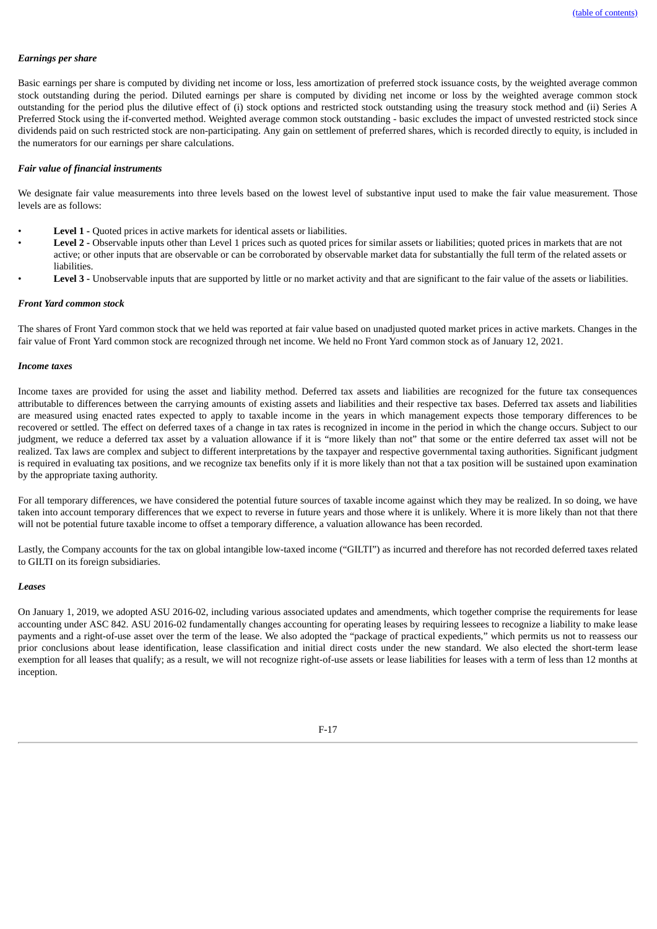#### *Earnings per share*

Basic earnings per share is computed by dividing net income or loss, less amortization of preferred stock issuance costs, by the weighted average common stock outstanding during the period. Diluted earnings per share is computed by dividing net income or loss by the weighted average common stock outstanding for the period plus the dilutive effect of (i) stock options and restricted stock outstanding using the treasury stock method and (ii) Series A Preferred Stock using the if-converted method. Weighted average common stock outstanding - basic excludes the impact of unvested restricted stock since dividends paid on such restricted stock are non-participating. Any gain on settlement of preferred shares, which is recorded directly to equity, is included in the numerators for our earnings per share calculations.

## *Fair value of financial instruments*

We designate fair value measurements into three levels based on the lowest level of substantive input used to make the fair value measurement. Those levels are as follows:

- **Level 1 -** Quoted prices in active markets for identical assets or liabilities.
- **Level 2 -** Observable inputs other than Level 1 prices such as quoted prices for similar assets or liabilities; quoted prices in markets that are not active; or other inputs that are observable or can be corroborated by observable market data for substantially the full term of the related assets or liabilities.
- **Level 3 -** Unobservable inputs that are supported by little or no market activity and that are significant to the fair value of the assets or liabilities.

#### *Front Yard common stock*

The shares of Front Yard common stock that we held was reported at fair value based on unadjusted quoted market prices in active markets. Changes in the fair value of Front Yard common stock are recognized through net income. We held no Front Yard common stock as of January 12, 2021.

#### *Income taxes*

Income taxes are provided for using the asset and liability method. Deferred tax assets and liabilities are recognized for the future tax consequences attributable to differences between the carrying amounts of existing assets and liabilities and their respective tax bases. Deferred tax assets and liabilities are measured using enacted rates expected to apply to taxable income in the years in which management expects those temporary differences to be recovered or settled. The effect on deferred taxes of a change in tax rates is recognized in income in the period in which the change occurs. Subject to our judgment, we reduce a deferred tax asset by a valuation allowance if it is "more likely than not" that some or the entire deferred tax asset will not be realized. Tax laws are complex and subject to different interpretations by the taxpayer and respective governmental taxing authorities. Significant judgment is required in evaluating tax positions, and we recognize tax benefits only if it is more likely than not that a tax position will be sustained upon examination by the appropriate taxing authority.

For all temporary differences, we have considered the potential future sources of taxable income against which they may be realized. In so doing, we have taken into account temporary differences that we expect to reverse in future years and those where it is unlikely. Where it is more likely than not that there will not be potential future taxable income to offset a temporary difference, a valuation allowance has been recorded.

Lastly, the Company accounts for the tax on global intangible low-taxed income ("GILTI") as incurred and therefore has not recorded deferred taxes related to GILTI on its foreign subsidiaries.

### *Leases*

On January 1, 2019, we adopted ASU 2016-02, including various associated updates and amendments, which together comprise the requirements for lease accounting under ASC 842. ASU 2016-02 fundamentally changes accounting for operating leases by requiring lessees to recognize a liability to make lease payments and a right-of-use asset over the term of the lease. We also adopted the "package of practical expedients," which permits us not to reassess our prior conclusions about lease identification, lease classification and initial direct costs under the new standard. We also elected the short-term lease exemption for all leases that qualify; as a result, we will not recognize right-of-use assets or lease liabilities for leases with a term of less than 12 months at inception.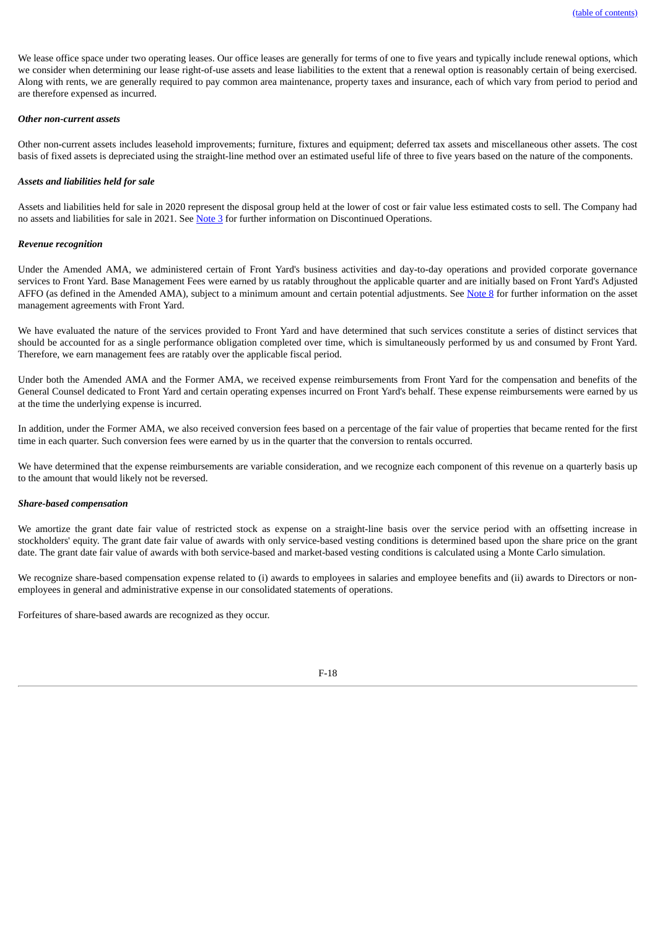We lease office space under two operating leases. Our office leases are generally for terms of one to five years and typically include renewal options, which we consider when determining our lease right-of-use assets and lease liabilities to the extent that a renewal option is reasonably certain of being exercised. Along with rents, we are generally required to pay common area maintenance, property taxes and insurance, each of which vary from period to period and are therefore expensed as incurred.

### *Other non-current assets*

Other non-current assets includes leasehold improvements; furniture, fixtures and equipment; deferred tax assets and miscellaneous other assets. The cost basis of fixed assets is depreciated using the straight-line method over an estimated useful life of three to five years based on the nature of the components.

## *Assets and liabilities held for sale*

Assets and liabilities held for sale in 2020 represent the disposal group held at the lower of cost or fair value less estimated costs to sell. The Company had no assets and liabilities for sale in 2021. See [Note](#page-56-0) 3 for further information on Discontinued Operations.

#### *Revenue recognition*

Under the Amended AMA, we administered certain of Front Yard's business activities and day-to-day operations and provided corporate governance services to Front Yard. Base Management Fees were earned by us ratably throughout the applicable quarter and are initially based on Front Yard's Adjusted AFFO (as defined in the Amended AMA), subject to a minimum amount and certain potential adjustments. See [Note](#page-62-0) 8 for further information on the asset management agreements with Front Yard.

We have evaluated the nature of the services provided to Front Yard and have determined that such services constitute a series of distinct services that should be accounted for as a single performance obligation completed over time, which is simultaneously performed by us and consumed by Front Yard. Therefore, we earn management fees are ratably over the applicable fiscal period.

Under both the Amended AMA and the Former AMA, we received expense reimbursements from Front Yard for the compensation and benefits of the General Counsel dedicated to Front Yard and certain operating expenses incurred on Front Yard's behalf. These expense reimbursements were earned by us at the time the underlying expense is incurred.

In addition, under the Former AMA, we also received conversion fees based on a percentage of the fair value of properties that became rented for the first time in each quarter. Such conversion fees were earned by us in the quarter that the conversion to rentals occurred.

We have determined that the expense reimbursements are variable consideration, and we recognize each component of this revenue on a quarterly basis up to the amount that would likely not be reversed.

#### *Share-based compensation*

We amortize the grant date fair value of restricted stock as expense on a straight-line basis over the service period with an offsetting increase in stockholders' equity. The grant date fair value of awards with only service-based vesting conditions is determined based upon the share price on the grant date. The grant date fair value of awards with both service-based and market-based vesting conditions is calculated using a Monte Carlo simulation.

We recognize share-based compensation expense related to (i) awards to employees in salaries and employee benefits and (ii) awards to Directors or nonemployees in general and administrative expense in our consolidated statements of operations.

Forfeitures of share-based awards are recognized as they occur.

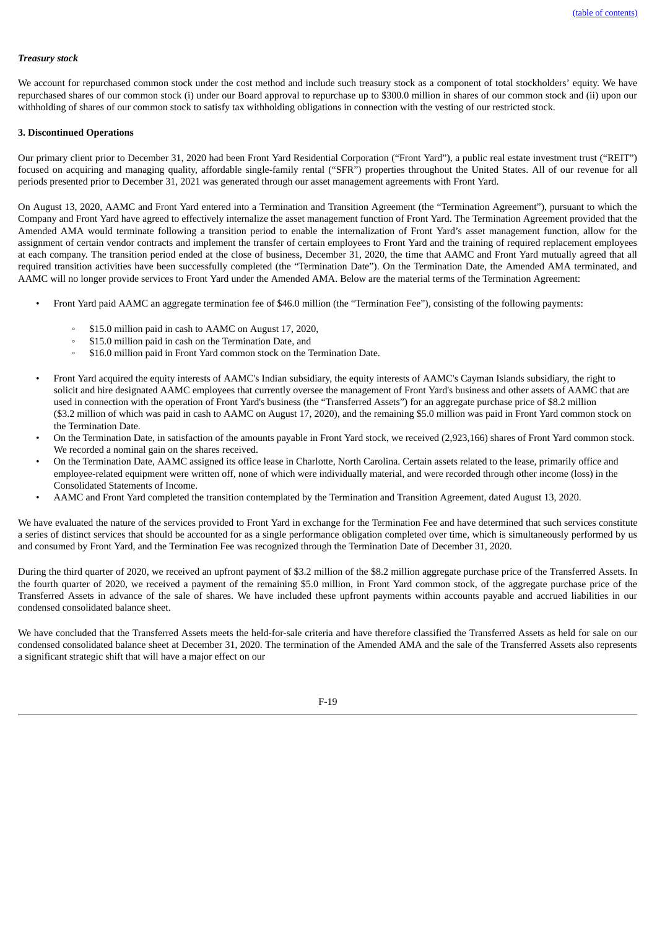#### *Treasury stock*

We account for repurchased common stock under the cost method and include such treasury stock as a component of total stockholders' equity. We have repurchased shares of our common stock (i) under our Board approval to repurchase up to \$300.0 million in shares of our common stock and (ii) upon our withholding of shares of our common stock to satisfy tax withholding obligations in connection with the vesting of our restricted stock.

#### <span id="page-56-0"></span>**3. Discontinued Operations**

Our primary client prior to December 31, 2020 had been Front Yard Residential Corporation ("Front Yard"), a public real estate investment trust ("REIT") focused on acquiring and managing quality, affordable single-family rental ("SFR") properties throughout the United States. All of our revenue for all periods presented prior to December 31, 2021 was generated through our asset management agreements with Front Yard.

On August 13, 2020, AAMC and Front Yard entered into a Termination and Transition Agreement (the "Termination Agreement"), pursuant to which the Company and Front Yard have agreed to effectively internalize the asset management function of Front Yard. The Termination Agreement provided that the Amended AMA would terminate following a transition period to enable the internalization of Front Yard's asset management function, allow for the assignment of certain vendor contracts and implement the transfer of certain employees to Front Yard and the training of required replacement employees at each company. The transition period ended at the close of business, December 31, 2020, the time that AAMC and Front Yard mutually agreed that all required transition activities have been successfully completed (the "Termination Date"). On the Termination Date, the Amended AMA terminated, and AAMC will no longer provide services to Front Yard under the Amended AMA. Below are the material terms of the Termination Agreement:

- Front Yard paid AAMC an aggregate termination fee of \$46.0 million (the "Termination Fee"), consisting of the following payments:
	- \$15.0 million paid in cash to AAMC on August 17, 2020,
	- \$15.0 million paid in cash on the Termination Date, and
	- \$16.0 million paid in Front Yard common stock on the Termination Date.
- Front Yard acquired the equity interests of AAMC's Indian subsidiary, the equity interests of AAMC's Cayman Islands subsidiary, the right to solicit and hire designated AAMC employees that currently oversee the management of Front Yard's business and other assets of AAMC that are used in connection with the operation of Front Yard's business (the "Transferred Assets") for an aggregate purchase price of \$8.2 million (\$3.2 million of which was paid in cash to AAMC on August 17, 2020), and the remaining \$5.0 million was paid in Front Yard common stock on the Termination Date.
- On the Termination Date, in satisfaction of the amounts payable in Front Yard stock, we received (2,923,166) shares of Front Yard common stock. We recorded a nominal gain on the shares received.
- On the Termination Date, AAMC assigned its office lease in Charlotte, North Carolina. Certain assets related to the lease, primarily office and employee-related equipment were written off, none of which were individually material, and were recorded through other income (loss) in the Consolidated Statements of Income.
- AAMC and Front Yard completed the transition contemplated by the Termination and Transition Agreement, dated August 13, 2020.

We have evaluated the nature of the services provided to Front Yard in exchange for the Termination Fee and have determined that such services constitute a series of distinct services that should be accounted for as a single performance obligation completed over time, which is simultaneously performed by us and consumed by Front Yard, and the Termination Fee was recognized through the Termination Date of December 31, 2020.

During the third quarter of 2020, we received an upfront payment of \$3.2 million of the \$8.2 million aggregate purchase price of the Transferred Assets. In the fourth quarter of 2020, we received a payment of the remaining \$5.0 million, in Front Yard common stock, of the aggregate purchase price of the Transferred Assets in advance of the sale of shares. We have included these upfront payments within accounts payable and accrued liabilities in our condensed consolidated balance sheet.

We have concluded that the Transferred Assets meets the held-for-sale criteria and have therefore classified the Transferred Assets as held for sale on our condensed consolidated balance sheet at December 31, 2020. The termination of the Amended AMA and the sale of the Transferred Assets also represents a significant strategic shift that will have a major effect on our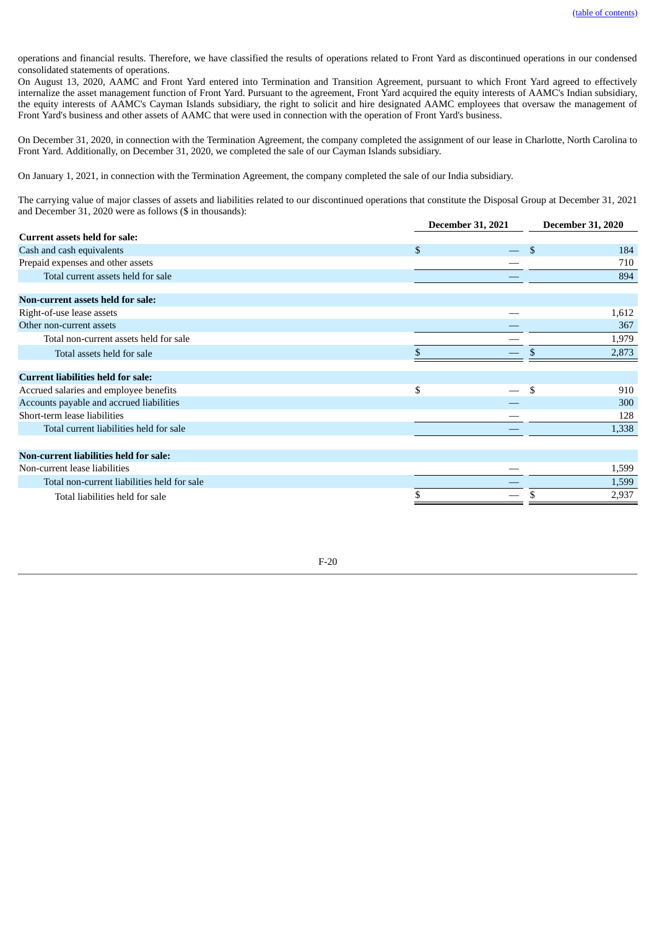operations and financial results. Therefore, we have classified the results of operations related to Front Yard as discontinued operations in our condensed consolidated statements of operations.

On August 13, 2020, AAMC and Front Yard entered into Termination and Transition Agreement, pursuant to which Front Yard agreed to effectively internalize the asset management function of Front Yard. Pursuant to the agreement, Front Yard acquired the equity interests of AAMC's Indian subsidiary, the equity interests of AAMC's Cayman Islands subsidiary, the right to solicit and hire designated AAMC employees that oversaw the management of Front Yard's business and other assets of AAMC that were used in connection with the operation of Front Yard's business.

On December 31, 2020, in connection with the Termination Agreement, the company completed the assignment of our lease in Charlotte, North Carolina to Front Yard. Additionally, on December 31, 2020, we completed the sale of our Cayman Islands subsidiary.

On January 1, 2021, in connection with the Termination Agreement, the company completed the sale of our India subsidiary.

The carrying value of major classes of assets and liabilities related to our discontinued operations that constitute the Disposal Group at December 31, 2021 and December 31, 2020 were as follows (\$ in thousands):

|                                               | <b>December 31, 2021</b> | <b>December 31, 2020</b> |
|-----------------------------------------------|--------------------------|--------------------------|
| <b>Current assets held for sale:</b>          |                          |                          |
| Cash and cash equivalents                     | \$                       | 184                      |
| Prepaid expenses and other assets             |                          | 710                      |
| Total current assets held for sale            |                          | 894                      |
| Non-current assets held for sale:             |                          |                          |
| Right-of-use lease assets                     |                          | 1,612                    |
| Other non-current assets                      |                          | 367                      |
| Total non-current assets held for sale        |                          | 1,979                    |
| Total assets held for sale                    |                          | 2,873                    |
| <b>Current liabilities held for sale:</b>     |                          |                          |
| Accrued salaries and employee benefits        | \$                       | \$<br>910                |
| Accounts payable and accrued liabilities      |                          | 300                      |
| Short-term lease liabilities                  |                          | 128                      |
| Total current liabilities held for sale       |                          | 1,338                    |
|                                               |                          |                          |
| <b>Non-current liabilities held for sale:</b> |                          |                          |
| Non-current lease liabilities                 |                          | 1,599                    |
| Total non-current liabilities held for sale   |                          | 1,599                    |
| Total liabilities held for sale               |                          | 2,937                    |

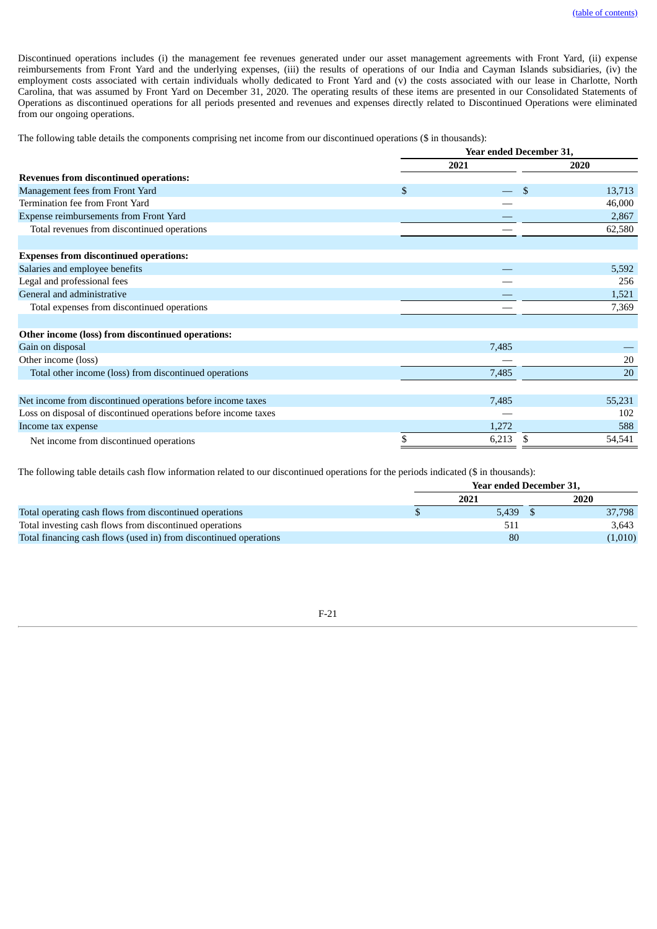Discontinued operations includes (i) the management fee revenues generated under our asset management agreements with Front Yard, (ii) expense reimbursements from Front Yard and the underlying expenses, (iii) the results of operations of our India and Cayman Islands subsidiaries, (iv) the employment costs associated with certain individuals wholly dedicated to Front Yard and (v) the costs associated with our lease in Charlotte, North Carolina, that was assumed by Front Yard on December 31, 2020. The operating results of these items are presented in our Consolidated Statements of Operations as discontinued operations for all periods presented and revenues and expenses directly related to Discontinued Operations were eliminated from our ongoing operations.

The following table details the components comprising net income from our discontinued operations (\$ in thousands):

|                                                                 | <b>Year ended December 31,</b> |       |    |        |
|-----------------------------------------------------------------|--------------------------------|-------|----|--------|
|                                                                 |                                | 2021  |    | 2020   |
| <b>Revenues from discontinued operations:</b>                   |                                |       |    |        |
| Management fees from Front Yard                                 | \$                             |       | S  | 13,713 |
| Termination fee from Front Yard                                 |                                |       |    | 46,000 |
| Expense reimbursements from Front Yard                          |                                |       |    | 2,867  |
| Total revenues from discontinued operations                     |                                |       |    | 62,580 |
|                                                                 |                                |       |    |        |
| <b>Expenses from discontinued operations:</b>                   |                                |       |    |        |
| Salaries and employee benefits                                  |                                |       |    | 5,592  |
| Legal and professional fees                                     |                                |       |    | 256    |
| General and administrative                                      |                                |       |    | 1,521  |
| Total expenses from discontinued operations                     |                                |       |    | 7,369  |
|                                                                 |                                |       |    |        |
| Other income (loss) from discontinued operations:               |                                |       |    |        |
| Gain on disposal                                                |                                | 7,485 |    |        |
| Other income (loss)                                             |                                |       |    | 20     |
| Total other income (loss) from discontinued operations          |                                | 7,485 |    | 20     |
|                                                                 |                                |       |    |        |
| Net income from discontinued operations before income taxes     |                                | 7,485 |    | 55,231 |
| Loss on disposal of discontinued operations before income taxes |                                |       |    | 102    |
| Income tax expense                                              |                                | 1,272 |    | 588    |
| Net income from discontinued operations                         | \$                             | 6,213 | \$ | 54,541 |

The following table details cash flow information related to our discontinued operations for the periods indicated (\$ in thousands):

|                                                                   | Year ended December 31, |       |  |         |
|-------------------------------------------------------------------|-------------------------|-------|--|---------|
|                                                                   | 2021                    |       |  | 2020    |
| Total operating cash flows from discontinued operations           |                         | 5.439 |  | 37,798  |
| Total investing cash flows from discontinued operations           |                         | 511   |  | 3.643   |
| Total financing cash flows (used in) from discontinued operations |                         | 80    |  | (1,010) |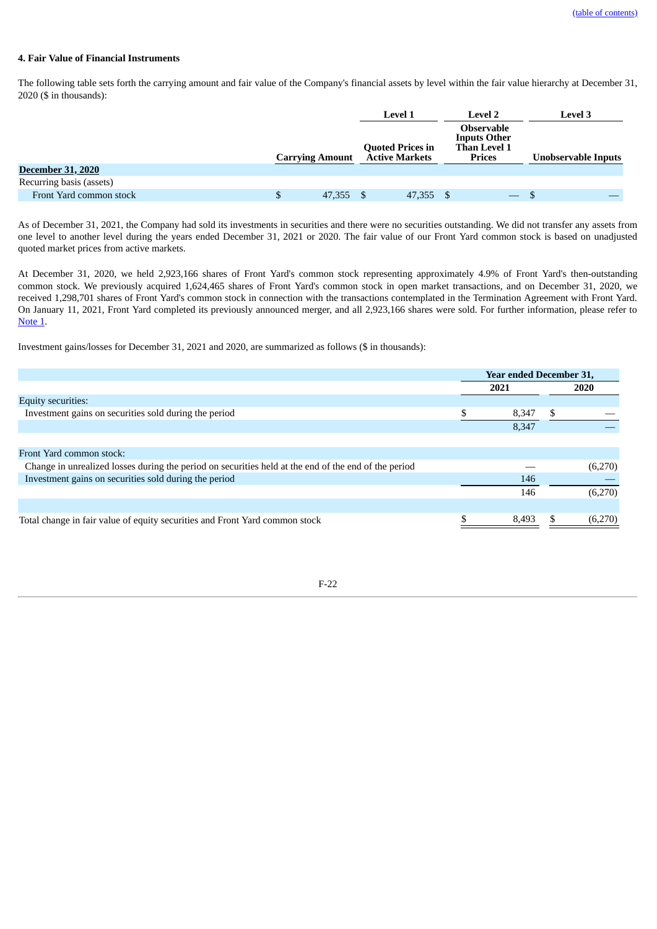## **4. Fair Value of Financial Instruments**

The following table sets forth the carrying amount and fair value of the Company's financial assets by level within the fair value hierarchy at December 31, 2020 (\$ in thousands):

|                          |                        | <b>Level 1</b>                                   | <b>Level 2</b>                                                                   | <b>Level 3</b>      |
|--------------------------|------------------------|--------------------------------------------------|----------------------------------------------------------------------------------|---------------------|
|                          | <b>Carrying Amount</b> | <b>Quoted Prices in</b><br><b>Active Markets</b> | <b>Observable</b><br><b>Inputs Other</b><br><b>Than Level 1</b><br><b>Prices</b> | Unobservable Inputs |
| <b>December 31, 2020</b> |                        |                                                  |                                                                                  |                     |
| Recurring basis (assets) |                        |                                                  |                                                                                  |                     |
| Front Yard common stock  | 47,355                 | 47,355                                           | $\hspace{0.05cm}$                                                                |                     |

As of December 31, 2021, the Company had sold its investments in securities and there were no securities outstanding. We did not transfer any assets from one level to another level during the years ended December 31, 2021 or 2020. The fair value of our Front Yard common stock is based on unadjusted quoted market prices from active markets.

At December 31, 2020, we held 2,923,166 shares of Front Yard's common stock representing approximately 4.9% of Front Yard's then-outstanding common stock. We previously acquired 1,624,465 shares of Front Yard's common stock in open market transactions, and on December 31, 2020, we received 1,298,701 shares of Front Yard's common stock in connection with the transactions contemplated in the Termination Agreement with Front Yard. On January 11, 2021, Front Yard completed its previously announced merger, and all 2,923,166 shares were sold. For further information, please refer to [Note](#page-49-0) 1.

Investment gains/losses for December 31, 2021 and 2020, are summarized as follows (\$ in thousands):

|                                                                                                      | <b>Year ended December 31,</b> |       |     |         |
|------------------------------------------------------------------------------------------------------|--------------------------------|-------|-----|---------|
|                                                                                                      |                                | 2021  |     | 2020    |
| Equity securities:                                                                                   |                                |       |     |         |
| Investment gains on securities sold during the period                                                |                                | 8,347 | \$. |         |
|                                                                                                      |                                | 8,347 |     |         |
|                                                                                                      |                                |       |     |         |
| Front Yard common stock:                                                                             |                                |       |     |         |
| Change in unrealized losses during the period on securities held at the end of the end of the period |                                |       |     | (6,270) |
| Investment gains on securities sold during the period                                                |                                | 146   |     |         |
|                                                                                                      |                                | 146   |     | (6,270) |
|                                                                                                      |                                |       |     |         |
| Total change in fair value of equity securities and Front Yard common stock                          |                                | 8,493 |     | (6,270) |

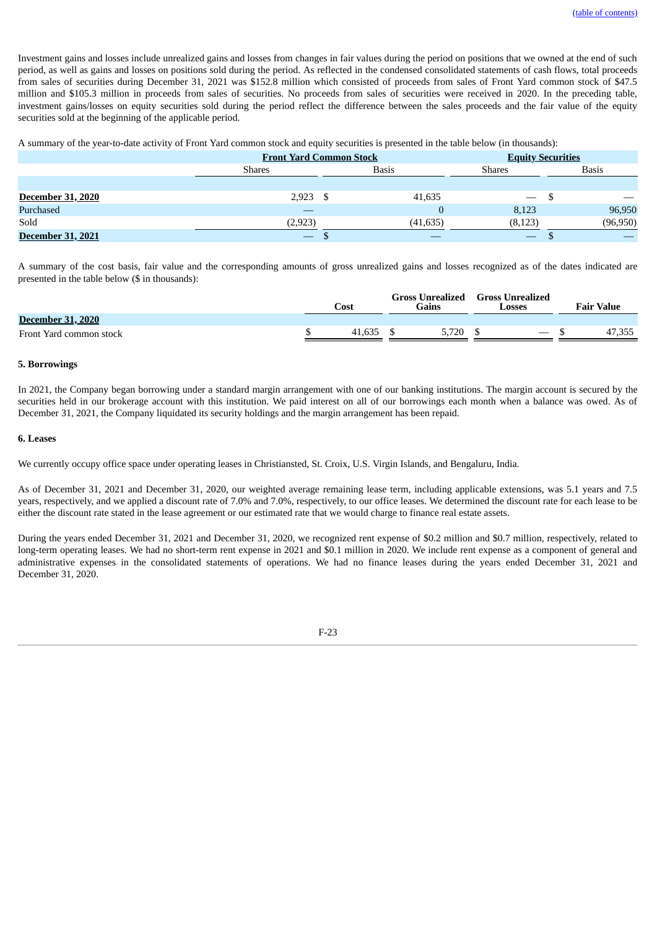Investment gains and losses include unrealized gains and losses from changes in fair values during the period on positions that we owned at the end of such period, as well as gains and losses on positions sold during the period. As reflected in the condensed consolidated statements of cash flows, total proceeds from sales of securities during December 31, 2021 was \$152.8 million which consisted of proceeds from sales of Front Yard common stock of \$47.5 million and \$105.3 million in proceeds from sales of securities. No proceeds from sales of securities were received in 2020. In the preceding table, investment gains/losses on equity securities sold during the period reflect the difference between the sales proceeds and the fair value of the equity securities sold at the beginning of the applicable period.

A summary of the year-to-date activity of Front Yard common stock and equity securities is presented in the table below (in thousands):

|                          | <b>Front Yard Common Stock</b> |  | <b>Equity Securities</b> |               |  |              |
|--------------------------|--------------------------------|--|--------------------------|---------------|--|--------------|
|                          | <b>Shares</b>                  |  | <b>Basis</b>             | <b>Shares</b> |  | <b>Basis</b> |
|                          |                                |  |                          |               |  |              |
| December 31, 2020        | 2,923                          |  | 41,635                   |               |  |              |
| Purchased                | $\overline{\phantom{a}}$       |  |                          | 8,123         |  | 96,950       |
| Sold                     | (2, 923)                       |  | (41, 635)                | (8, 123)      |  | (96, 950)    |
| <b>December 31, 2021</b> | $\qquad \qquad - \qquad$       |  |                          |               |  |              |

A summary of the cost basis, fair value and the corresponding amounts of gross unrealized gains and losses recognized as of the dates indicated are presented in the table below (\$ in thousands):

| 5.720 | 47,355 |
|-------|--------|
|       |        |

## **5. Borrowings**

In 2021, the Company began borrowing under a standard margin arrangement with one of our banking institutions. The margin account is secured by the securities held in our brokerage account with this institution. We paid interest on all of our borrowings each month when a balance was owed. As of December 31, 2021, the Company liquidated its security holdings and the margin arrangement has been repaid.

## <span id="page-60-0"></span>**6. Leases**

We currently occupy office space under operating leases in Christiansted, St. Croix, U.S. Virgin Islands, and Bengaluru, India.

As of December 31, 2021 and December 31, 2020, our weighted average remaining lease term, including applicable extensions, was 5.1 years and 7.5 years, respectively, and we applied a discount rate of 7.0% and 7.0%, respectively, to our office leases. We determined the discount rate for each lease to be either the discount rate stated in the lease agreement or our estimated rate that we would charge to finance real estate assets.

During the years ended December 31, 2021 and December 31, 2020, we recognized rent expense of \$0.2 million and \$0.7 million, respectively, related to long-term operating leases. We had no short-term rent expense in 2021 and \$0.1 million in 2020. We include rent expense as a component of general and administrative expenses in the consolidated statements of operations. We had no finance leases during the years ended December 31, 2021 and December 31, 2020.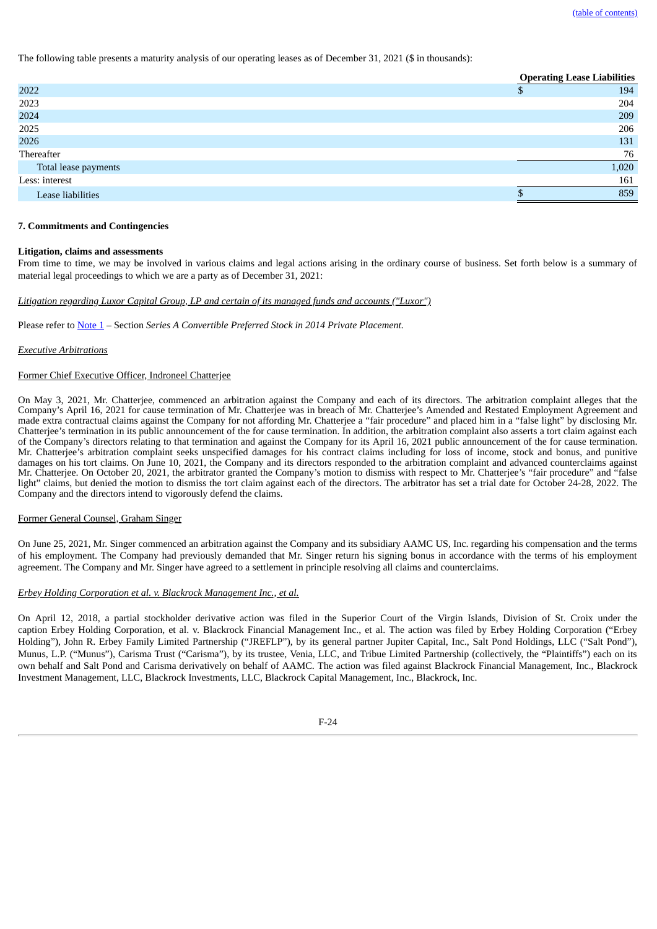The following table presents a maturity analysis of our operating leases as of December 31, 2021 (\$ in thousands):

|                      | <b>Operating Lease Liabilities</b> |
|----------------------|------------------------------------|
| 2022                 | 194<br>D                           |
| 2023                 | 204                                |
| 2024                 | 209                                |
| 2025                 | 206                                |
| 2026                 | 131                                |
| Thereafter           | 76                                 |
| Total lease payments | 1,020                              |
| Less: interest       | 161                                |
| Lease liabilities    | 859                                |
|                      |                                    |

### <span id="page-61-0"></span>**7. Commitments and Contingencies**

#### **Litigation, claims and assessments**

From time to time, we may be involved in various claims and legal actions arising in the ordinary course of business. Set forth below is a summary of material legal proceedings to which we are a party as of December 31, 2021:

#### *Litigation regarding Luxor Capital Group, LP and certain of its managed funds and accounts ("Luxor")*

Please refer to [Note](#page-49-0) 1 – Section *Series A Convertible Preferred Stock in 2014 Private Placement.*

#### *Executive Arbitrations*

#### Former Chief Executive Officer, Indroneel Chatterjee

On May 3, 2021, Mr. Chatterjee, commenced an arbitration against the Company and each of its directors. The arbitration complaint alleges that the Company's April 16, 2021 for cause termination of Mr. Chatterjee was in breach of Mr. Chatterjee's Amended and Restated Employment Agreement and made extra contractual claims against the Company for not affording Mr. Chatterjee a "fair procedure" and placed him in a "false light" by disclosing Mr. Chatterjee's termination in its public announcement of the for cause termination. In addition, the arbitration complaint also asserts a tort claim against each of the Company's directors relating to that termination and against the Company for its April 16, 2021 public announcement of the for cause termination. Mr. Chatterjee's arbitration complaint seeks unspecified damages for his contract claims including for loss of income, stock and bonus, and punitive damages on his tort claims. On June 10, 2021, the Company and its directors responded to the arbitration complaint and advanced counterclaims against Mr. Chatterjee. On October 20, 2021, the arbitrator granted the Company's motion to dismiss with respect to Mr. Chatterjee's "fair procedure" and "false light" claims, but denied the motion to dismiss the tort claim against each of the directors. The arbitrator has set a trial date for October 24-28, 2022. The Company and the directors intend to vigorously defend the claims.

#### Former General Counsel, Graham Singer

On June 25, 2021, Mr. Singer commenced an arbitration against the Company and its subsidiary AAMC US, Inc. regarding his compensation and the terms of his employment. The Company had previously demanded that Mr. Singer return his signing bonus in accordance with the terms of his employment agreement. The Company and Mr. Singer have agreed to a settlement in principle resolving all claims and counterclaims.

#### *Erbey Holding Corporation et al. v. Blackrock Management Inc., et al.*

On April 12, 2018, a partial stockholder derivative action was filed in the Superior Court of the Virgin Islands, Division of St. Croix under the caption Erbey Holding Corporation, et al. v. Blackrock Financial Management Inc., et al. The action was filed by Erbey Holding Corporation ("Erbey Holding"), John R. Erbey Family Limited Partnership ("JREFLP"), by its general partner Jupiter Capital, Inc., Salt Pond Holdings, LLC ("Salt Pond"), Munus, L.P. ("Munus"), Carisma Trust ("Carisma"), by its trustee, Venia, LLC, and Tribue Limited Partnership (collectively, the "Plaintiffs") each on its own behalf and Salt Pond and Carisma derivatively on behalf of AAMC. The action was filed against Blackrock Financial Management, Inc., Blackrock Investment Management, LLC, Blackrock Investments, LLC, Blackrock Capital Management, Inc., Blackrock, Inc.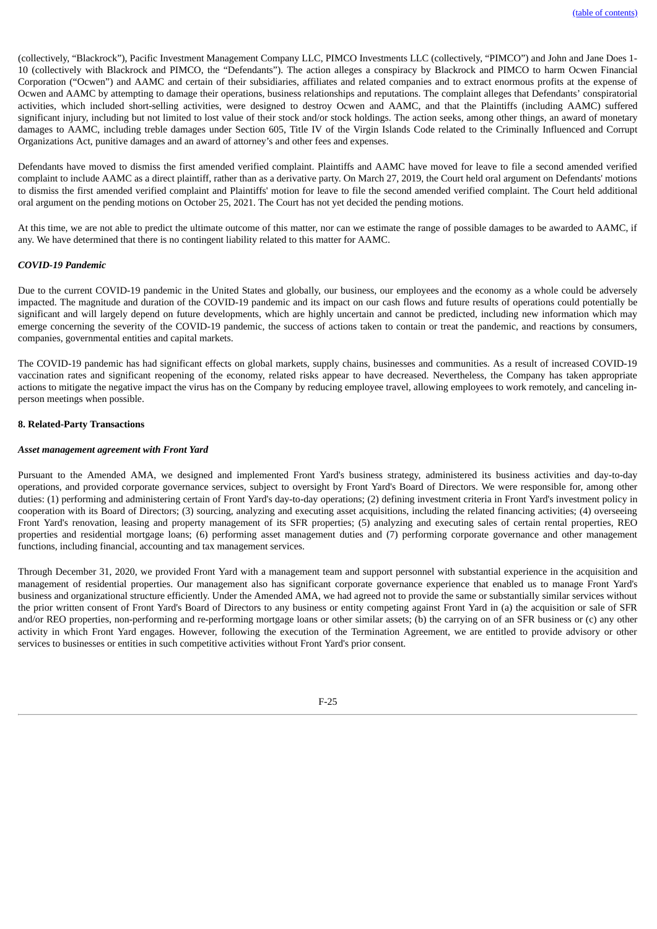(collectively, "Blackrock"), Pacific Investment Management Company LLC, PIMCO Investments LLC (collectively, "PIMCO") and John and Jane Does 1- 10 (collectively with Blackrock and PIMCO, the "Defendants"). The action alleges a conspiracy by Blackrock and PIMCO to harm Ocwen Financial Corporation ("Ocwen") and AAMC and certain of their subsidiaries, affiliates and related companies and to extract enormous profits at the expense of Ocwen and AAMC by attempting to damage their operations, business relationships and reputations. The complaint alleges that Defendants' conspiratorial activities, which included short-selling activities, were designed to destroy Ocwen and AAMC, and that the Plaintiffs (including AAMC) suffered significant injury, including but not limited to lost value of their stock and/or stock holdings. The action seeks, among other things, an award of monetary damages to AAMC, including treble damages under Section 605, Title IV of the Virgin Islands Code related to the Criminally Influenced and Corrupt Organizations Act, punitive damages and an award of attorney's and other fees and expenses.

Defendants have moved to dismiss the first amended verified complaint. Plaintiffs and AAMC have moved for leave to file a second amended verified complaint to include AAMC as a direct plaintiff, rather than as a derivative party. On March 27, 2019, the Court held oral argument on Defendants' motions to dismiss the first amended verified complaint and Plaintiffs' motion for leave to file the second amended verified complaint. The Court held additional oral argument on the pending motions on October 25, 2021. The Court has not yet decided the pending motions.

At this time, we are not able to predict the ultimate outcome of this matter, nor can we estimate the range of possible damages to be awarded to AAMC, if any. We have determined that there is no contingent liability related to this matter for AAMC.

## *COVID-19 Pandemic*

Due to the current COVID-19 pandemic in the United States and globally, our business, our employees and the economy as a whole could be adversely impacted. The magnitude and duration of the COVID-19 pandemic and its impact on our cash flows and future results of operations could potentially be significant and will largely depend on future developments, which are highly uncertain and cannot be predicted, including new information which may emerge concerning the severity of the COVID-19 pandemic, the success of actions taken to contain or treat the pandemic, and reactions by consumers, companies, governmental entities and capital markets.

The COVID-19 pandemic has had significant effects on global markets, supply chains, businesses and communities. As a result of increased COVID-19 vaccination rates and significant reopening of the economy, related risks appear to have decreased. Nevertheless, the Company has taken appropriate actions to mitigate the negative impact the virus has on the Company by reducing employee travel, allowing employees to work remotely, and canceling inperson meetings when possible.

#### <span id="page-62-0"></span>**8. Related-Party Transactions**

## *Asset management agreement with Front Yard*

Pursuant to the Amended AMA, we designed and implemented Front Yard's business strategy, administered its business activities and day-to-day operations, and provided corporate governance services, subject to oversight by Front Yard's Board of Directors. We were responsible for, among other duties: (1) performing and administering certain of Front Yard's day-to-day operations; (2) defining investment criteria in Front Yard's investment policy in cooperation with its Board of Directors; (3) sourcing, analyzing and executing asset acquisitions, including the related financing activities; (4) overseeing Front Yard's renovation, leasing and property management of its SFR properties; (5) analyzing and executing sales of certain rental properties, REO properties and residential mortgage loans; (6) performing asset management duties and (7) performing corporate governance and other management functions, including financial, accounting and tax management services.

Through December 31, 2020, we provided Front Yard with a management team and support personnel with substantial experience in the acquisition and management of residential properties. Our management also has significant corporate governance experience that enabled us to manage Front Yard's business and organizational structure efficiently. Under the Amended AMA, we had agreed not to provide the same or substantially similar services without the prior written consent of Front Yard's Board of Directors to any business or entity competing against Front Yard in (a) the acquisition or sale of SFR and/or REO properties, non-performing and re-performing mortgage loans or other similar assets; (b) the carrying on of an SFR business or (c) any other activity in which Front Yard engages. However, following the execution of the Termination Agreement, we are entitled to provide advisory or other services to businesses or entities in such competitive activities without Front Yard's prior consent.

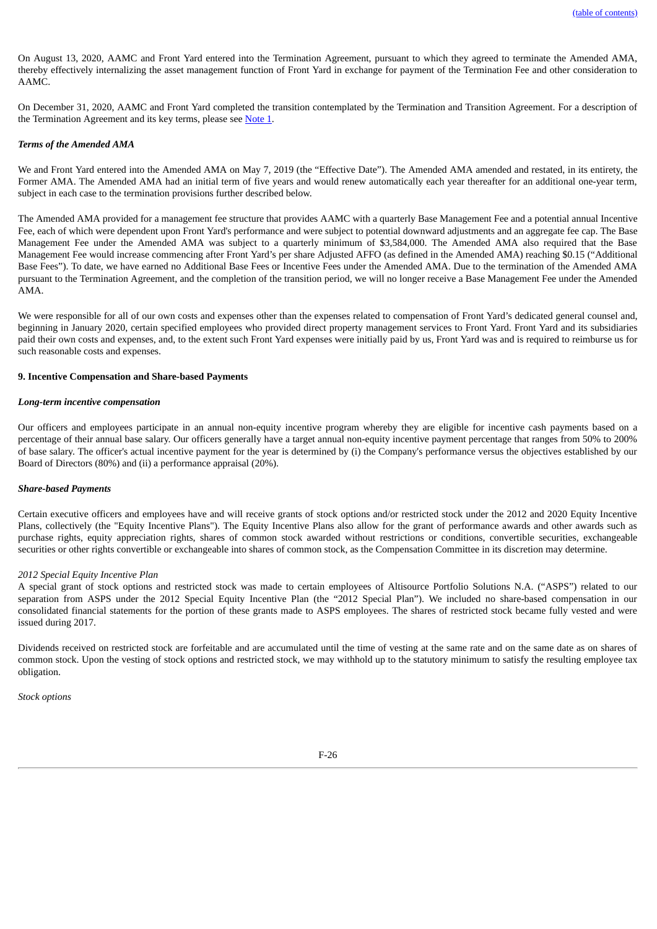On August 13, 2020, AAMC and Front Yard entered into the Termination Agreement, pursuant to which they agreed to terminate the Amended AMA, thereby effectively internalizing the asset management function of Front Yard in exchange for payment of the Termination Fee and other consideration to AAMC.

On December 31, 2020, AAMC and Front Yard completed the transition contemplated by the Termination and Transition Agreement. For a description of the Termination Agreement and its key terms, please see [Note](#page-49-0) 1.

## *Terms of the Amended AMA*

We and Front Yard entered into the Amended AMA on May 7, 2019 (the "Effective Date"). The Amended AMA amended and restated, in its entirety, the Former AMA. The Amended AMA had an initial term of five years and would renew automatically each year thereafter for an additional one-year term, subject in each case to the termination provisions further described below.

The Amended AMA provided for a management fee structure that provides AAMC with a quarterly Base Management Fee and a potential annual Incentive Fee, each of which were dependent upon Front Yard's performance and were subject to potential downward adjustments and an aggregate fee cap. The Base Management Fee under the Amended AMA was subject to a quarterly minimum of \$3,584,000. The Amended AMA also required that the Base Management Fee would increase commencing after Front Yard's per share Adjusted AFFO (as defined in the Amended AMA) reaching \$0.15 ("Additional Base Fees"). To date, we have earned no Additional Base Fees or Incentive Fees under the Amended AMA. Due to the termination of the Amended AMA pursuant to the Termination Agreement, and the completion of the transition period, we will no longer receive a Base Management Fee under the Amended AMA.

We were responsible for all of our own costs and expenses other than the expenses related to compensation of Front Yard's dedicated general counsel and, beginning in January 2020, certain specified employees who provided direct property management services to Front Yard. Front Yard and its subsidiaries paid their own costs and expenses, and, to the extent such Front Yard expenses were initially paid by us, Front Yard was and is required to reimburse us for such reasonable costs and expenses.

#### **9. Incentive Compensation and Share-based Payments**

#### *Long-term incentive compensation*

Our officers and employees participate in an annual non-equity incentive program whereby they are eligible for incentive cash payments based on a percentage of their annual base salary. Our officers generally have a target annual non-equity incentive payment percentage that ranges from 50% to 200% of base salary. The officer's actual incentive payment for the year is determined by (i) the Company's performance versus the objectives established by our Board of Directors (80%) and (ii) a performance appraisal (20%).

### *Share-based Payments*

Certain executive officers and employees have and will receive grants of stock options and/or restricted stock under the 2012 and 2020 Equity Incentive Plans, collectively (the "Equity Incentive Plans"). The Equity Incentive Plans also allow for the grant of performance awards and other awards such as purchase rights, equity appreciation rights, shares of common stock awarded without restrictions or conditions, convertible securities, exchangeable securities or other rights convertible or exchangeable into shares of common stock, as the Compensation Committee in its discretion may determine.

#### *2012 Special Equity Incentive Plan*

A special grant of stock options and restricted stock was made to certain employees of Altisource Portfolio Solutions N.A. ("ASPS") related to our separation from ASPS under the 2012 Special Equity Incentive Plan (the "2012 Special Plan"). We included no share-based compensation in our consolidated financial statements for the portion of these grants made to ASPS employees. The shares of restricted stock became fully vested and were issued during 2017.

Dividends received on restricted stock are forfeitable and are accumulated until the time of vesting at the same rate and on the same date as on shares of common stock. Upon the vesting of stock options and restricted stock, we may withhold up to the statutory minimum to satisfy the resulting employee tax obligation.

*Stock options*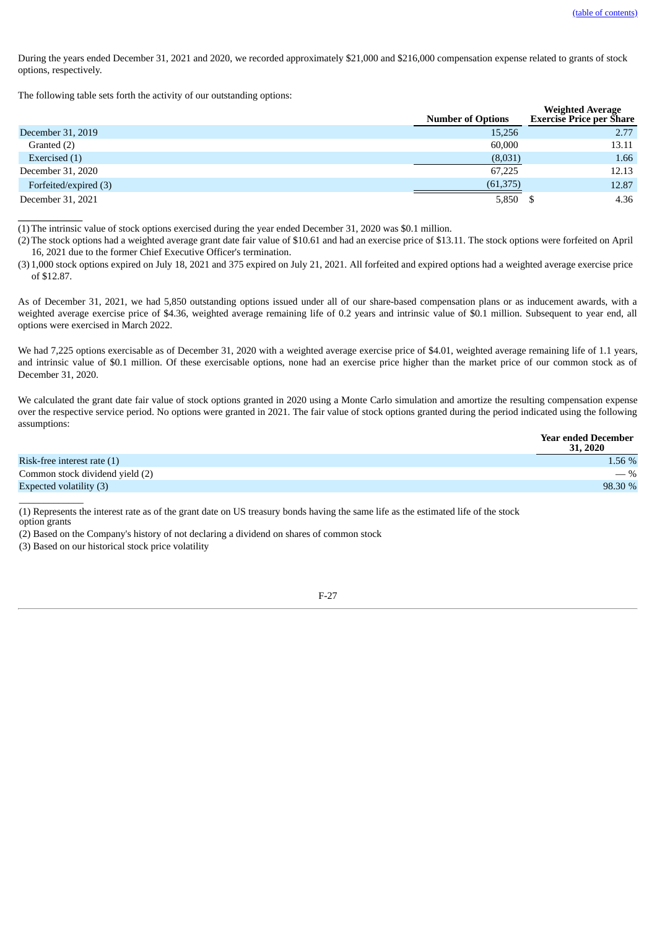During the years ended December 31, 2021 and 2020, we recorded approximately \$21,000 and \$216,000 compensation expense related to grants of stock options, respectively.

The following table sets forth the activity of our outstanding options:

|                       | <b>Number of Options</b> | <b>Weighted Average</b><br><b>Exercise Price per Share</b> |
|-----------------------|--------------------------|------------------------------------------------------------|
| December 31, 2019     | 15,256                   | 2.77                                                       |
| Granted (2)           | 60,000                   | 13.11                                                      |
| Exercised (1)         | (8,031)                  | 1.66                                                       |
| December 31, 2020     | 67,225                   | 12.13                                                      |
| Forfeited/expired (3) | (61, 375)                | 12.87                                                      |
| December 31, 2021     | 5,850                    | 4.36                                                       |

(1)The intrinsic value of stock options exercised during the year ended December 31, 2020 was \$0.1 million.

(2)The stock options had a weighted average grant date fair value of \$10.61 and had an exercise price of \$13.11. The stock options were forfeited on April 16, 2021 due to the former Chief Executive Officer's termination.

(3) 1,000 stock options expired on July 18, 2021 and 375 expired on July 21, 2021. All forfeited and expired options had a weighted average exercise price of \$12.87.

As of December 31, 2021, we had 5,850 outstanding options issued under all of our share-based compensation plans or as inducement awards, with a weighted average exercise price of \$4.36, weighted average remaining life of 0.2 years and intrinsic value of \$0.1 million. Subsequent to year end, all options were exercised in March 2022.

We had 7,225 options exercisable as of December 31, 2020 with a weighted average exercise price of \$4.01, weighted average remaining life of 1.1 years, and intrinsic value of \$0.1 million. Of these exercisable options, none had an exercise price higher than the market price of our common stock as of December 31, 2020.

We calculated the grant date fair value of stock options granted in 2020 using a Monte Carlo simulation and amortize the resulting compensation expense over the respective service period. No options were granted in 2021. The fair value of stock options granted during the period indicated using the following assumptions:

|                                 | <b>Year ended December</b><br>31, 2020 |
|---------------------------------|----------------------------------------|
| Risk-free interest rate $(1)$   | $1.56\%$                               |
| Common stock dividend yield (2) | $-$ %                                  |
| <b>Expected volatility (3)</b>  | 98.30 %                                |

(1) Represents the interest rate as of the grant date on US treasury bonds having the same life as the estimated life of the stock option grants

(2) Based on the Company's history of not declaring a dividend on shares of common stock

(3) Based on our historical stock price volatility

**\_\_\_\_\_\_\_\_\_\_\_\_\_**

\_\_\_\_\_\_\_\_\_\_\_\_\_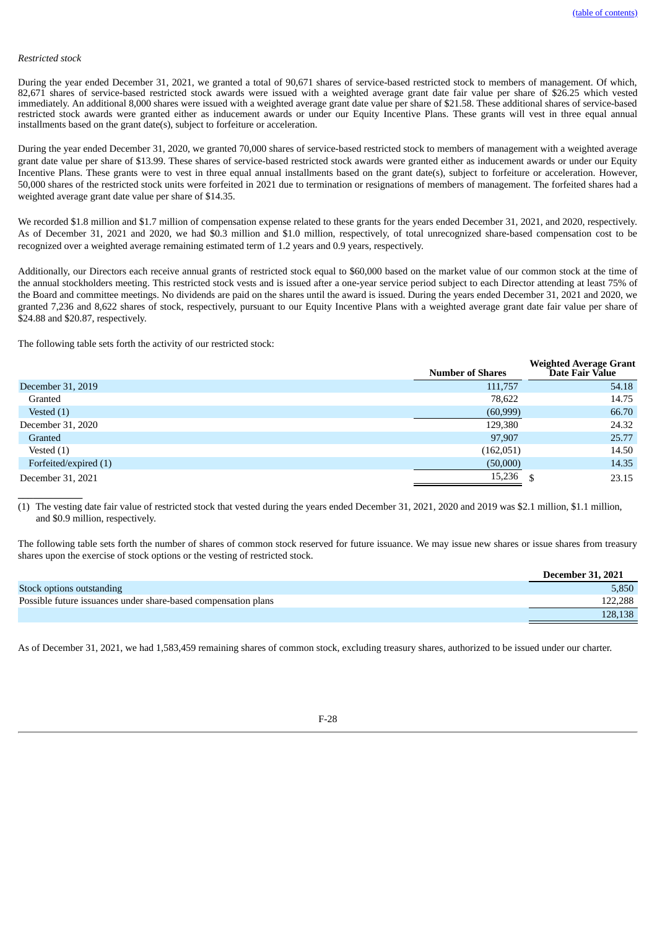#### *Restricted stock*

**\_\_\_\_\_\_\_\_\_\_\_\_\_**

During the year ended December 31, 2021, we granted a total of 90,671 shares of service-based restricted stock to members of management. Of which, 82,671 shares of service-based restricted stock awards were issued with a weighted average grant date fair value per share of \$26.25 which vested immediately. An additional 8,000 shares were issued with a weighted average grant date value per share of \$21.58. These additional shares of service-based restricted stock awards were granted either as inducement awards or under our Equity Incentive Plans. These grants will vest in three equal annual installments based on the grant date(s), subject to forfeiture or acceleration.

During the year ended December 31, 2020, we granted 70,000 shares of service-based restricted stock to members of management with a weighted average grant date value per share of \$13.99. These shares of service-based restricted stock awards were granted either as inducement awards or under our Equity Incentive Plans. These grants were to vest in three equal annual installments based on the grant date(s), subject to forfeiture or acceleration. However, 50,000 shares of the restricted stock units were forfeited in 2021 due to termination or resignations of members of management. The forfeited shares had a weighted average grant date value per share of \$14.35.

We recorded \$1.8 million and \$1.7 million of compensation expense related to these grants for the years ended December 31, 2021, and 2020, respectively. As of December 31, 2021 and 2020, we had \$0.3 million and \$1.0 million, respectively, of total unrecognized share-based compensation cost to be recognized over a weighted average remaining estimated term of 1.2 years and 0.9 years, respectively.

Additionally, our Directors each receive annual grants of restricted stock equal to \$60,000 based on the market value of our common stock at the time of the annual stockholders meeting. This restricted stock vests and is issued after a one-year service period subject to each Director attending at least 75% of the Board and committee meetings. No dividends are paid on the shares until the award is issued. During the years ended December 31, 2021 and 2020, we granted 7,236 and 8,622 shares of stock, respectively, pursuant to our Equity Incentive Plans with a weighted average grant date fair value per share of \$24.88 and \$20.87, respectively.

The following table sets forth the activity of our restricted stock:

|                       | <b>Number of Shares</b> | <b>Weighted Average Grant</b><br>Date Fair Value |
|-----------------------|-------------------------|--------------------------------------------------|
| December 31, 2019     | 111,757                 | 54.18                                            |
| Granted               | 78,622                  | 14.75                                            |
| Vested $(1)$          | (60, 999)               | 66.70                                            |
| December 31, 2020     | 129,380                 | 24.32                                            |
| Granted               | 97,907                  | 25.77                                            |
| Vested $(1)$          | (162,051)               | 14.50                                            |
| Forfeited/expired (1) | (50,000)                | 14.35                                            |
| December 31, 2021     | 15,236                  | 23.15                                            |

(1) The vesting date fair value of restricted stock that vested during the years ended December 31, 2021, 2020 and 2019 was \$2.1 million, \$1.1 million, and \$0.9 million, respectively.

The following table sets forth the number of shares of common stock reserved for future issuance. We may issue new shares or issue shares from treasury shares upon the exercise of stock options or the vesting of restricted stock.

|                                                                | <b>December 31, 2021</b> |
|----------------------------------------------------------------|--------------------------|
| Stock options outstanding                                      | 5,850                    |
| Possible future issuances under share-based compensation plans | 122.288                  |
|                                                                | 128,138                  |

As of December 31, 2021, we had 1,583,459 remaining shares of common stock, excluding treasury shares, authorized to be issued under our charter.

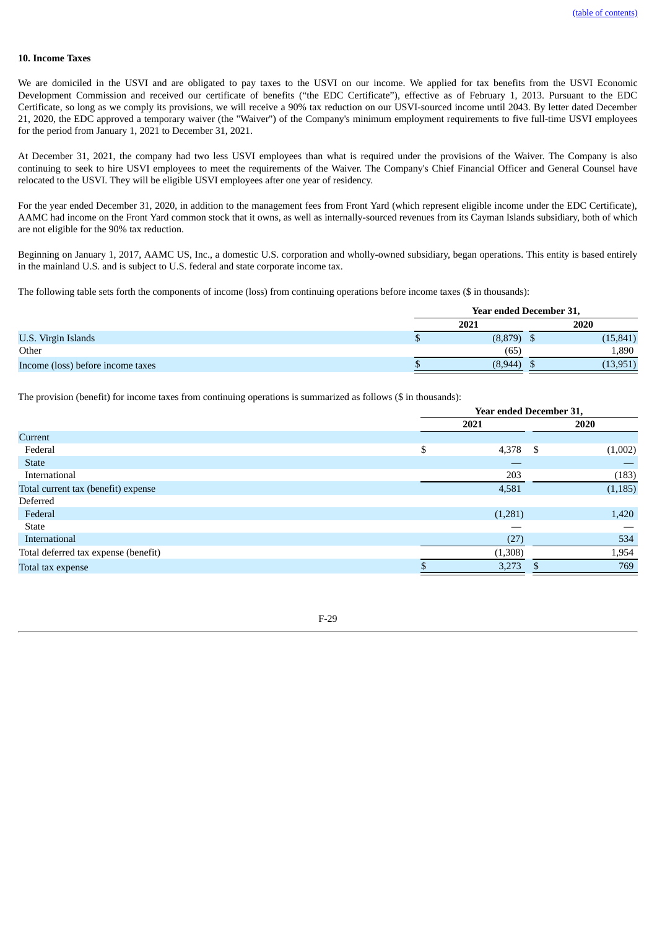## **10. Income Taxes**

We are domiciled in the USVI and are obligated to pay taxes to the USVI on our income. We applied for tax benefits from the USVI Economic Development Commission and received our certificate of benefits ("the EDC Certificate"), effective as of February 1, 2013. Pursuant to the EDC Certificate, so long as we comply its provisions, we will receive a 90% tax reduction on our USVI-sourced income until 2043. By letter dated December 21, 2020, the EDC approved a temporary waiver (the "Waiver") of the Company's minimum employment requirements to five full-time USVI employees for the period from January 1, 2021 to December 31, 2021.

At December 31, 2021, the company had two less USVI employees than what is required under the provisions of the Waiver. The Company is also continuing to seek to hire USVI employees to meet the requirements of the Waiver. The Company's Chief Financial Officer and General Counsel have relocated to the USVI. They will be eligible USVI employees after one year of residency.

For the year ended December 31, 2020, in addition to the management fees from Front Yard (which represent eligible income under the EDC Certificate), AAMC had income on the Front Yard common stock that it owns, as well as internally-sourced revenues from its Cayman Islands subsidiary, both of which are not eligible for the 90% tax reduction.

Beginning on January 1, 2017, AAMC US, Inc., a domestic U.S. corporation and wholly-owned subsidiary, began operations. This entity is based entirely in the mainland U.S. and is subject to U.S. federal and state corporate income tax.

The following table sets forth the components of income (loss) from continuing operations before income taxes (\$ in thousands):

|                                   | Year ended December 31, |           |  |  |
|-----------------------------------|-------------------------|-----------|--|--|
|                                   | 2021                    | 2020      |  |  |
| U.S. Virgin Islands               | (8, 879)                | (15, 841) |  |  |
| Other                             | (65)                    | 1,890     |  |  |
| Income (loss) before income taxes | (8,944)                 | (13, 951) |  |  |

The provision (benefit) for income taxes from continuing operations is summarized as follows (\$ in thousands):

| <b>Year ended December 31,</b> |         |      |          |
|--------------------------------|---------|------|----------|
| 2021                           |         | 2020 |          |
|                                |         |      |          |
| \$                             | 4,378   | S.   | (1,002)  |
|                                | __      |      |          |
|                                | 203     |      | (183)    |
|                                | 4,581   |      | (1, 185) |
|                                |         |      |          |
|                                | (1,281) |      | 1,420    |
|                                |         |      |          |
|                                | (27)    |      | 534      |
|                                | (1,308) |      | 1,954    |
|                                | 3,273   |      | 769      |
|                                |         |      |          |

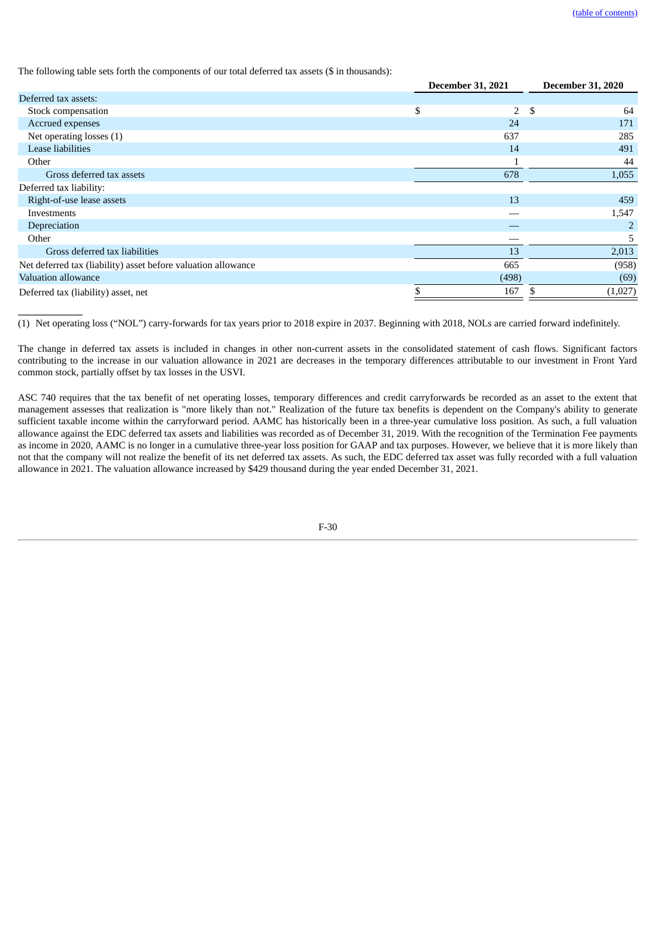The following table sets forth the components of our total deferred tax assets (\$ in thousands):

**\_\_\_\_\_\_\_\_\_\_\_\_\_**

|                                                               | <b>December 31, 2021</b> | <b>December 31, 2020</b> |  |
|---------------------------------------------------------------|--------------------------|--------------------------|--|
| Deferred tax assets:                                          |                          |                          |  |
| Stock compensation                                            | \$<br>$\overline{2}$     | \$<br>64                 |  |
| Accrued expenses                                              | 24                       | 171                      |  |
| Net operating losses (1)                                      | 637                      | 285                      |  |
| Lease liabilities                                             | 14                       | 491                      |  |
| Other                                                         |                          | 44                       |  |
| Gross deferred tax assets                                     | 678                      | 1,055                    |  |
| Deferred tax liability:                                       |                          |                          |  |
| Right-of-use lease assets                                     | 13                       | 459                      |  |
| Investments                                                   |                          | 1,547                    |  |
| Depreciation                                                  |                          | $\mathcal{P}$            |  |
| Other                                                         |                          | 5                        |  |
| Gross deferred tax liabilities                                | 13                       | 2,013                    |  |
| Net deferred tax (liability) asset before valuation allowance | 665                      | (958)                    |  |
| Valuation allowance                                           | (498)                    | (69)                     |  |
| Deferred tax (liability) asset, net                           | 167                      | (1,027)                  |  |

(1) Net operating loss ("NOL") carry-forwards for tax years prior to 2018 expire in 2037. Beginning with 2018, NOLs are carried forward indefinitely.

The change in deferred tax assets is included in changes in other non-current assets in the consolidated statement of cash flows. Significant factors contributing to the increase in our valuation allowance in 2021 are decreases in the temporary differences attributable to our investment in Front Yard common stock, partially offset by tax losses in the USVI.

ASC 740 requires that the tax benefit of net operating losses, temporary differences and credit carryforwards be recorded as an asset to the extent that management assesses that realization is "more likely than not." Realization of the future tax benefits is dependent on the Company's ability to generate sufficient taxable income within the carryforward period. AAMC has historically been in a three-year cumulative loss position. As such, a full valuation allowance against the EDC deferred tax assets and liabilities was recorded as of December 31, 2019. With the recognition of the Termination Fee payments as income in 2020, AAMC is no longer in a cumulative three-year loss position for GAAP and tax purposes. However, we believe that it is more likely than not that the company will not realize the benefit of its net deferred tax assets. As such, the EDC deferred tax asset was fully recorded with a full valuation allowance in 2021. The valuation allowance increased by \$429 thousand during the year ended December 31, 2021.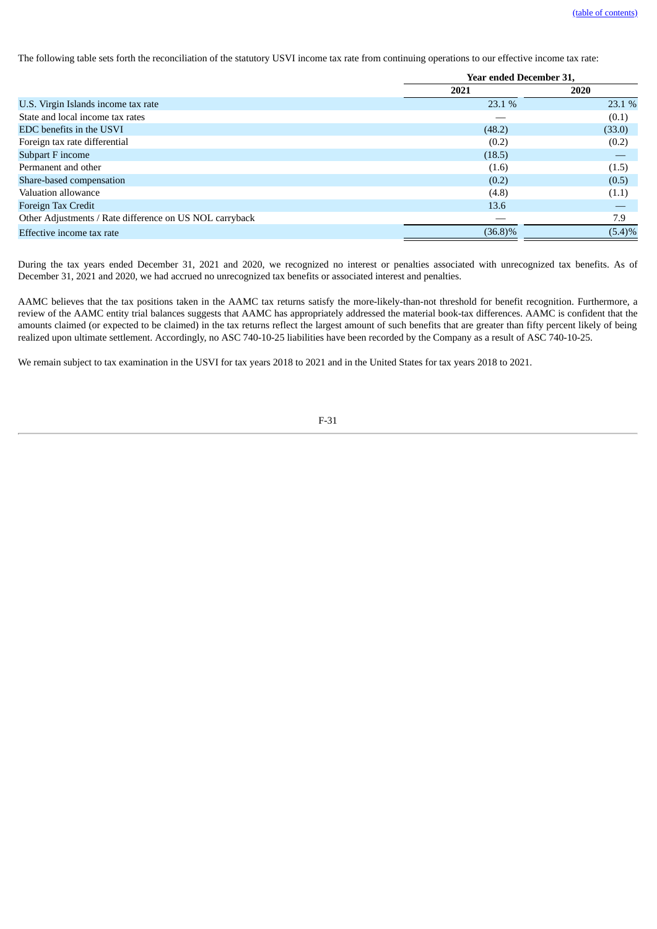The following table sets forth the reconciliation of the statutory USVI income tax rate from continuing operations to our effective income tax rate:

|                                                         | Year ended December 31, |        |  |
|---------------------------------------------------------|-------------------------|--------|--|
|                                                         | 2021                    | 2020   |  |
| U.S. Virgin Islands income tax rate                     | 23.1 %                  | 23.1 % |  |
| State and local income tax rates                        |                         | (0.1)  |  |
| EDC benefits in the USVI                                | (48.2)                  | (33.0) |  |
| Foreign tax rate differential                           | (0.2)                   | (0.2)  |  |
| Subpart F income                                        | (18.5)                  |        |  |
| Permanent and other                                     | (1.6)                   | (1.5)  |  |
| Share-based compensation                                | (0.2)                   | (0.5)  |  |
| Valuation allowance                                     | (4.8)                   | (1.1)  |  |
| Foreign Tax Credit                                      | 13.6                    |        |  |
| Other Adjustments / Rate difference on US NOL carryback |                         | 7.9    |  |
| Effective income tax rate                               | $(36.8)\%$              | (5.4)% |  |

During the tax years ended December 31, 2021 and 2020, we recognized no interest or penalties associated with unrecognized tax benefits. As of December 31, 2021 and 2020, we had accrued no unrecognized tax benefits or associated interest and penalties.

AAMC believes that the tax positions taken in the AAMC tax returns satisfy the more-likely-than-not threshold for benefit recognition. Furthermore, a review of the AAMC entity trial balances suggests that AAMC has appropriately addressed the material book-tax differences. AAMC is confident that the amounts claimed (or expected to be claimed) in the tax returns reflect the largest amount of such benefits that are greater than fifty percent likely of being realized upon ultimate settlement. Accordingly, no ASC 740-10-25 liabilities have been recorded by the Company as a result of ASC 740-10-25.

We remain subject to tax examination in the USVI for tax years 2018 to 2021 and in the United States for tax years 2018 to 2021.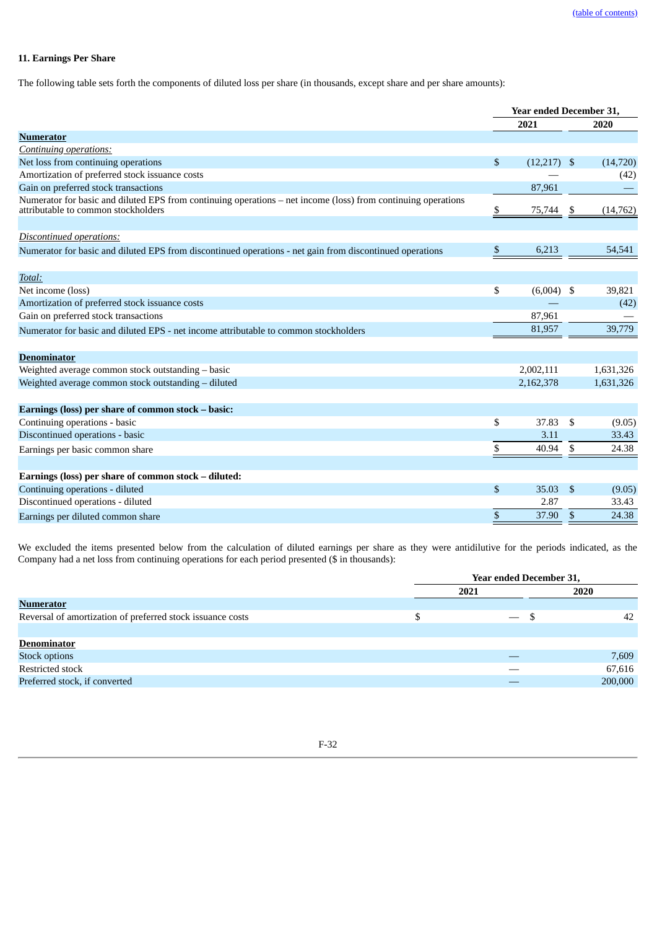# **11. Earnings Per Share**

The following table sets forth the components of diluted loss per share (in thousands, except share and per share amounts):

|                                                                                                                                                      |              | Year ended December 31, |                |                 |
|------------------------------------------------------------------------------------------------------------------------------------------------------|--------------|-------------------------|----------------|-----------------|
|                                                                                                                                                      |              | 2021                    |                | 2020            |
| <b>Numerator</b>                                                                                                                                     |              |                         |                |                 |
| <b>Continuing operations:</b>                                                                                                                        |              |                         |                |                 |
| Net loss from continuing operations                                                                                                                  | \$           | $(12,217)$ \$           |                | (14,720)        |
| Amortization of preferred stock issuance costs                                                                                                       |              |                         |                | (42)            |
| Gain on preferred stock transactions                                                                                                                 |              | 87,961                  |                |                 |
| Numerator for basic and diluted EPS from continuing operations - net income (loss) from continuing operations<br>attributable to common stockholders | <u>\$</u>    | 75,744                  |                | (14, 762)       |
|                                                                                                                                                      |              |                         |                |                 |
| Discontinued operations:                                                                                                                             |              |                         |                |                 |
| Numerator for basic and diluted EPS from discontinued operations - net gain from discontinued operations                                             | \$           | 6,213                   |                | 54,541          |
| Total:                                                                                                                                               |              |                         |                |                 |
| Net income (loss)                                                                                                                                    | \$           | $(6,004)$ \$            |                | 39,821          |
| Amortization of preferred stock issuance costs                                                                                                       |              |                         |                | (42)            |
| Gain on preferred stock transactions                                                                                                                 |              | 87,961                  |                |                 |
| Numerator for basic and diluted EPS - net income attributable to common stockholders                                                                 |              | 81,957                  |                | 39,779          |
| <b>Denominator</b>                                                                                                                                   |              |                         |                |                 |
| Weighted average common stock outstanding - basic                                                                                                    |              | 2,002,111               |                | 1,631,326       |
| Weighted average common stock outstanding - diluted                                                                                                  |              | 2,162,378               |                | 1,631,326       |
| Earnings (loss) per share of common stock – basic:                                                                                                   |              |                         |                |                 |
| Continuing operations - basic                                                                                                                        | \$           | 37.83                   | \$             | (9.05)          |
| Discontinued operations - basic                                                                                                                      |              | 3.11                    |                | 33.43           |
| Earnings per basic common share                                                                                                                      | \$           | 40.94                   | \$             | 24.38           |
|                                                                                                                                                      |              |                         |                |                 |
| Earnings (loss) per share of common stock – diluted:                                                                                                 | $\mathbb{S}$ |                         |                |                 |
| Continuing operations - diluted                                                                                                                      |              | 35.03<br>2.87           | \$             | (9.05)<br>33.43 |
| Discontinued operations - diluted                                                                                                                    |              |                         |                |                 |
| Earnings per diluted common share                                                                                                                    | \$           | 37.90                   | $\mathfrak{S}$ | 24.38           |

We excluded the items presented below from the calculation of diluted earnings per share as they were antidilutive for the periods indicated, as the Company had a net loss from continuing operations for each period presented (\$ in thousands):

|                                                            |      | <b>Year ended December 31,</b> |         |  |
|------------------------------------------------------------|------|--------------------------------|---------|--|
|                                                            | 2021 |                                | 2020    |  |
| <b>Numerator</b>                                           |      |                                |         |  |
| Reversal of amortization of preferred stock issuance costs |      |                                | 42      |  |
|                                                            |      |                                |         |  |
| <b>Denominator</b>                                         |      |                                |         |  |
| <b>Stock options</b>                                       |      |                                | 7,609   |  |
| <b>Restricted stock</b>                                    |      |                                | 67,616  |  |
| Preferred stock, if converted                              |      |                                | 200,000 |  |
|                                                            |      |                                |         |  |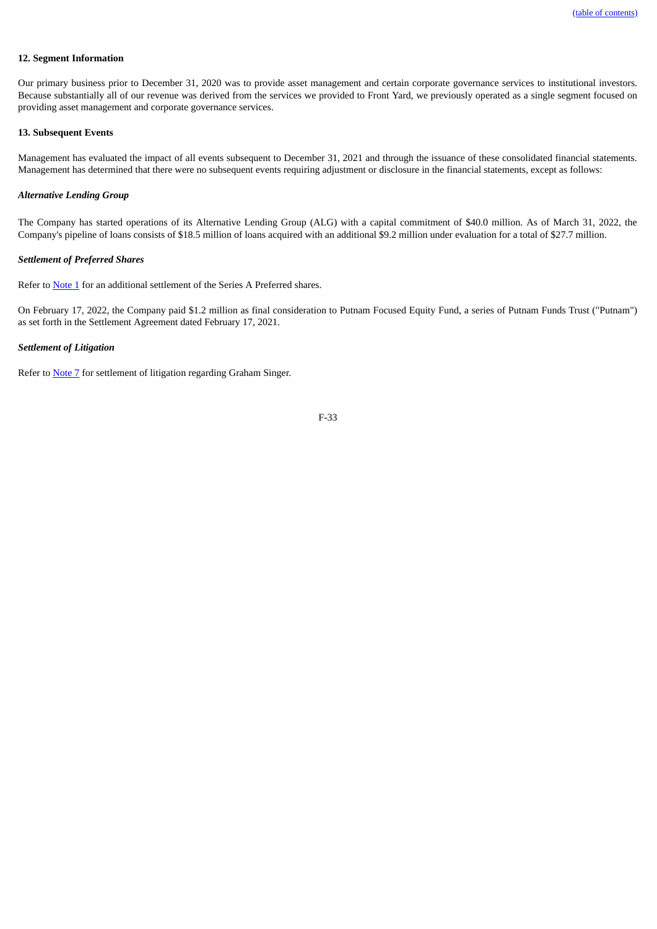## **12. Segment Information**

Our primary business prior to December 31, 2020 was to provide asset management and certain corporate governance services to institutional investors. Because substantially all of our revenue was derived from the services we provided to Front Yard, we previously operated as a single segment focused on providing asset management and corporate governance services.

#### <span id="page-70-0"></span>**13. Subsequent Events**

Management has evaluated the impact of all events subsequent to December 31, 2021 and through the issuance of these consolidated financial statements. Management has determined that there were no subsequent events requiring adjustment or disclosure in the financial statements, except as follows:

## *Alternative Lending Group*

The Company has started operations of its Alternative Lending Group (ALG) with a capital commitment of \$40.0 million. As of March 31, 2022, the Company's pipeline of loans consists of \$18.5 million of loans acquired with an additional \$9.2 million under evaluation for a total of \$27.7 million.

## *Settlement of Preferred Shares*

Refer to [Note](#page-49-0) 1 for an additional settlement of the Series A Preferred shares.

On February 17, 2022, the Company paid \$1.2 million as final consideration to Putnam Focused Equity Fund, a series of Putnam Funds Trust ("Putnam") as set forth in the Settlement Agreement dated February 17, 2021.

### *Settlement of Litigation*

Refer to **[Note](#page-61-0) 7** for settlement of litigation regarding Graham Singer.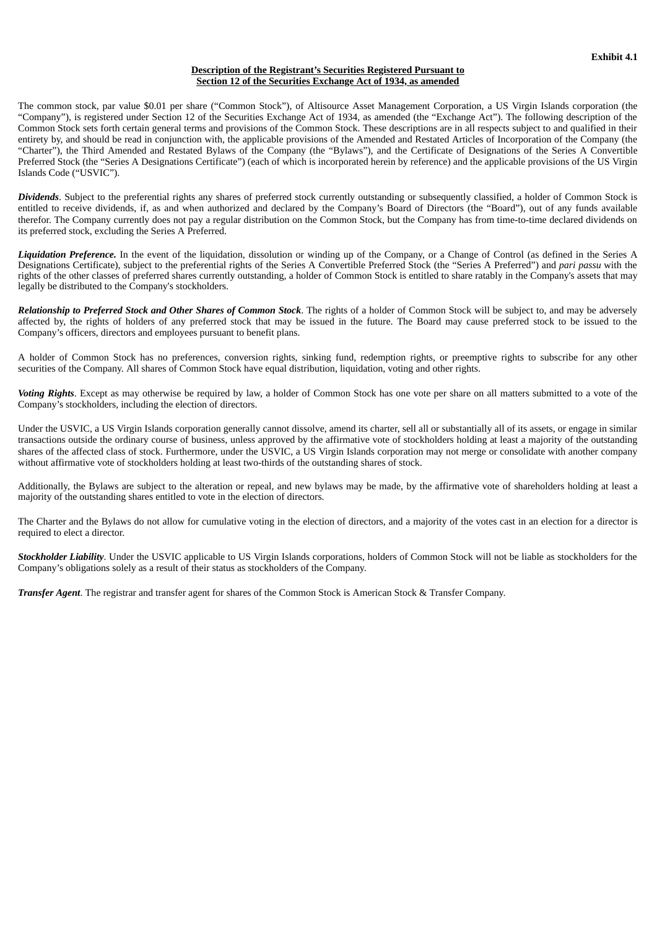#### **Description of the Registrant's Securities Registered Pursuant to Section 12 of the Securities Exchange Act of 1934, as amended**

The common stock, par value \$0.01 per share ("Common Stock"), of Altisource Asset Management Corporation, a US Virgin Islands corporation (the "Company"), is registered under Section 12 of the Securities Exchange Act of 1934, as amended (the "Exchange Act"). The following description of the Common Stock sets forth certain general terms and provisions of the Common Stock. These descriptions are in all respects subject to and qualified in their entirety by, and should be read in conjunction with, the applicable provisions of the Amended and Restated Articles of Incorporation of the Company (the "Charter"), the Third Amended and Restated Bylaws of the Company (the "Bylaws"), and the Certificate of Designations of the Series A Convertible Preferred Stock (the "Series A Designations Certificate") (each of which is incorporated herein by reference) and the applicable provisions of the US Virgin Islands Code ("USVIC").

*Dividends*. Subject to the preferential rights any shares of preferred stock currently outstanding or subsequently classified, a holder of Common Stock is entitled to receive dividends, if, as and when authorized and declared by the Company's Board of Directors (the "Board"), out of any funds available therefor. The Company currently does not pay a regular distribution on the Common Stock, but the Company has from time-to-time declared dividends on its preferred stock, excluding the Series A Preferred.

*Liquidation Preference.* In the event of the liquidation, dissolution or winding up of the Company, or a Change of Control (as defined in the Series A Designations Certificate), subject to the preferential rights of the Series A Convertible Preferred Stock (the "Series A Preferred") and *pari passu* with the rights of the other classes of preferred shares currently outstanding, a holder of Common Stock is entitled to share ratably in the Company's assets that may legally be distributed to the Company's stockholders.

*Relationship to Preferred Stock and Other Shares of Common Stock*. The rights of a holder of Common Stock will be subject to, and may be adversely affected by, the rights of holders of any preferred stock that may be issued in the future. The Board may cause preferred stock to be issued to the Company's officers, directors and employees pursuant to benefit plans.

A holder of Common Stock has no preferences, conversion rights, sinking fund, redemption rights, or preemptive rights to subscribe for any other securities of the Company. All shares of Common Stock have equal distribution, liquidation, voting and other rights.

*Voting Rights*. Except as may otherwise be required by law, a holder of Common Stock has one vote per share on all matters submitted to a vote of the Company's stockholders, including the election of directors.

Under the USVIC, a US Virgin Islands corporation generally cannot dissolve, amend its charter, sell all or substantially all of its assets, or engage in similar transactions outside the ordinary course of business, unless approved by the affirmative vote of stockholders holding at least a majority of the outstanding shares of the affected class of stock. Furthermore, under the USVIC, a US Virgin Islands corporation may not merge or consolidate with another company without affirmative vote of stockholders holding at least two-thirds of the outstanding shares of stock.

Additionally, the Bylaws are subject to the alteration or repeal, and new bylaws may be made, by the affirmative vote of shareholders holding at least a majority of the outstanding shares entitled to vote in the election of directors.

The Charter and the Bylaws do not allow for cumulative voting in the election of directors, and a majority of the votes cast in an election for a director is required to elect a director.

*Stockholder Liability*. Under the USVIC applicable to US Virgin Islands corporations, holders of Common Stock will not be liable as stockholders for the Company's obligations solely as a result of their status as stockholders of the Company.

*Transfer Agent*. The registrar and transfer agent for shares of the Common Stock is American Stock & Transfer Company.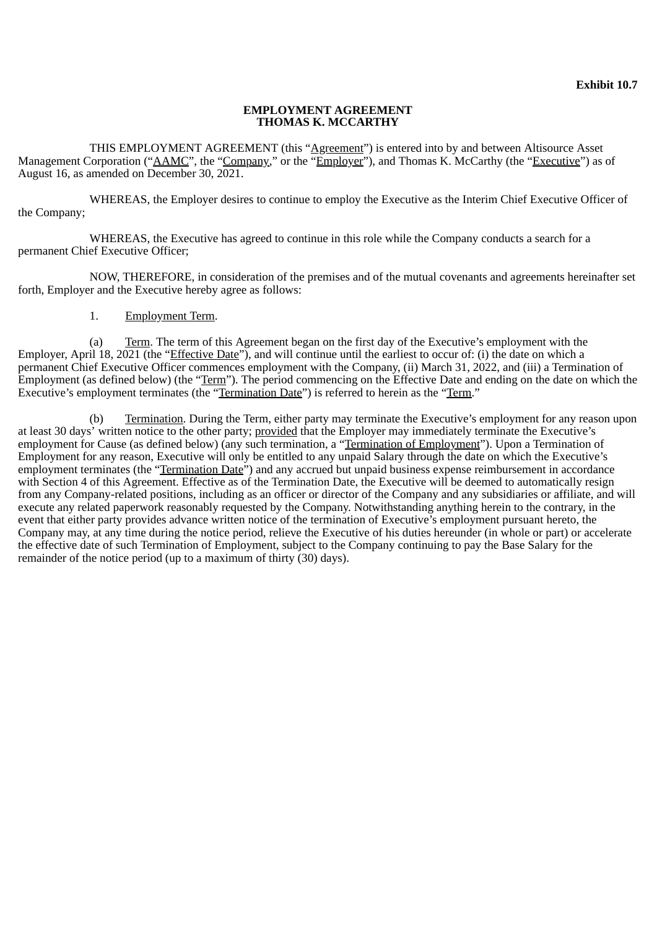### **EMPLOYMENT AGREEMENT THOMAS K. MCCARTHY**

THIS EMPLOYMENT AGREEMENT (this "Agreement") is entered into by and between Altisource Asset Management Corporation ("AAMC", the "Company," or the "Employer"), and Thomas K. McCarthy (the "Executive") as of August 16, as amended on December 30, 2021.

WHEREAS, the Employer desires to continue to employ the Executive as the Interim Chief Executive Officer of the Company;

WHEREAS, the Executive has agreed to continue in this role while the Company conducts a search for a permanent Chief Executive Officer;

NOW, THEREFORE, in consideration of the premises and of the mutual covenants and agreements hereinafter set forth, Employer and the Executive hereby agree as follows:

1. Employment Term.

(a) Term. The term of this Agreement began on the first day of the Executive's employment with the Employer, April 18, 2021 (the "Effective Date"), and will continue until the earliest to occur of: (i) the date on which a permanent Chief Executive Officer commences employment with the Company, (ii) March 31, 2022, and (iii) a Termination of Employment (as defined below) (the "Term"). The period commencing on the Effective Date and ending on the date on which the Executive's employment terminates (the "Termination Date") is referred to herein as the "Term."

(b) Termination. During the Term, either party may terminate the Executive's employment for any reason upon at least 30 days' written notice to the other party; provided that the Employer may immediately terminate the Executive's employment for Cause (as defined below) (any such termination, a "Termination of Employment"). Upon a Termination of Employment for any reason, Executive will only be entitled to any unpaid Salary through the date on which the Executive's employment terminates (the "Termination Date") and any accrued but unpaid business expense reimbursement in accordance with Section 4 of this Agreement. Effective as of the Termination Date, the Executive will be deemed to automatically resign from any Company-related positions, including as an officer or director of the Company and any subsidiaries or affiliate, and will execute any related paperwork reasonably requested by the Company. Notwithstanding anything herein to the contrary, in the event that either party provides advance written notice of the termination of Executive's employment pursuant hereto, the Company may, at any time during the notice period, relieve the Executive of his duties hereunder (in whole or part) or accelerate the effective date of such Termination of Employment, subject to the Company continuing to pay the Base Salary for the remainder of the notice period (up to a maximum of thirty (30) days).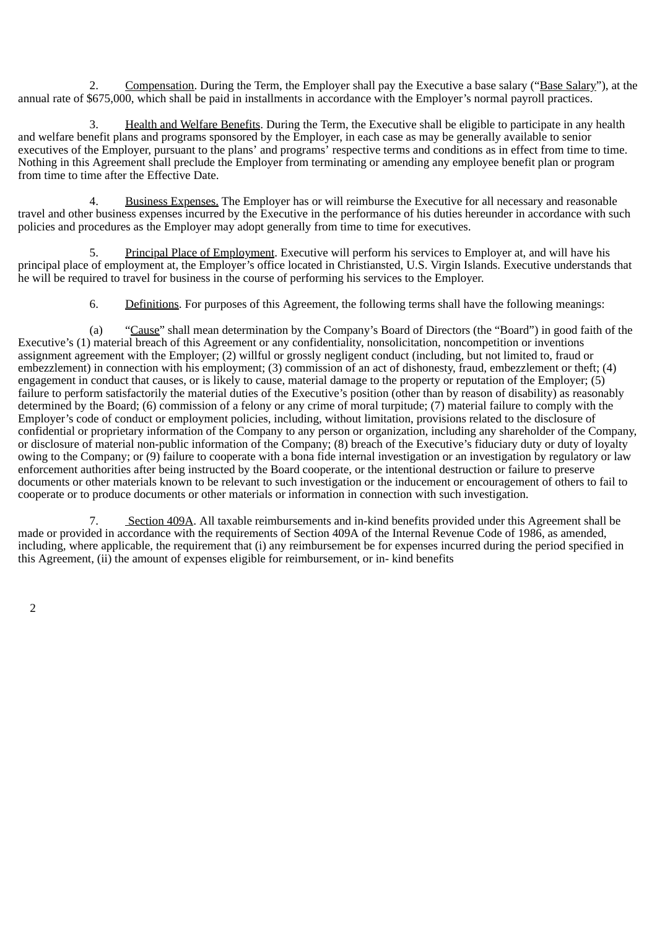2. Compensation. During the Term, the Employer shall pay the Executive a base salary ("Base Salary"), at the annual rate of \$675,000, which shall be paid in installments in accordance with the Employer's normal payroll practices.

3. Health and Welfare Benefits. During the Term, the Executive shall be eligible to participate in any health and welfare benefit plans and programs sponsored by the Employer, in each case as may be generally available to senior executives of the Employer, pursuant to the plans' and programs' respective terms and conditions as in effect from time to time. Nothing in this Agreement shall preclude the Employer from terminating or amending any employee benefit plan or program from time to time after the Effective Date.

4. Business Expenses. The Employer has or will reimburse the Executive for all necessary and reasonable travel and other business expenses incurred by the Executive in the performance of his duties hereunder in accordance with such policies and procedures as the Employer may adopt generally from time to time for executives.

5. Principal Place of Employment. Executive will perform his services to Employer at, and will have his principal place of employment at, the Employer's office located in Christiansted, U.S. Virgin Islands. Executive understands that he will be required to travel for business in the course of performing his services to the Employer.

6. Definitions. For purposes of this Agreement, the following terms shall have the following meanings:

(a) "Cause" shall mean determination by the Company's Board of Directors (the "Board") in good faith of the Executive's (1) material breach of this Agreement or any confidentiality, nonsolicitation, noncompetition or inventions assignment agreement with the Employer; (2) willful or grossly negligent conduct (including, but not limited to, fraud or embezzlement) in connection with his employment; (3) commission of an act of dishonesty, fraud, embezzlement or theft; (4) engagement in conduct that causes, or is likely to cause, material damage to the property or reputation of the Employer; (5) failure to perform satisfactorily the material duties of the Executive's position (other than by reason of disability) as reasonably determined by the Board; (6) commission of a felony or any crime of moral turpitude; (7) material failure to comply with the Employer's code of conduct or employment policies, including, without limitation, provisions related to the disclosure of confidential or proprietary information of the Company to any person or organization, including any shareholder of the Company, or disclosure of material non-public information of the Company; (8) breach of the Executive's fiduciary duty or duty of loyalty owing to the Company; or (9) failure to cooperate with a bona fide internal investigation or an investigation by regulatory or law enforcement authorities after being instructed by the Board cooperate, or the intentional destruction or failure to preserve documents or other materials known to be relevant to such investigation or the inducement or encouragement of others to fail to cooperate or to produce documents or other materials or information in connection with such investigation.

7. Section 409A. All taxable reimbursements and in-kind benefits provided under this Agreement shall be made or provided in accordance with the requirements of Section 409A of the Internal Revenue Code of 1986, as amended, including, where applicable, the requirement that (i) any reimbursement be for expenses incurred during the period specified in this Agreement, (ii) the amount of expenses eligible for reimbursement, or in- kind benefits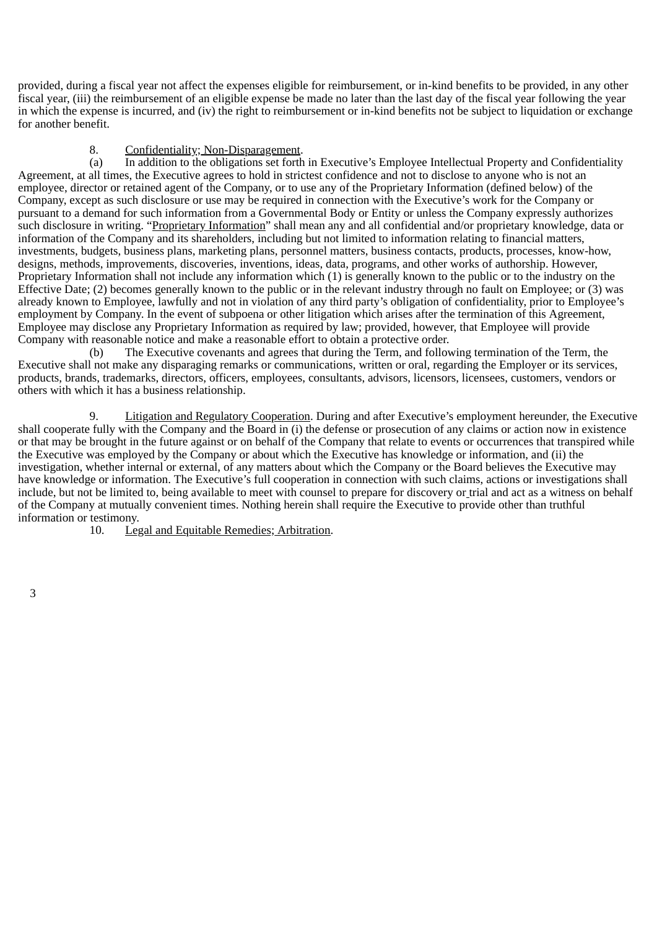provided, during a fiscal year not affect the expenses eligible for reimbursement, or in-kind benefits to be provided, in any other fiscal year, (iii) the reimbursement of an eligible expense be made no later than the last day of the fiscal year following the year in which the expense is incurred, and (iv) the right to reimbursement or in-kind benefits not be subject to liquidation or exchange for another benefit.

# 8. Confidentiality; Non-Disparagement.

(a) In addition to the obligations set forth in Executive's Employee Intellectual Property and Confidentiality Agreement, at all times, the Executive agrees to hold in strictest confidence and not to disclose to anyone who is not an employee, director or retained agent of the Company, or to use any of the Proprietary Information (defined below) of the Company, except as such disclosure or use may be required in connection with the Executive's work for the Company or pursuant to a demand for such information from a Governmental Body or Entity or unless the Company expressly authorizes such disclosure in writing. "Proprietary Information" shall mean any and all confidential and/or proprietary knowledge, data or information of the Company and its shareholders, including but not limited to information relating to financial matters, investments, budgets, business plans, marketing plans, personnel matters, business contacts, products, processes, know-how, designs, methods, improvements, discoveries, inventions, ideas, data, programs, and other works of authorship. However, Proprietary Information shall not include any information which (1) is generally known to the public or to the industry on the Effective Date; (2) becomes generally known to the public or in the relevant industry through no fault on Employee; or (3) was already known to Employee, lawfully and not in violation of any third party's obligation of confidentiality, prior to Employee's employment by Company. In the event of subpoena or other litigation which arises after the termination of this Agreement, Employee may disclose any Proprietary Information as required by law; provided, however, that Employee will provide Company with reasonable notice and make a reasonable effort to obtain a protective order.

(b) The Executive covenants and agrees that during the Term, and following termination of the Term, the Executive shall not make any disparaging remarks or communications, written or oral, regarding the Employer or its services, products, brands, trademarks, directors, officers, employees, consultants, advisors, licensors, licensees, customers, vendors or others with which it has a business relationship.

9. Litigation and Regulatory Cooperation. During and after Executive's employment hereunder, the Executive shall cooperate fully with the Company and the Board in (i) the defense or prosecution of any claims or action now in existence or that may be brought in the future against or on behalf of the Company that relate to events or occurrences that transpired while the Executive was employed by the Company or about which the Executive has knowledge or information, and (ii) the investigation, whether internal or external, of any matters about which the Company or the Board believes the Executive may have knowledge or information. The Executive's full cooperation in connection with such claims, actions or investigations shall include, but not be limited to, being available to meet with counsel to prepare for discovery or trial and act as a witness on behalf of the Company at mutually convenient times. Nothing herein shall require the Executive to provide other than truthful information or testimony.

10. Legal and Equitable Remedies; Arbitration.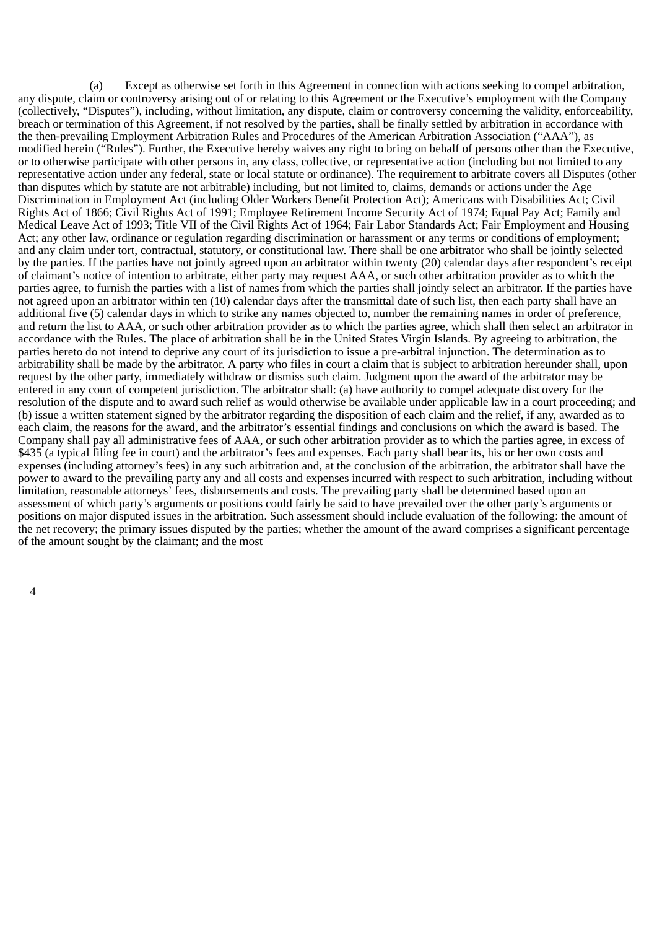(a) Except as otherwise set forth in this Agreement in connection with actions seeking to compel arbitration, any dispute, claim or controversy arising out of or relating to this Agreement or the Executive's employment with the Company (collectively, "Disputes"), including, without limitation, any dispute, claim or controversy concerning the validity, enforceability, breach or termination of this Agreement, if not resolved by the parties, shall be finally settled by arbitration in accordance with the then-prevailing Employment Arbitration Rules and Procedures of the American Arbitration Association ("AAA"), as modified herein ("Rules"). Further, the Executive hereby waives any right to bring on behalf of persons other than the Executive, or to otherwise participate with other persons in, any class, collective, or representative action (including but not limited to any representative action under any federal, state or local statute or ordinance). The requirement to arbitrate covers all Disputes (other than disputes which by statute are not arbitrable) including, but not limited to, claims, demands or actions under the Age Discrimination in Employment Act (including Older Workers Benefit Protection Act); Americans with Disabilities Act; Civil Rights Act of 1866; Civil Rights Act of 1991; Employee Retirement Income Security Act of 1974; Equal Pay Act; Family and Medical Leave Act of 1993; Title VII of the Civil Rights Act of 1964; Fair Labor Standards Act; Fair Employment and Housing Act; any other law, ordinance or regulation regarding discrimination or harassment or any terms or conditions of employment; and any claim under tort, contractual, statutory, or constitutional law. There shall be one arbitrator who shall be jointly selected by the parties. If the parties have not jointly agreed upon an arbitrator within twenty (20) calendar days after respondent's receipt of claimant's notice of intention to arbitrate, either party may request AAA, or such other arbitration provider as to which the parties agree, to furnish the parties with a list of names from which the parties shall jointly select an arbitrator. If the parties have not agreed upon an arbitrator within ten (10) calendar days after the transmittal date of such list, then each party shall have an additional five (5) calendar days in which to strike any names objected to, number the remaining names in order of preference, and return the list to AAA, or such other arbitration provider as to which the parties agree, which shall then select an arbitrator in accordance with the Rules. The place of arbitration shall be in the United States Virgin Islands. By agreeing to arbitration, the parties hereto do not intend to deprive any court of its jurisdiction to issue a pre-arbitral injunction. The determination as to arbitrability shall be made by the arbitrator. A party who files in court a claim that is subject to arbitration hereunder shall, upon request by the other party, immediately withdraw or dismiss such claim. Judgment upon the award of the arbitrator may be entered in any court of competent jurisdiction. The arbitrator shall: (a) have authority to compel adequate discovery for the resolution of the dispute and to award such relief as would otherwise be available under applicable law in a court proceeding; and (b) issue a written statement signed by the arbitrator regarding the disposition of each claim and the relief, if any, awarded as to each claim, the reasons for the award, and the arbitrator's essential findings and conclusions on which the award is based. The Company shall pay all administrative fees of AAA, or such other arbitration provider as to which the parties agree, in excess of \$435 (a typical filing fee in court) and the arbitrator's fees and expenses. Each party shall bear its, his or her own costs and expenses (including attorney's fees) in any such arbitration and, at the conclusion of the arbitration, the arbitrator shall have the power to award to the prevailing party any and all costs and expenses incurred with respect to such arbitration, including without limitation, reasonable attorneys<sup>7</sup> fees, disbursements and costs. The prevailing party shall be determined based upon an assessment of which party's arguments or positions could fairly be said to have prevailed over the other party's arguments or positions on major disputed issues in the arbitration. Such assessment should include evaluation of the following: the amount of the net recovery; the primary issues disputed by the parties; whether the amount of the award comprises a significant percentage of the amount sought by the claimant; and the most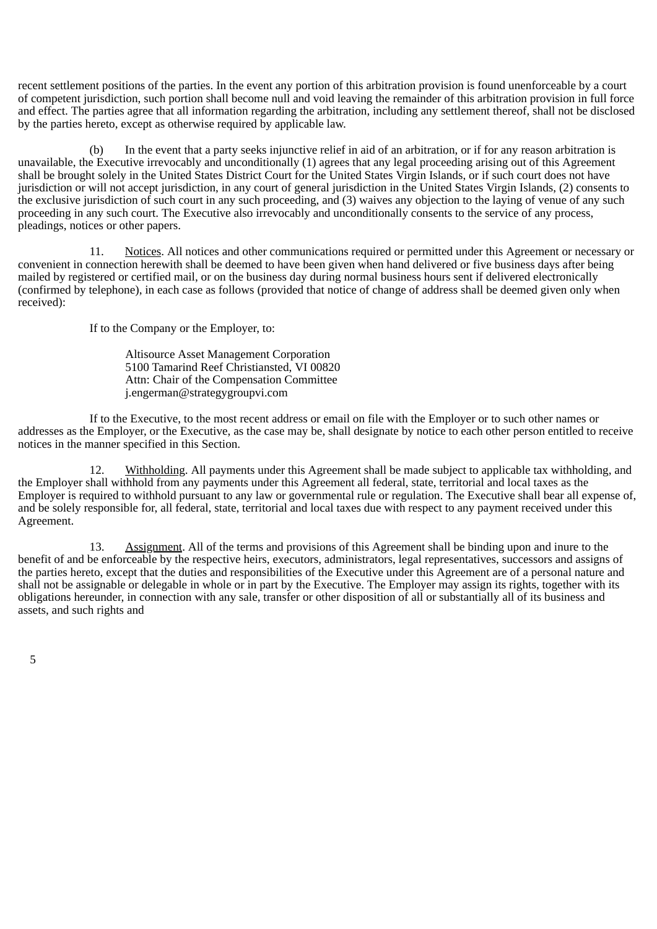recent settlement positions of the parties. In the event any portion of this arbitration provision is found unenforceable by a court of competent jurisdiction, such portion shall become null and void leaving the remainder of this arbitration provision in full force and effect. The parties agree that all information regarding the arbitration, including any settlement thereof, shall not be disclosed by the parties hereto, except as otherwise required by applicable law.

(b) In the event that a party seeks injunctive relief in aid of an arbitration, or if for any reason arbitration is unavailable, the Executive irrevocably and unconditionally (1) agrees that any legal proceeding arising out of this Agreement shall be brought solely in the United States District Court for the United States Virgin Islands, or if such court does not have jurisdiction or will not accept jurisdiction, in any court of general jurisdiction in the United States Virgin Islands, (2) consents to the exclusive jurisdiction of such court in any such proceeding, and (3) waives any objection to the laying of venue of any such proceeding in any such court. The Executive also irrevocably and unconditionally consents to the service of any process, pleadings, notices or other papers.

11. Notices. All notices and other communications required or permitted under this Agreement or necessary or convenient in connection herewith shall be deemed to have been given when hand delivered or five business days after being mailed by registered or certified mail, or on the business day during normal business hours sent if delivered electronically (confirmed by telephone), in each case as follows (provided that notice of change of address shall be deemed given only when received):

If to the Company or the Employer, to:

Altisource Asset Management Corporation 5100 Tamarind Reef Christiansted, VI 00820 Attn: Chair of the Compensation Committee j.engerman@strategygroupvi.com

If to the Executive, to the most recent address or email on file with the Employer or to such other names or addresses as the Employer, or the Executive, as the case may be, shall designate by notice to each other person entitled to receive notices in the manner specified in this Section.

12. Withholding. All payments under this Agreement shall be made subject to applicable tax withholding, and the Employer shall withhold from any payments under this Agreement all federal, state, territorial and local taxes as the Employer is required to withhold pursuant to any law or governmental rule or regulation. The Executive shall bear all expense of, and be solely responsible for, all federal, state, territorial and local taxes due with respect to any payment received under this Agreement.

13. Assignment. All of the terms and provisions of this Agreement shall be binding upon and inure to the benefit of and be enforceable by the respective heirs, executors, administrators, legal representatives, successors and assigns of the parties hereto, except that the duties and responsibilities of the Executive under this Agreement are of a personal nature and shall not be assignable or delegable in whole or in part by the Executive. The Employer may assign its rights, together with its obligations hereunder, in connection with any sale, transfer or other disposition of all or substantially all of its business and assets, and such rights and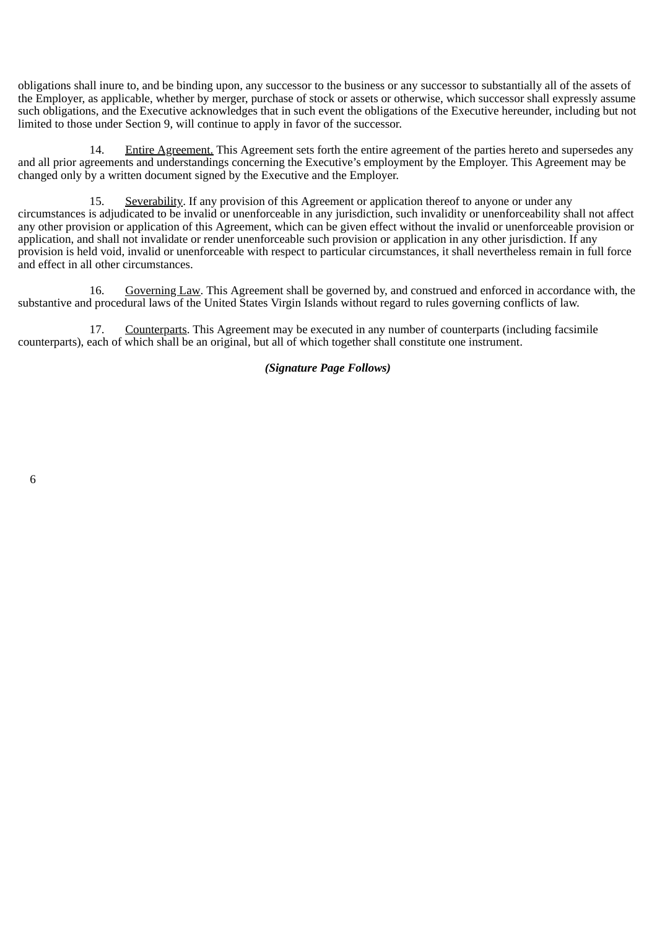obligations shall inure to, and be binding upon, any successor to the business or any successor to substantially all of the assets of the Employer, as applicable, whether by merger, purchase of stock or assets or otherwise, which successor shall expressly assume such obligations, and the Executive acknowledges that in such event the obligations of the Executive hereunder, including but not limited to those under Section 9, will continue to apply in favor of the successor.

14. Entire Agreement. This Agreement sets forth the entire agreement of the parties hereto and supersedes any and all prior agreements and understandings concerning the Executive's employment by the Employer. This Agreement may be changed only by a written document signed by the Executive and the Employer.

15. Severability. If any provision of this Agreement or application thereof to anyone or under any circumstances is adjudicated to be invalid or unenforceable in any jurisdiction, such invalidity or unenforceability shall not affect any other provision or application of this Agreement, which can be given effect without the invalid or unenforceable provision or application, and shall not invalidate or render unenforceable such provision or application in any other jurisdiction. If any provision is held void, invalid or unenforceable with respect to particular circumstances, it shall nevertheless remain in full force and effect in all other circumstances.

16. Governing Law. This Agreement shall be governed by, and construed and enforced in accordance with, the substantive and procedural laws of the United States Virgin Islands without regard to rules governing conflicts of law.

17. Counterparts. This Agreement may be executed in any number of counterparts (including facsimile counterparts), each of which shall be an original, but all of which together shall constitute one instrument.

# *(Signature Page Follows)*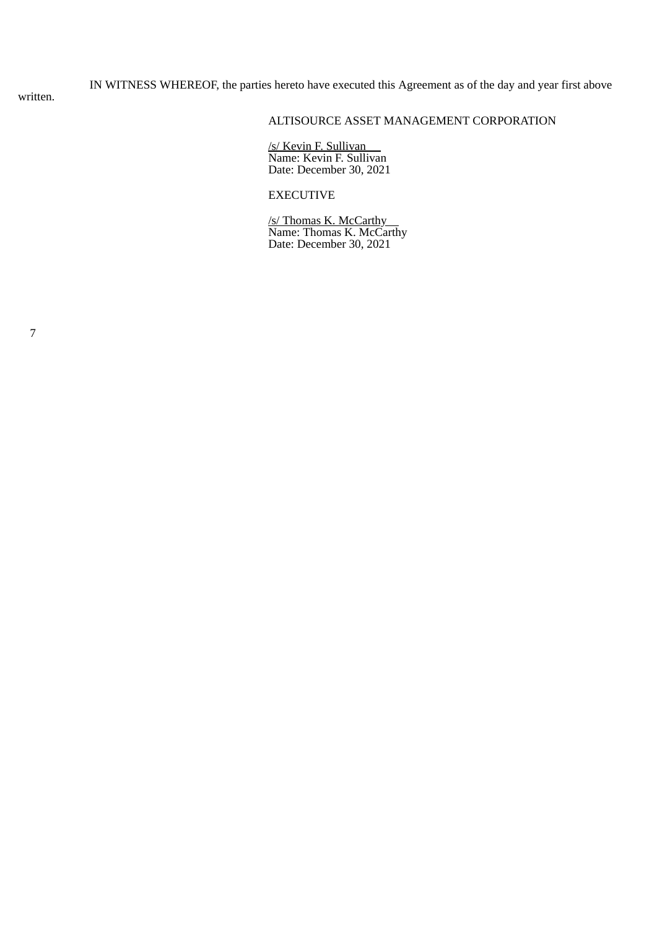IN WITNESS WHEREOF, the parties hereto have executed this Agreement as of the day and year first above

written.

# ALTISOURCE ASSET MANAGEMENT CORPORATION

/s/ Kevin F. Sullivan Name: Kevin F. Sullivan Date: December 30, 2021

# EXECUTIVE

**/s/ Thomas K. McCarthy** Name: Thomas K. McCarthy Date: December 30, 2021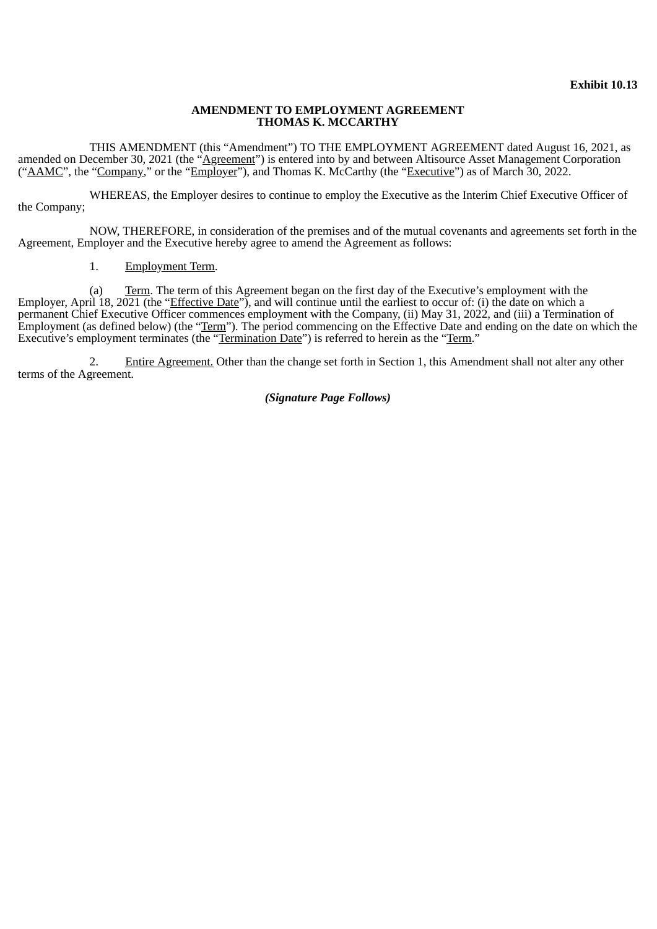### **AMENDMENT TO EMPLOYMENT AGREEMENT THOMAS K. MCCARTHY**

THIS AMENDMENT (this "Amendment") TO THE EMPLOYMENT AGREEMENT dated August 16, 2021, as amended on December 30, 2021 (the "Agreement") is entered into by and between Altisource Asset Management Corporation ("<u>AAMC</u>", the "<u>Company</u>," or the "Employer"), and Thomas K. McCarthy (the "Executive") as of March 30, 2022.

WHEREAS, the Employer desires to continue to employ the Executive as the Interim Chief Executive Officer of the Company;

NOW, THEREFORE, in consideration of the premises and of the mutual covenants and agreements set forth in the Agreement, Employer and the Executive hereby agree to amend the Agreement as follows:

1. Employment Term.

(a) Term. The term of this Agreement began on the first day of the Executive's employment with the Employer, April 18, 2021 (the "*Effective Date*"), and will continue until the earliest to occur of: (i) the date on which a permanent Chief Executive Officer commences employment with the Company, (ii) May 31, 2022, and (iii) a Termination of Employment (as defined below) (the "Term"). The period commencing on the Effective Date and ending on the date on which the Executive's employment terminates (the "Termination Date") is referred to herein as the "Term."

2. Entire Agreement. Other than the change set forth in Section 1, this Amendment shall not alter any other terms of the Agreement.

# *(Signature Page Follows)*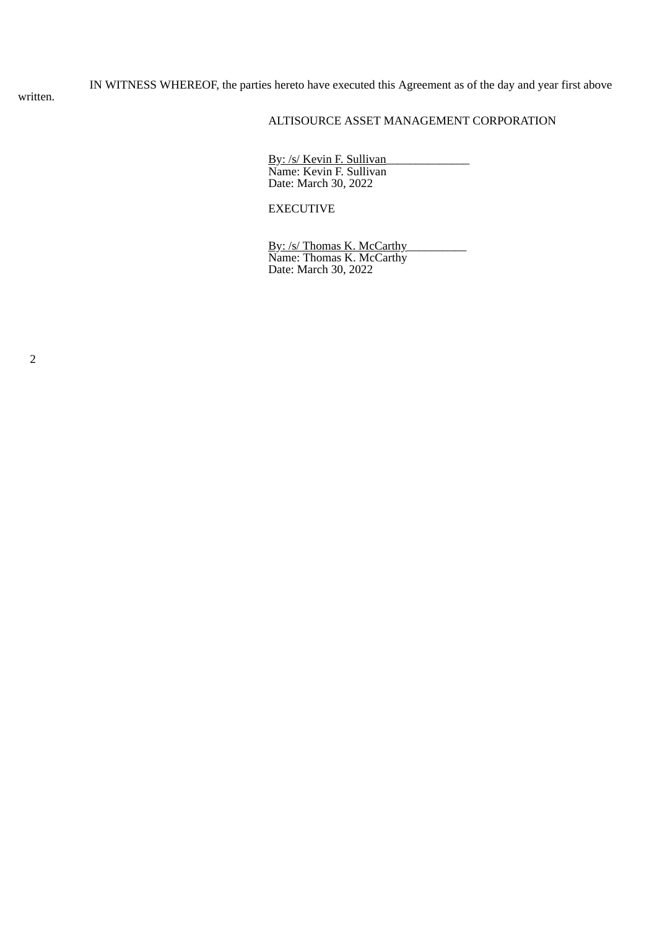IN WITNESS WHEREOF, the parties hereto have executed this Agreement as of the day and year first above

ALTISOURCE ASSET MANAGEMENT CORPORATION

By: /s/ Kevin F. Sullivan Name: Kevin F. Sullivan Date: March 30, 2022

### EXECUTIVE

By: /s/ Thomas K. McCarthy Name: Thomas K. McCarthy Date: March 30, 2022

written.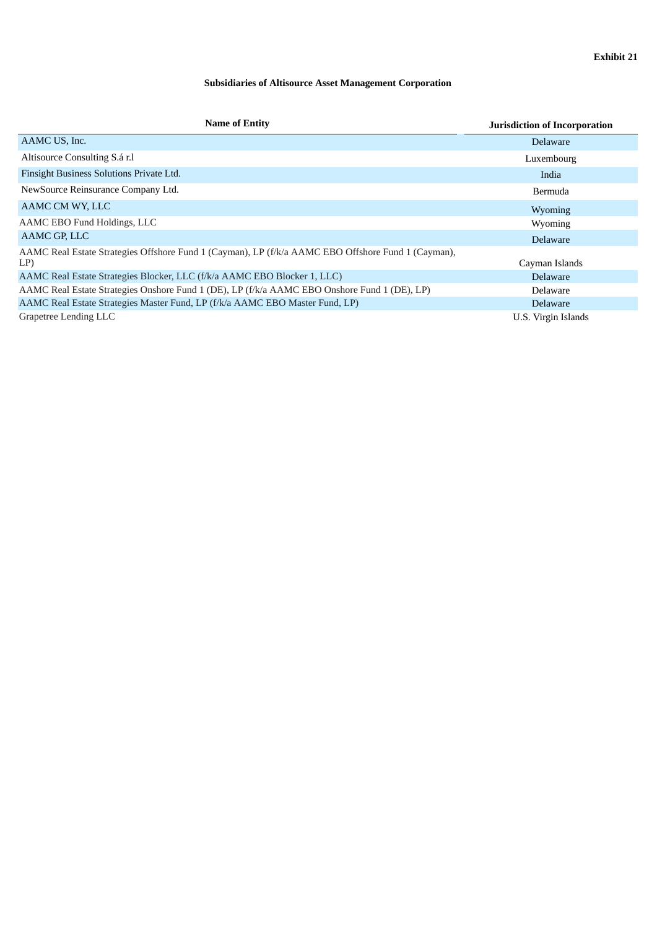## **Subsidiaries of Altisource Asset Management Corporation**

| <b>Name of Entity</b>                                                                                        | <b>Jurisdiction of Incorporation</b> |
|--------------------------------------------------------------------------------------------------------------|--------------------------------------|
| AAMC US, Inc.                                                                                                | <b>Delaware</b>                      |
| Altisource Consulting S.a r.l                                                                                | Luxembourg                           |
| Finsight Business Solutions Private Ltd.                                                                     | India                                |
| NewSource Reinsurance Company Ltd.                                                                           | Bermuda                              |
| AAMC CM WY, LLC                                                                                              | Wyoming                              |
| AAMC EBO Fund Holdings, LLC                                                                                  | Wyoming                              |
| AAMC GP, LLC                                                                                                 | <b>Delaware</b>                      |
| AAMC Real Estate Strategies Offshore Fund 1 (Cayman), LP (f/k/a AAMC EBO Offshore Fund 1 (Cayman),<br>$LP$ ) | Cayman Islands                       |
| AAMC Real Estate Strategies Blocker, LLC (f/k/a AAMC EBO Blocker 1, LLC)                                     | Delaware                             |
|                                                                                                              |                                      |
| AAMC Real Estate Strategies Onshore Fund 1 (DE), LP (f/k/a AAMC EBO Onshore Fund 1 (DE), LP)                 | Delaware                             |
| AAMC Real Estate Strategies Master Fund, LP (f/k/a AAMC EBO Master Fund, LP)                                 | <b>Delaware</b>                      |
| Grapetree Lending LLC                                                                                        | U.S. Virgin Islands                  |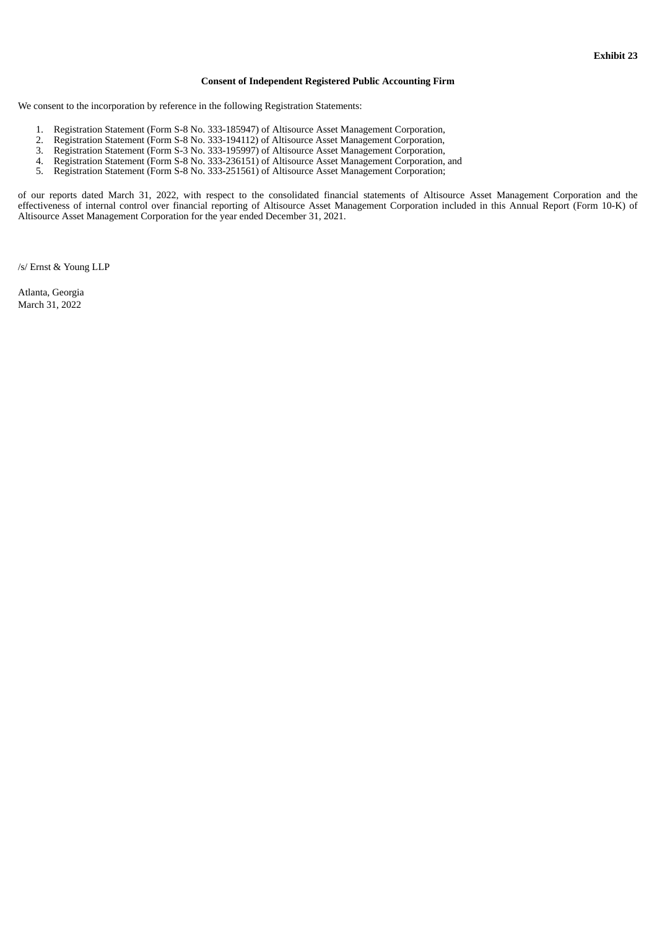#### **Consent of Independent Registered Public Accounting Firm**

We consent to the incorporation by reference in the following Registration Statements:

- 1. Registration Statement (Form S-8 No. 333-185947) of Altisource Asset Management Corporation,
- 2. Registration Statement (Form S-8 No. 333-194112) of Altisource Asset Management Corporation,
- 3. Registration Statement (Form S-3 No. 333-195997) of Altisource Asset Management Corporation,
- 4. Registration Statement (Form S-8 No. 333-236151) of Altisource Asset Management Corporation, and
- 5. Registration Statement (Form S-8 No. 333-251561) of Altisource Asset Management Corporation;

of our reports dated March 31, 2022, with respect to the consolidated financial statements of Altisource Asset Management Corporation and the effectiveness of internal control over financial reporting of Altisource Asset Management Corporation included in this Annual Report (Form 10-K) of Altisource Asset Management Corporation for the year ended December 31, 2021.

/s/ Ernst & Young LLP

Atlanta, Georgia March 31, 2022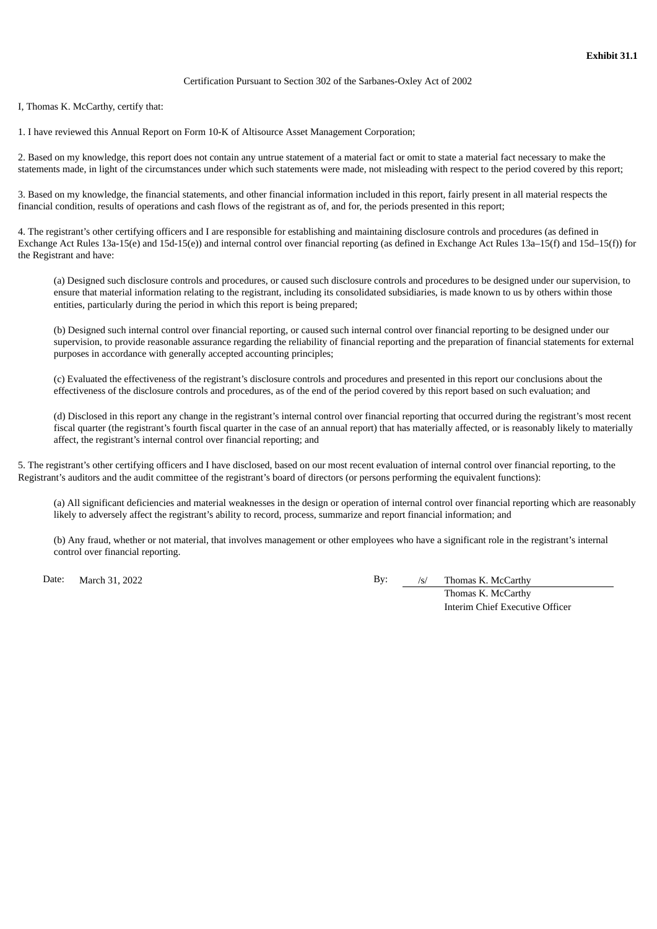#### Certification Pursuant to Section 302 of the Sarbanes-Oxley Act of 2002

I, Thomas K. McCarthy, certify that:

1. I have reviewed this Annual Report on Form 10-K of Altisource Asset Management Corporation;

2. Based on my knowledge, this report does not contain any untrue statement of a material fact or omit to state a material fact necessary to make the statements made, in light of the circumstances under which such statements were made, not misleading with respect to the period covered by this report;

3. Based on my knowledge, the financial statements, and other financial information included in this report, fairly present in all material respects the financial condition, results of operations and cash flows of the registrant as of, and for, the periods presented in this report;

4. The registrant's other certifying officers and I are responsible for establishing and maintaining disclosure controls and procedures (as defined in Exchange Act Rules 13a-15(e) and 15d-15(e)) and internal control over financial reporting (as defined in Exchange Act Rules 13a–15(f) and 15d–15(f)) for the Registrant and have:

(a) Designed such disclosure controls and procedures, or caused such disclosure controls and procedures to be designed under our supervision, to ensure that material information relating to the registrant, including its consolidated subsidiaries, is made known to us by others within those entities, particularly during the period in which this report is being prepared;

(b) Designed such internal control over financial reporting, or caused such internal control over financial reporting to be designed under our supervision, to provide reasonable assurance regarding the reliability of financial reporting and the preparation of financial statements for external purposes in accordance with generally accepted accounting principles;

(c) Evaluated the effectiveness of the registrant's disclosure controls and procedures and presented in this report our conclusions about the effectiveness of the disclosure controls and procedures, as of the end of the period covered by this report based on such evaluation; and

(d) Disclosed in this report any change in the registrant's internal control over financial reporting that occurred during the registrant's most recent fiscal quarter (the registrant's fourth fiscal quarter in the case of an annual report) that has materially affected, or is reasonably likely to materially affect, the registrant's internal control over financial reporting; and

5. The registrant's other certifying officers and I have disclosed, based on our most recent evaluation of internal control over financial reporting, to the Registrant's auditors and the audit committee of the registrant's board of directors (or persons performing the equivalent functions):

(a) All significant deficiencies and material weaknesses in the design or operation of internal control over financial reporting which are reasonably likely to adversely affect the registrant's ability to record, process, summarize and report financial information; and

(b) Any fraud, whether or not material, that involves management or other employees who have a significant role in the registrant's internal control over financial reporting.

Date: March 31, 2022 **By:** *By: S/* Thomas K. McCarthy

Thomas K. McCarthy Interim Chief Executive Officer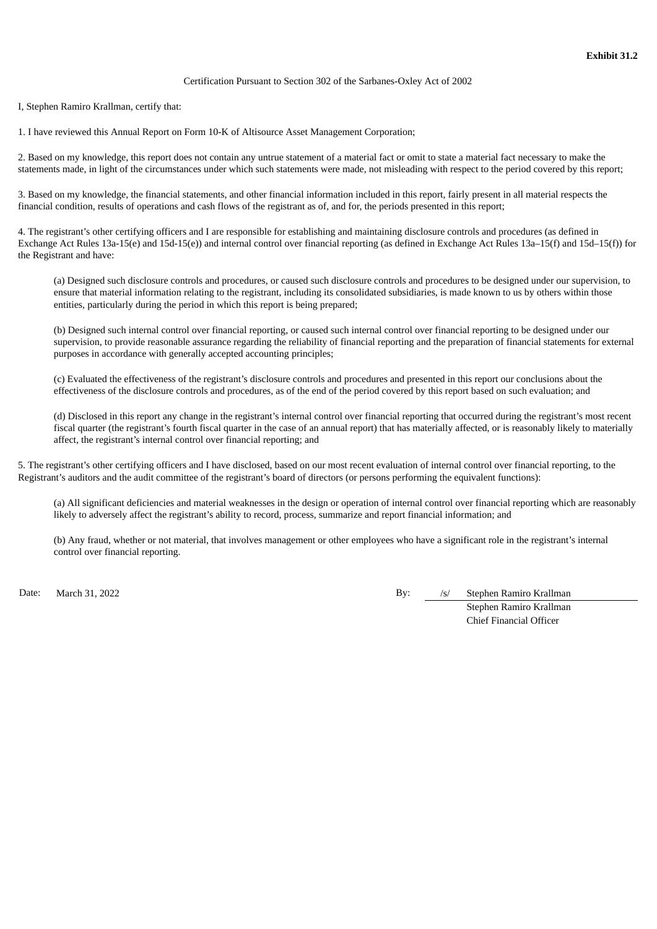### Certification Pursuant to Section 302 of the Sarbanes-Oxley Act of 2002

I, Stephen Ramiro Krallman, certify that:

1. I have reviewed this Annual Report on Form 10-K of Altisource Asset Management Corporation;

2. Based on my knowledge, this report does not contain any untrue statement of a material fact or omit to state a material fact necessary to make the statements made, in light of the circumstances under which such statements were made, not misleading with respect to the period covered by this report;

3. Based on my knowledge, the financial statements, and other financial information included in this report, fairly present in all material respects the financial condition, results of operations and cash flows of the registrant as of, and for, the periods presented in this report;

4. The registrant's other certifying officers and I are responsible for establishing and maintaining disclosure controls and procedures (as defined in Exchange Act Rules 13a-15(e) and 15d-15(e)) and internal control over financial reporting (as defined in Exchange Act Rules 13a–15(f) and 15d–15(f)) for the Registrant and have:

(a) Designed such disclosure controls and procedures, or caused such disclosure controls and procedures to be designed under our supervision, to ensure that material information relating to the registrant, including its consolidated subsidiaries, is made known to us by others within those entities, particularly during the period in which this report is being prepared;

(b) Designed such internal control over financial reporting, or caused such internal control over financial reporting to be designed under our supervision, to provide reasonable assurance regarding the reliability of financial reporting and the preparation of financial statements for external purposes in accordance with generally accepted accounting principles;

(c) Evaluated the effectiveness of the registrant's disclosure controls and procedures and presented in this report our conclusions about the effectiveness of the disclosure controls and procedures, as of the end of the period covered by this report based on such evaluation; and

(d) Disclosed in this report any change in the registrant's internal control over financial reporting that occurred during the registrant's most recent fiscal quarter (the registrant's fourth fiscal quarter in the case of an annual report) that has materially affected, or is reasonably likely to materially affect, the registrant's internal control over financial reporting; and

5. The registrant's other certifying officers and I have disclosed, based on our most recent evaluation of internal control over financial reporting, to the Registrant's auditors and the audit committee of the registrant's board of directors (or persons performing the equivalent functions):

(a) All significant deficiencies and material weaknesses in the design or operation of internal control over financial reporting which are reasonably likely to adversely affect the registrant's ability to record, process, summarize and report financial information; and

(b) Any fraud, whether or not material, that involves management or other employees who have a significant role in the registrant's internal control over financial reporting.

Date: March 31, 2022 **By:** *Stephen Ramiro Krallman* By: *Stephen Ramiro Krallman* By: *Stephen Ramiro Krallman* 

Stephen Ramiro Krallman Chief Financial Officer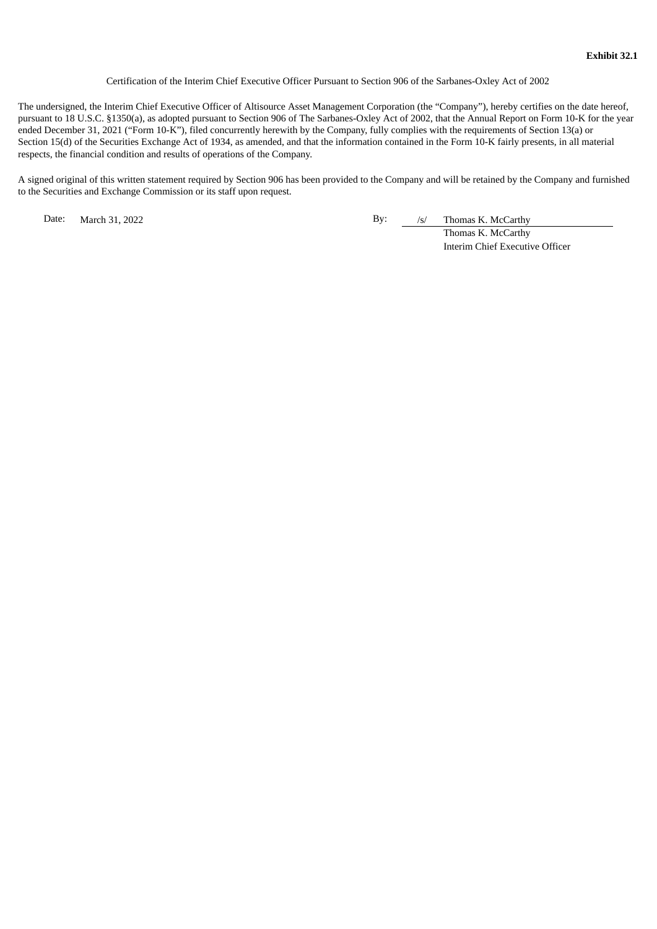Certification of the Interim Chief Executive Officer Pursuant to Section 906 of the Sarbanes-Oxley Act of 2002

The undersigned, the Interim Chief Executive Officer of Altisource Asset Management Corporation (the "Company"), hereby certifies on the date hereof, pursuant to 18 U.S.C. §1350(a), as adopted pursuant to Section 906 of The Sarbanes-Oxley Act of 2002, that the Annual Report on Form 10-K for the year ended December 31, 2021 ("Form 10-K"), filed concurrently herewith by the Company, fully complies with the requirements of Section 13(a) or Section 15(d) of the Securities Exchange Act of 1934, as amended, and that the information contained in the Form 10-K fairly presents, in all material respects, the financial condition and results of operations of the Company.

A signed original of this written statement required by Section 906 has been provided to the Company and will be retained by the Company and furnished to the Securities and Exchange Commission or its staff upon request.

Date: March 31, 2022 **By:** *Islamic By: By: Islamic By: By: Islamic By: By: By: Islamic By: By: By: By: By: By: By: By: By: By: By: By: By: By: By: By: By: By: By: By:*

Thomas K. McCarthy Interim Chief Executive Officer